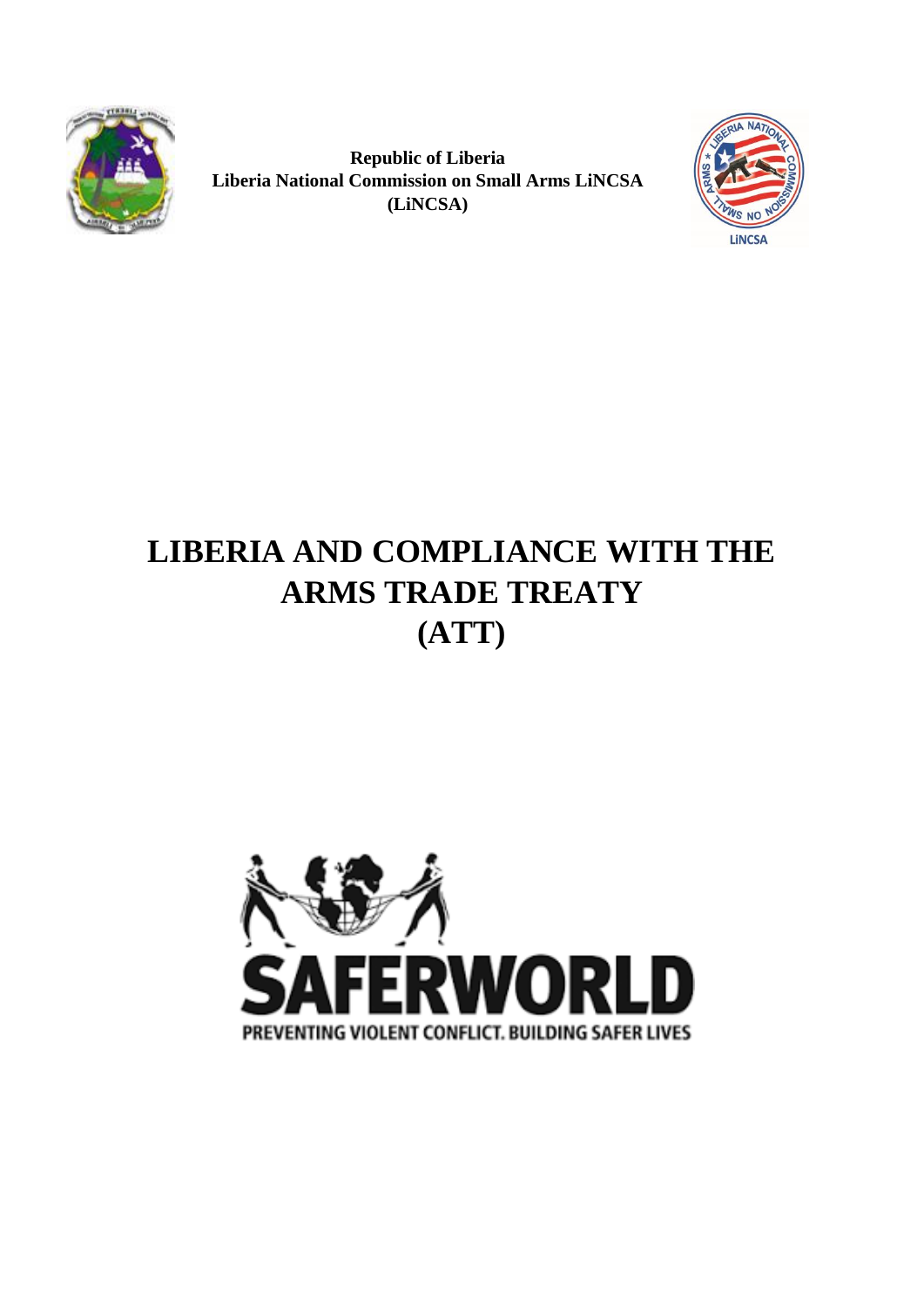

**Republic of Liberia Liberia National Commission on Small Arms LiNCSA (LiNCSA)**



# **LIBERIA AND COMPLIANCE WITH THE ARMS TRADE TREATY (ATT)**

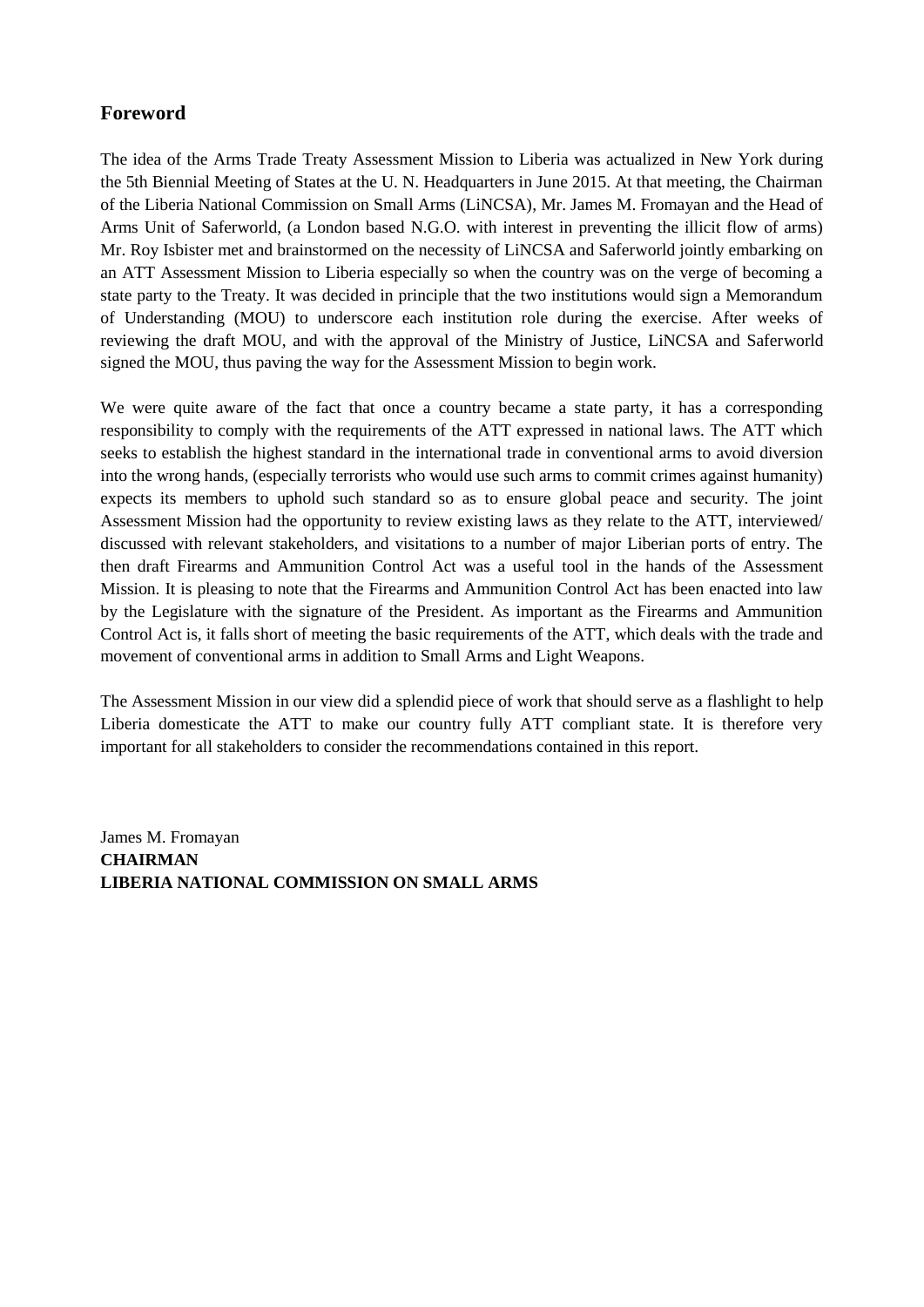### **Foreword**

The idea of the Arms Trade Treaty Assessment Mission to Liberia was actualized in New York during the 5th Biennial Meeting of States at the U. N. Headquarters in June 2015. At that meeting, the Chairman of the Liberia National Commission on Small Arms (LiNCSA), Mr. James M. Fromayan and the Head of Arms Unit of Saferworld, (a London based N.G.O. with interest in preventing the illicit flow of arms) Mr. Roy Isbister met and brainstormed on the necessity of LiNCSA and Saferworld jointly embarking on an ATT Assessment Mission to Liberia especially so when the country was on the verge of becoming a state party to the Treaty. It was decided in principle that the two institutions would sign a Memorandum of Understanding (MOU) to underscore each institution role during the exercise. After weeks of reviewing the draft MOU, and with the approval of the Ministry of Justice, LiNCSA and Saferworld signed the MOU, thus paving the way for the Assessment Mission to begin work.

We were quite aware of the fact that once a country became a state party, it has a corresponding responsibility to comply with the requirements of the ATT expressed in national laws. The ATT which seeks to establish the highest standard in the international trade in conventional arms to avoid diversion into the wrong hands, (especially terrorists who would use such arms to commit crimes against humanity) expects its members to uphold such standard so as to ensure global peace and security. The joint Assessment Mission had the opportunity to review existing laws as they relate to the ATT, interviewed/ discussed with relevant stakeholders, and visitations to a number of major Liberian ports of entry. The then draft Firearms and Ammunition Control Act was a useful tool in the hands of the Assessment Mission. It is pleasing to note that the Firearms and Ammunition Control Act has been enacted into law by the Legislature with the signature of the President. As important as the Firearms and Ammunition Control Act is, it falls short of meeting the basic requirements of the ATT, which deals with the trade and movement of conventional arms in addition to Small Arms and Light Weapons.

The Assessment Mission in our view did a splendid piece of work that should serve as a flashlight to help Liberia domesticate the ATT to make our country fully ATT compliant state. It is therefore very important for all stakeholders to consider the recommendations contained in this report.

James M. Fromayan **CHAIRMAN LIBERIA NATIONAL COMMISSION ON SMALL ARMS**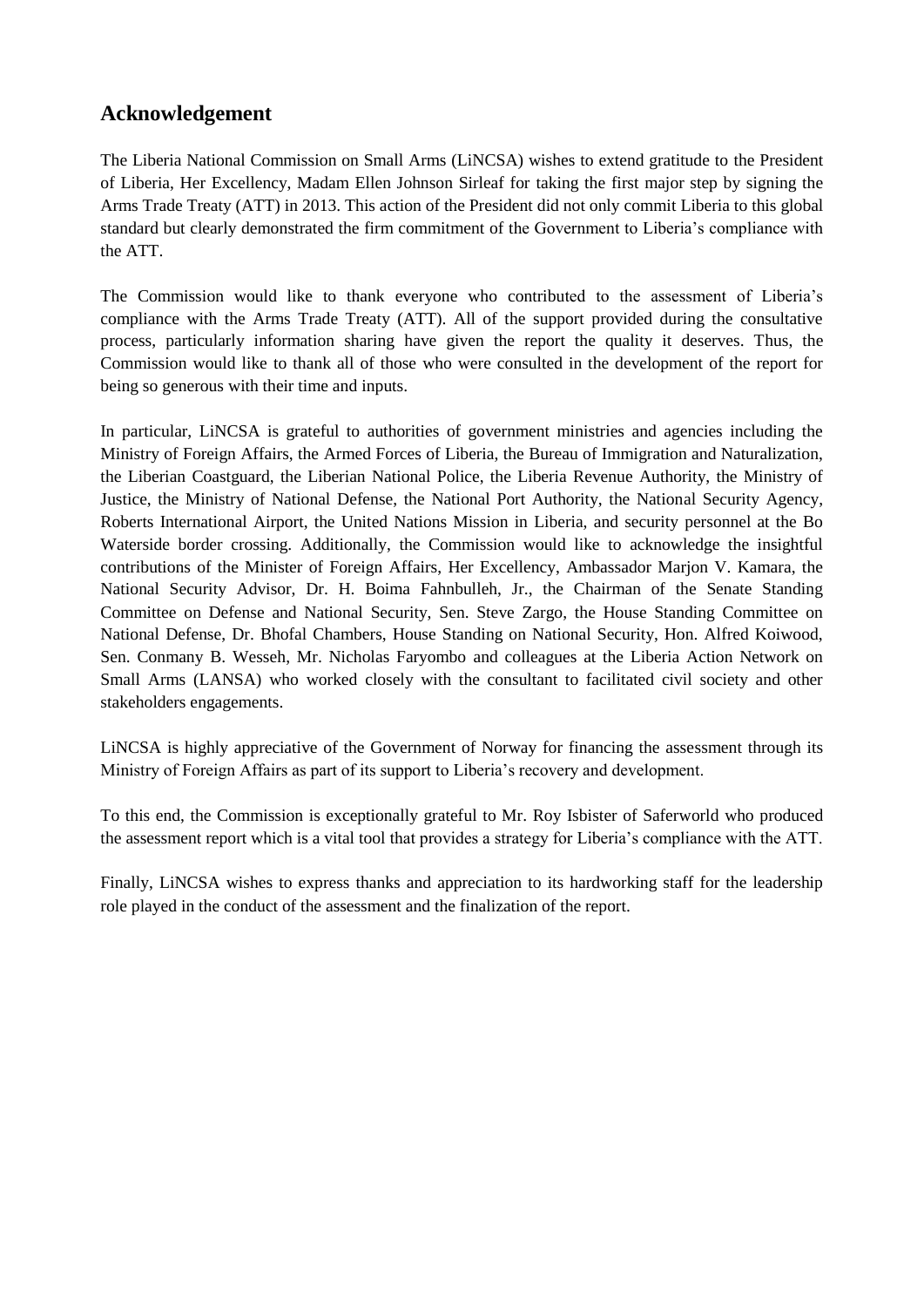# **Acknowledgement**

The Liberia National Commission on Small Arms (LiNCSA) wishes to extend gratitude to the President of Liberia, Her Excellency, Madam Ellen Johnson Sirleaf for taking the first major step by signing the Arms Trade Treaty (ATT) in 2013. This action of the President did not only commit Liberia to this global standard but clearly demonstrated the firm commitment of the Government to Liberia's compliance with the ATT.

The Commission would like to thank everyone who contributed to the assessment of Liberia's compliance with the Arms Trade Treaty (ATT). All of the support provided during the consultative process, particularly information sharing have given the report the quality it deserves. Thus, the Commission would like to thank all of those who were consulted in the development of the report for being so generous with their time and inputs.

In particular, LiNCSA is grateful to authorities of government ministries and agencies including the Ministry of Foreign Affairs, the Armed Forces of Liberia, the Bureau of Immigration and Naturalization, the Liberian Coastguard, the Liberian National Police, the Liberia Revenue Authority, the Ministry of Justice, the Ministry of National Defense, the National Port Authority, the National Security Agency, Roberts International Airport, the United Nations Mission in Liberia, and security personnel at the Bo Waterside border crossing. Additionally, the Commission would like to acknowledge the insightful contributions of the Minister of Foreign Affairs, Her Excellency, Ambassador Marjon V. Kamara, the National Security Advisor, Dr. H. Boima Fahnbulleh, Jr., the Chairman of the Senate Standing Committee on Defense and National Security, Sen. Steve Zargo, the House Standing Committee on National Defense, Dr. Bhofal Chambers, House Standing on National Security, Hon. Alfred Koiwood, Sen. Conmany B. Wesseh, Mr. Nicholas Faryombo and colleagues at the Liberia Action Network on Small Arms (LANSA) who worked closely with the consultant to facilitated civil society and other stakeholders engagements.

LiNCSA is highly appreciative of the Government of Norway for financing the assessment through its Ministry of Foreign Affairs as part of its support to Liberia's recovery and development.

To this end, the Commission is exceptionally grateful to Mr. Roy Isbister of Saferworld who produced the assessment report which is a vital tool that provides a strategy for Liberia's compliance with the ATT.

Finally, LiNCSA wishes to express thanks and appreciation to its hardworking staff for the leadership role played in the conduct of the assessment and the finalization of the report.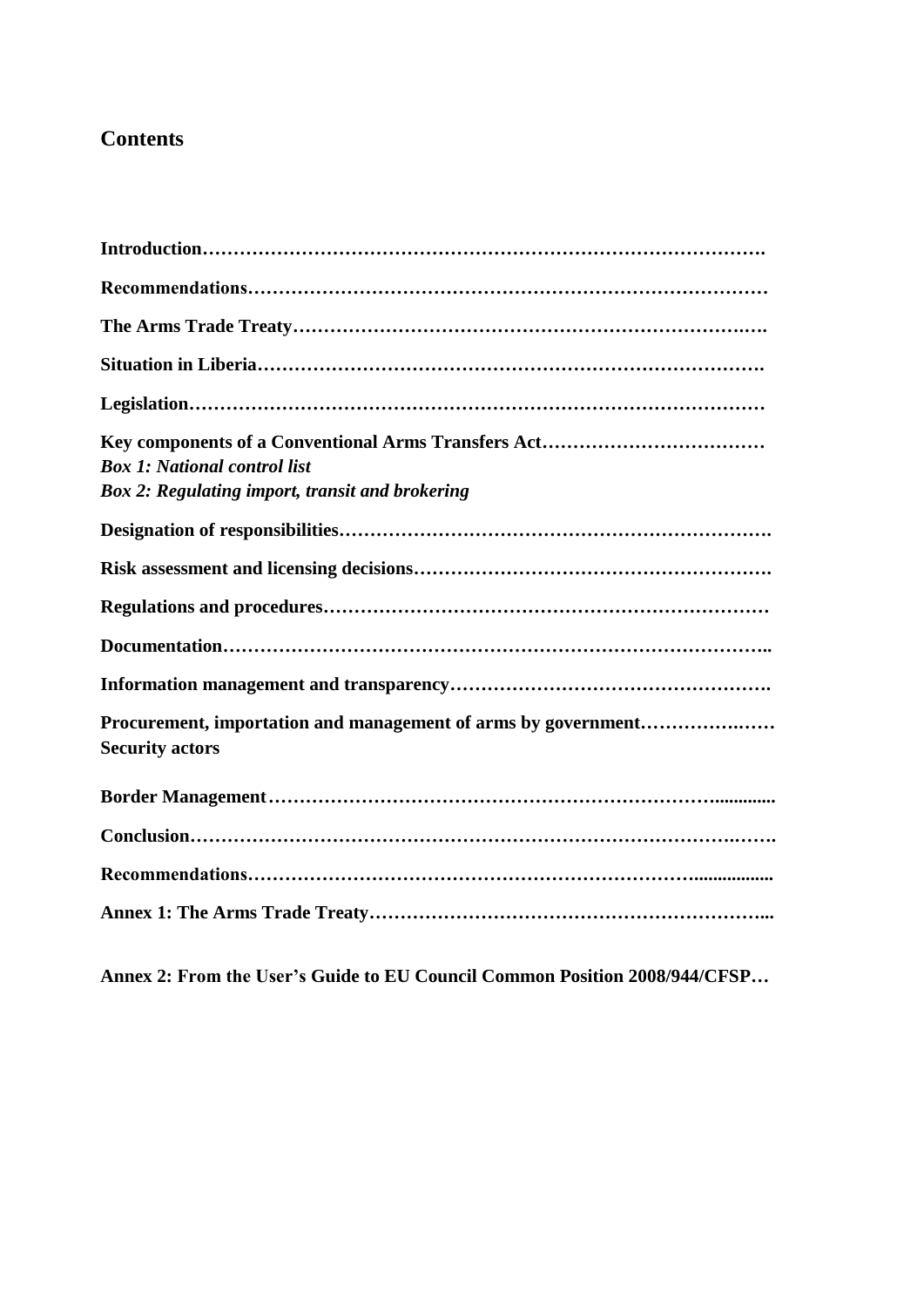# **Contents**

| <b>Box 1: National control list</b><br>Box 2: Regulating import, transit and brokering  |
|-----------------------------------------------------------------------------------------|
|                                                                                         |
|                                                                                         |
|                                                                                         |
|                                                                                         |
|                                                                                         |
| Procurement, importation and management of arms by government<br><b>Security actors</b> |
|                                                                                         |
|                                                                                         |
|                                                                                         |
|                                                                                         |
|                                                                                         |

**Annex 2: From the User's Guide to EU Council Common Position 2008/944/CFSP…**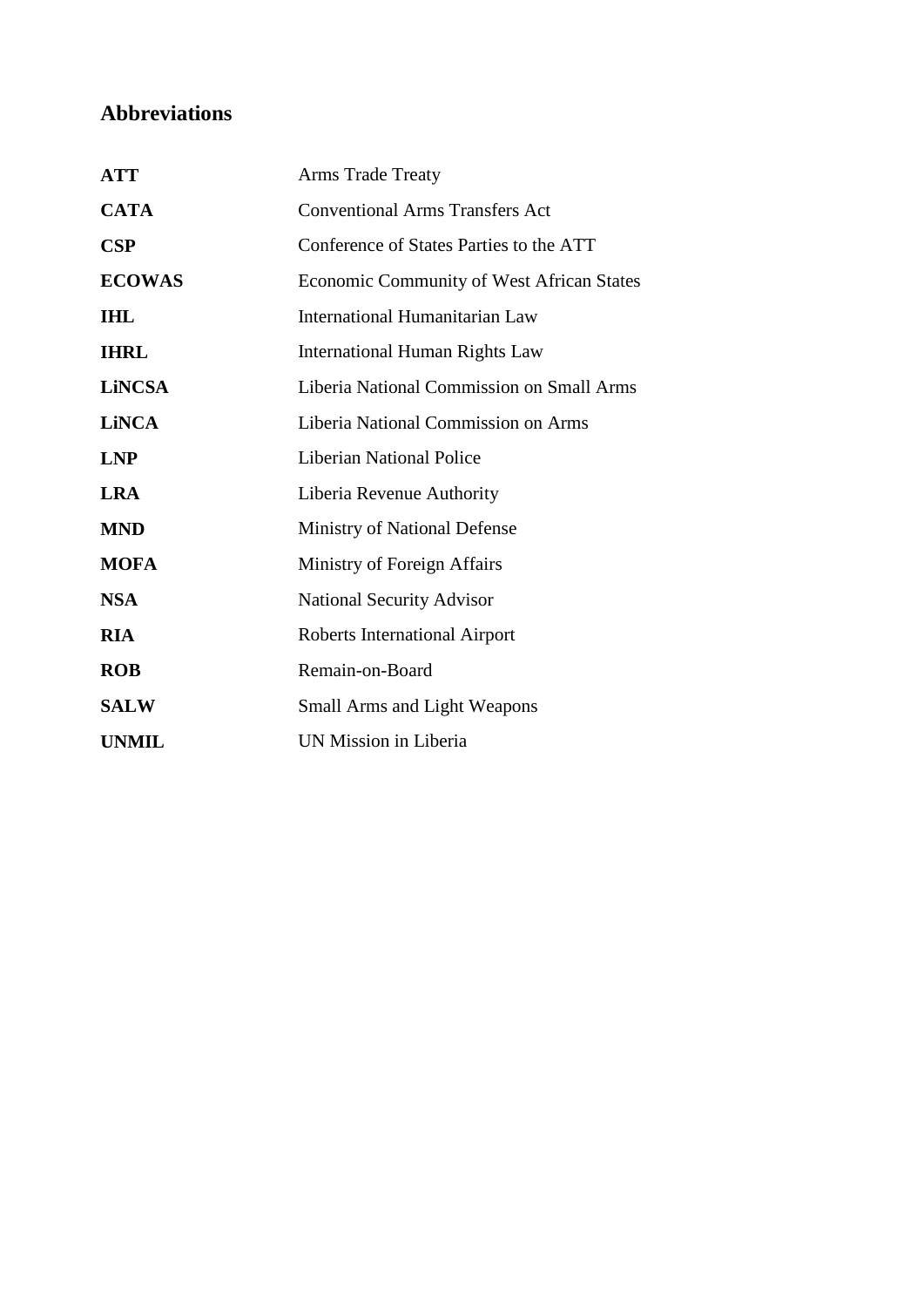# **Abbreviations**

| <b>ATT</b>    | Arms Trade Treaty                                |
|---------------|--------------------------------------------------|
| <b>CATA</b>   | <b>Conventional Arms Transfers Act</b>           |
| CSP           | Conference of States Parties to the ATT          |
| <b>ECOWAS</b> | <b>Economic Community of West African States</b> |
| <b>IHL</b>    | <b>International Humanitarian Law</b>            |
| <b>IHRL</b>   | <b>International Human Rights Law</b>            |
| <b>LINCSA</b> | Liberia National Commission on Small Arms        |
| <b>LiNCA</b>  | Liberia National Commission on Arms              |
| <b>LNP</b>    | Liberian National Police                         |
| <b>LRA</b>    | Liberia Revenue Authority                        |
| <b>MND</b>    | Ministry of National Defense                     |
| <b>MOFA</b>   | Ministry of Foreign Affairs                      |
| <b>NSA</b>    | <b>National Security Advisor</b>                 |
| <b>RIA</b>    | <b>Roberts International Airport</b>             |
| <b>ROB</b>    | Remain-on-Board                                  |
| <b>SALW</b>   | <b>Small Arms and Light Weapons</b>              |
| <b>UNMIL</b>  | UN Mission in Liberia                            |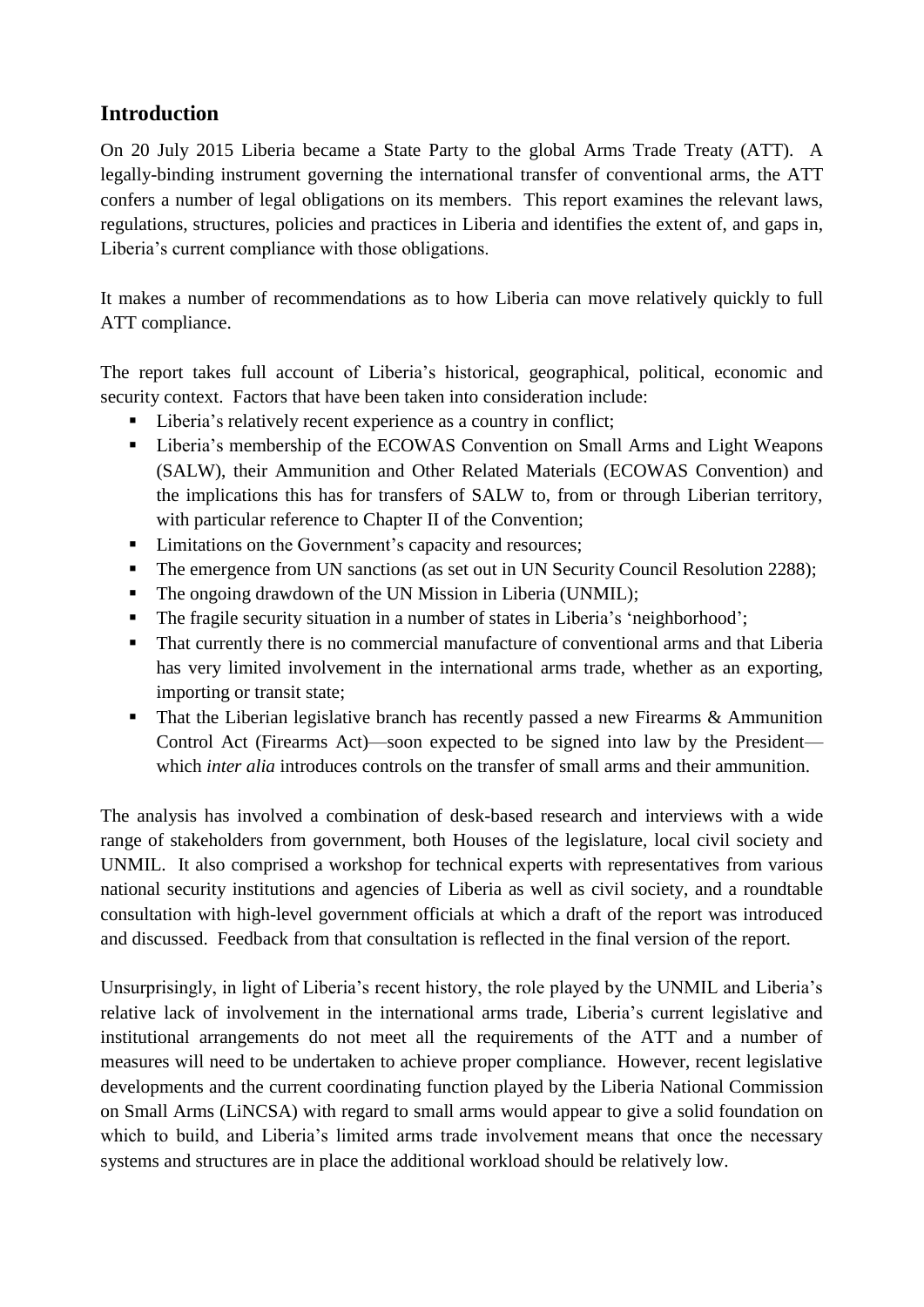# **Introduction**

On 20 July 2015 Liberia became a State Party to the global Arms Trade Treaty (ATT). A legally-binding instrument governing the international transfer of conventional arms, the ATT confers a number of legal obligations on its members. This report examines the relevant laws, regulations, structures, policies and practices in Liberia and identifies the extent of, and gaps in, Liberia's current compliance with those obligations.

It makes a number of recommendations as to how Liberia can move relatively quickly to full ATT compliance.

The report takes full account of Liberia's historical, geographical, political, economic and security context. Factors that have been taken into consideration include:

- Liberia's relatively recent experience as a country in conflict;
- Liberia's membership of the ECOWAS Convention on Small Arms and Light Weapons (SALW), their Ammunition and Other Related Materials (ECOWAS Convention) and the implications this has for transfers of SALW to, from or through Liberian territory, with particular reference to Chapter II of the Convention;
- **EXECUTE:** Limitations on the Government's capacity and resources;
- The emergence from UN sanctions (as set out in UN Security Council Resolution 2288);
- The ongoing drawdown of the UN Mission in Liberia (UNMIL);
- The fragile security situation in a number of states in Liberia's 'neighborhood';
- That currently there is no commercial manufacture of conventional arms and that Liberia has very limited involvement in the international arms trade, whether as an exporting, importing or transit state;
- $\blacksquare$  That the Liberian legislative branch has recently passed a new Firearms & Ammunition Control Act (Firearms Act)—soon expected to be signed into law by the President which *inter alia* introduces controls on the transfer of small arms and their ammunition.

The analysis has involved a combination of desk-based research and interviews with a wide range of stakeholders from government, both Houses of the legislature, local civil society and UNMIL. It also comprised a workshop for technical experts with representatives from various national security institutions and agencies of Liberia as well as civil society, and a roundtable consultation with high-level government officials at which a draft of the report was introduced and discussed. Feedback from that consultation is reflected in the final version of the report.

Unsurprisingly, in light of Liberia's recent history, the role played by the UNMIL and Liberia's relative lack of involvement in the international arms trade, Liberia's current legislative and institutional arrangements do not meet all the requirements of the ATT and a number of measures will need to be undertaken to achieve proper compliance. However, recent legislative developments and the current coordinating function played by the Liberia National Commission on Small Arms (LiNCSA) with regard to small arms would appear to give a solid foundation on which to build, and Liberia's limited arms trade involvement means that once the necessary systems and structures are in place the additional workload should be relatively low.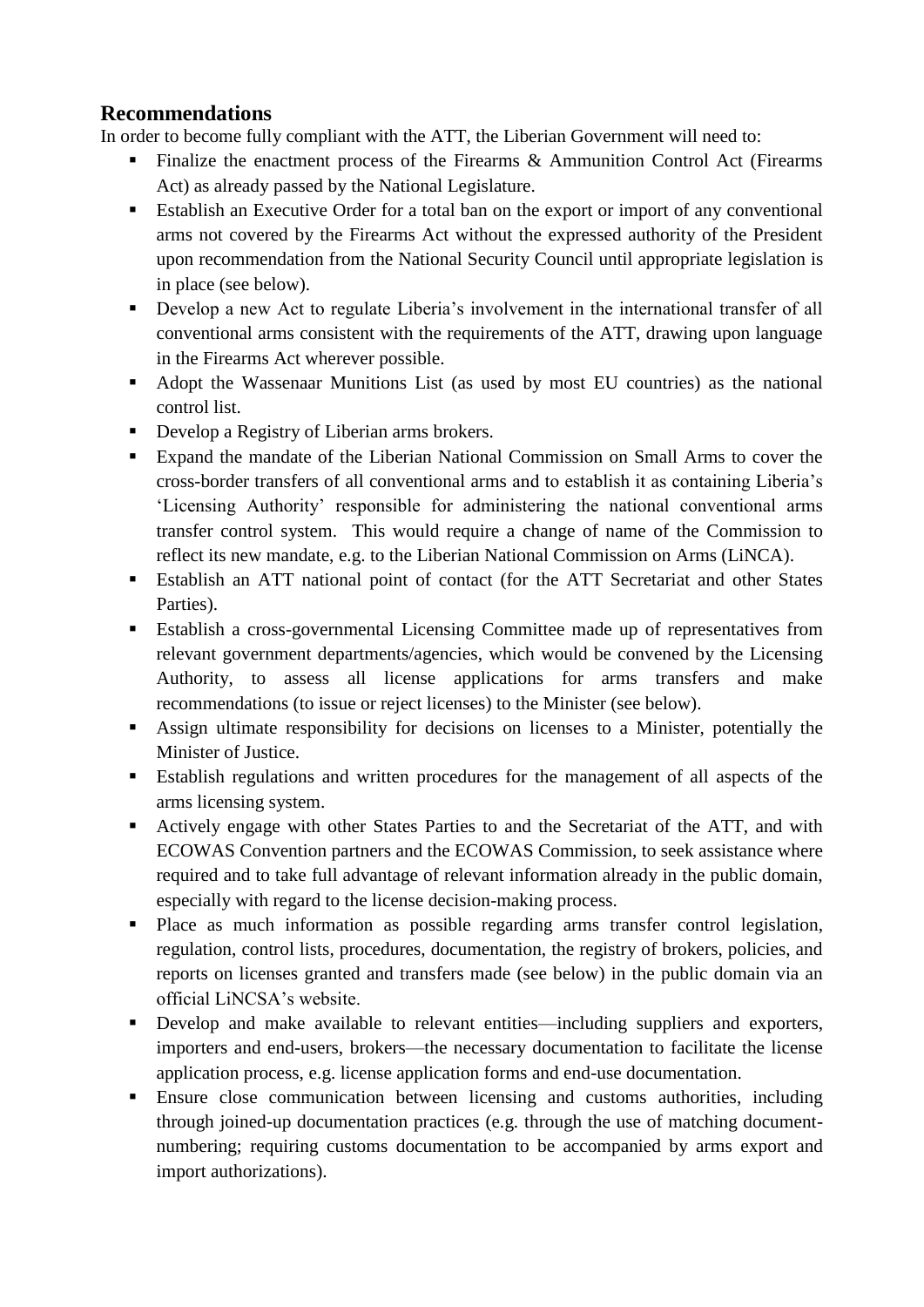### **Recommendations**

In order to become fully compliant with the ATT, the Liberian Government will need to:

- Finalize the enactment process of the Firearms & Ammunition Control Act (Firearms Act) as already passed by the National Legislature.
- Establish an Executive Order for a total ban on the export or import of any conventional arms not covered by the Firearms Act without the expressed authority of the President upon recommendation from the National Security Council until appropriate legislation is in place (see below).
- Develop a new Act to regulate Liberia's involvement in the international transfer of all conventional arms consistent with the requirements of the ATT, drawing upon language in the Firearms Act wherever possible.
- Adopt the Wassenaar Munitions List (as used by most EU countries) as the national control list.
- Develop a Registry of Liberian arms brokers.
- Expand the mandate of the Liberian National Commission on Small Arms to cover the cross-border transfers of all conventional arms and to establish it as containing Liberia's 'Licensing Authority' responsible for administering the national conventional arms transfer control system. This would require a change of name of the Commission to reflect its new mandate, e.g. to the Liberian National Commission on Arms (LiNCA).
- Establish an ATT national point of contact (for the ATT Secretariat and other States Parties).
- Establish a cross-governmental Licensing Committee made up of representatives from relevant government departments/agencies, which would be convened by the Licensing Authority, to assess all license applications for arms transfers and make recommendations (to issue or reject licenses) to the Minister (see below).
- Assign ultimate responsibility for decisions on licenses to a Minister, potentially the Minister of Justice.
- Establish regulations and written procedures for the management of all aspects of the arms licensing system.
- Actively engage with other States Parties to and the Secretariat of the ATT, and with ECOWAS Convention partners and the ECOWAS Commission, to seek assistance where required and to take full advantage of relevant information already in the public domain, especially with regard to the license decision-making process.
- Place as much information as possible regarding arms transfer control legislation, regulation, control lists, procedures, documentation, the registry of brokers, policies, and reports on licenses granted and transfers made (see below) in the public domain via an official LiNCSA's website.
- Develop and make available to relevant entities—including suppliers and exporters, importers and end-users, brokers—the necessary documentation to facilitate the license application process, e.g. license application forms and end-use documentation.
- Ensure close communication between licensing and customs authorities, including through joined-up documentation practices (e.g. through the use of matching documentnumbering; requiring customs documentation to be accompanied by arms export and import authorizations).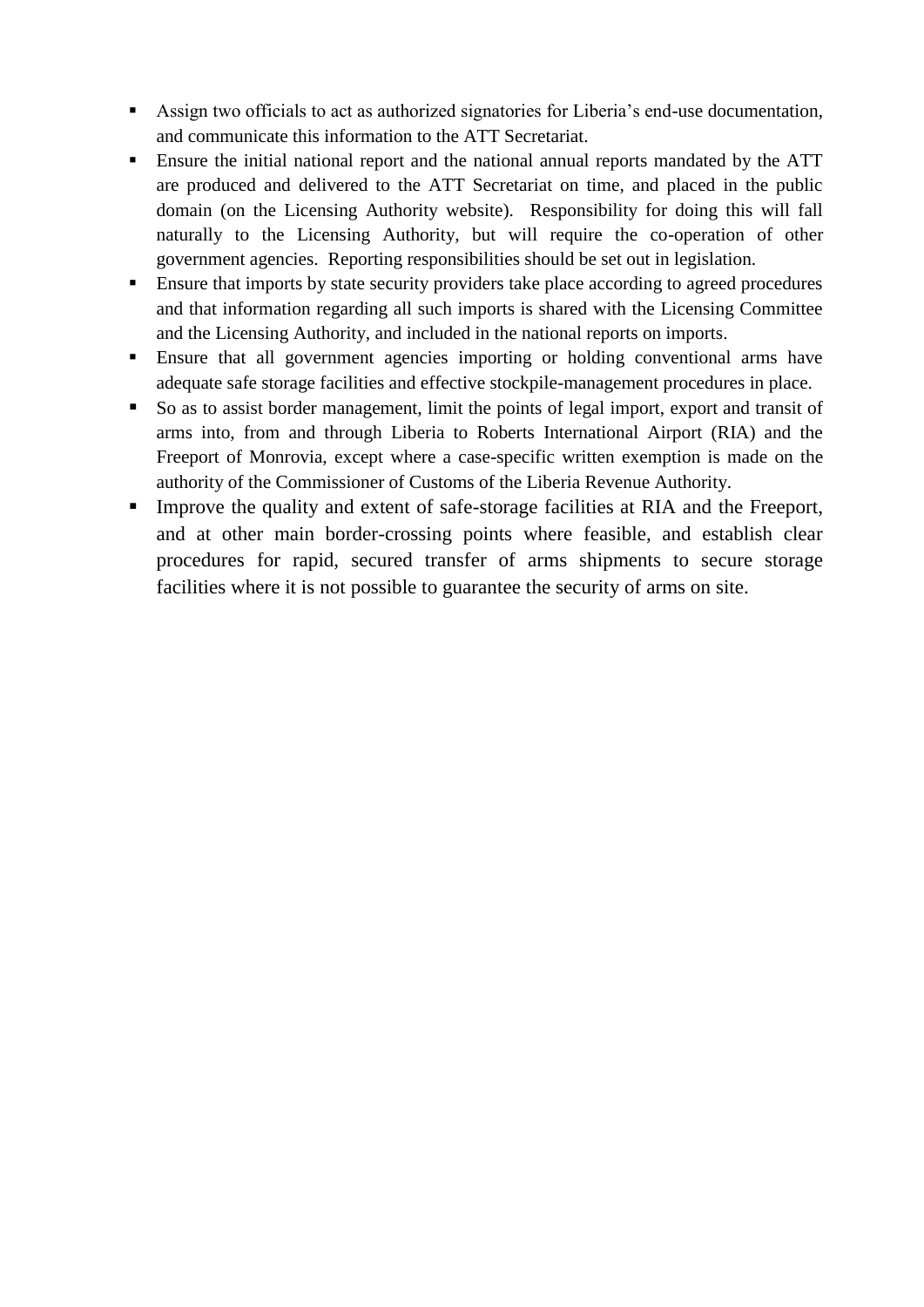- Assign two officials to act as authorized signatories for Liberia's end-use documentation, and communicate this information to the ATT Secretariat.
- Ensure the initial national report and the national annual reports mandated by the ATT are produced and delivered to the ATT Secretariat on time, and placed in the public domain (on the Licensing Authority website). Responsibility for doing this will fall naturally to the Licensing Authority, but will require the co-operation of other government agencies. Reporting responsibilities should be set out in legislation.
- Ensure that imports by state security providers take place according to agreed procedures and that information regarding all such imports is shared with the Licensing Committee and the Licensing Authority, and included in the national reports on imports.
- Ensure that all government agencies importing or holding conventional arms have adequate safe storage facilities and effective stockpile-management procedures in place.
- So as to assist border management, limit the points of legal import, export and transit of arms into, from and through Liberia to Roberts International Airport (RIA) and the Freeport of Monrovia, except where a case-specific written exemption is made on the authority of the Commissioner of Customs of the Liberia Revenue Authority.
- Improve the quality and extent of safe-storage facilities at RIA and the Freeport, and at other main border-crossing points where feasible, and establish clear procedures for rapid, secured transfer of arms shipments to secure storage facilities where it is not possible to guarantee the security of arms on site.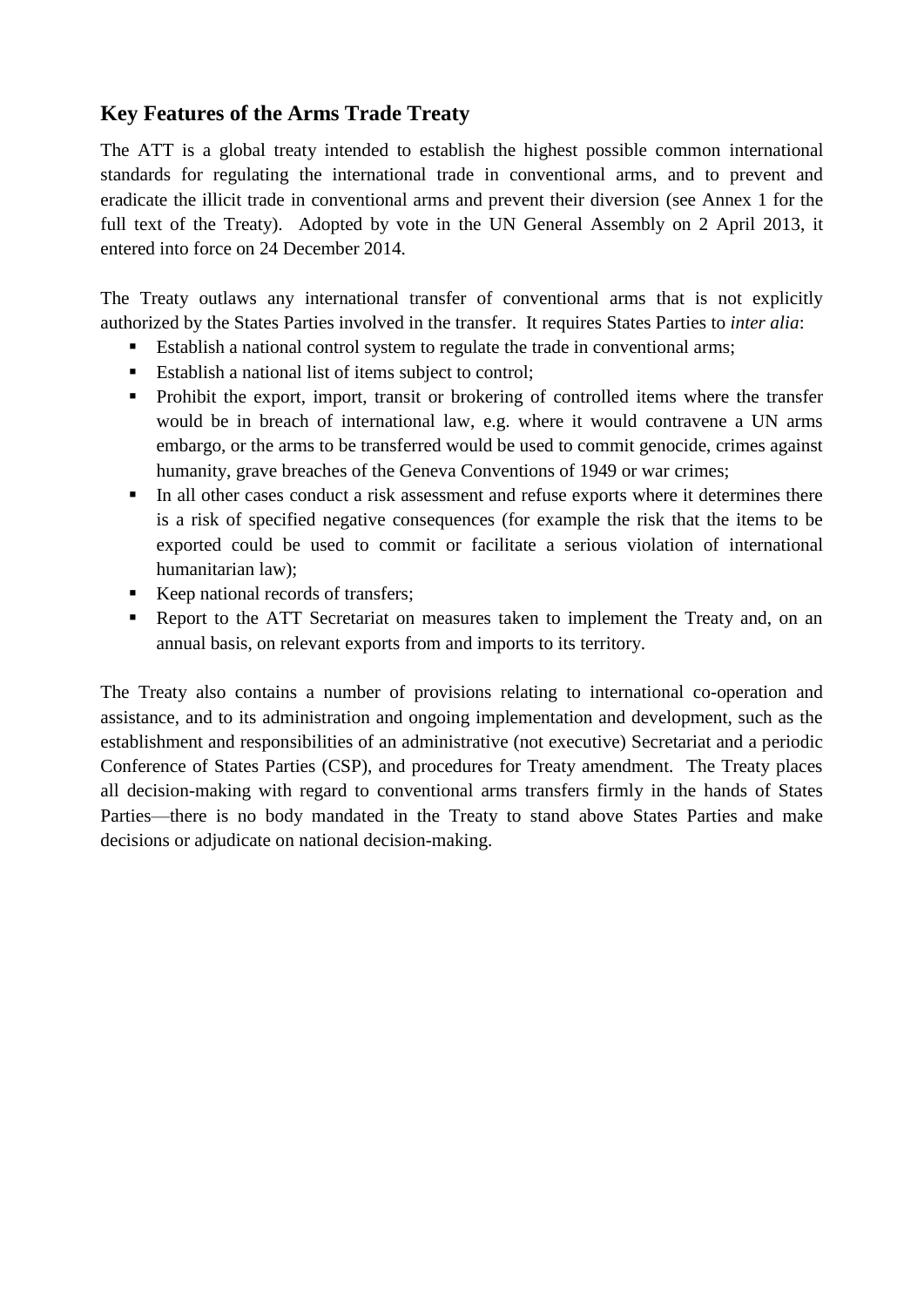# **Key Features of the Arms Trade Treaty**

The ATT is a global treaty intended to establish the highest possible common international standards for regulating the international trade in conventional arms, and to prevent and eradicate the illicit trade in conventional arms and prevent their diversion (see Annex 1 for the full text of the Treaty). Adopted by vote in the UN General Assembly on 2 April 2013, it entered into force on 24 December 2014.

The Treaty outlaws any international transfer of conventional arms that is not explicitly authorized by the States Parties involved in the transfer. It requires States Parties to *inter alia*:

- Establish a national control system to regulate the trade in conventional arms;
- Establish a national list of items subject to control;
- Prohibit the export, import, transit or brokering of controlled items where the transfer would be in breach of international law, e.g. where it would contravene a UN arms embargo, or the arms to be transferred would be used to commit genocide, crimes against humanity, grave breaches of the Geneva Conventions of 1949 or war crimes;
- In all other cases conduct a risk assessment and refuse exports where it determines there is a risk of specified negative consequences (for example the risk that the items to be exported could be used to commit or facilitate a serious violation of international humanitarian law);
- Keep national records of transfers;
- Report to the ATT Secretariat on measures taken to implement the Treaty and, on an annual basis, on relevant exports from and imports to its territory.

The Treaty also contains a number of provisions relating to international co-operation and assistance, and to its administration and ongoing implementation and development, such as the establishment and responsibilities of an administrative (not executive) Secretariat and a periodic Conference of States Parties (CSP), and procedures for Treaty amendment. The Treaty places all decision-making with regard to conventional arms transfers firmly in the hands of States Parties—there is no body mandated in the Treaty to stand above States Parties and make decisions or adjudicate on national decision-making.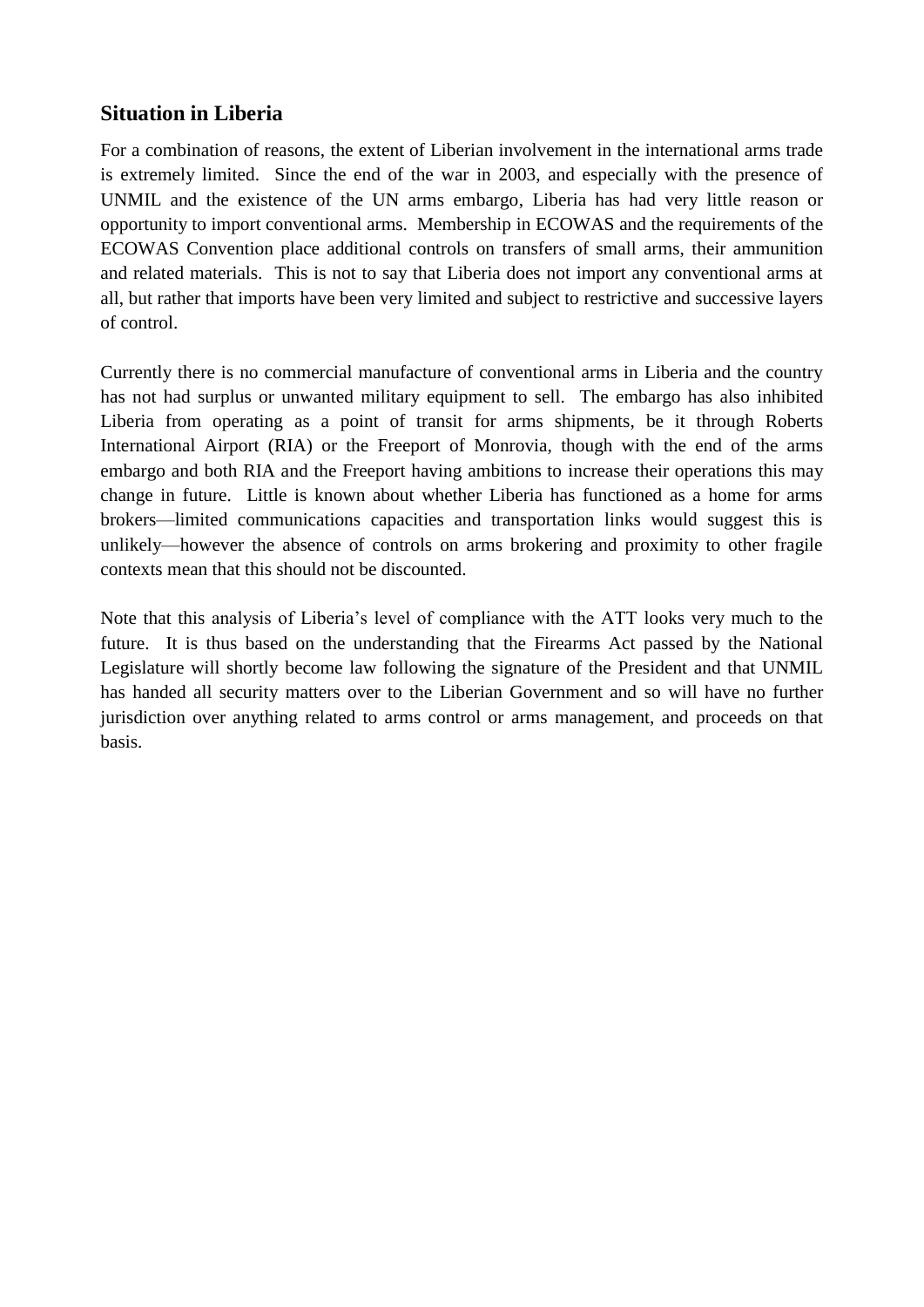### **Situation in Liberia**

For a combination of reasons, the extent of Liberian involvement in the international arms trade is extremely limited. Since the end of the war in 2003, and especially with the presence of UNMIL and the existence of the UN arms embargo, Liberia has had very little reason or opportunity to import conventional arms. Membership in ECOWAS and the requirements of the ECOWAS Convention place additional controls on transfers of small arms, their ammunition and related materials. This is not to say that Liberia does not import any conventional arms at all, but rather that imports have been very limited and subject to restrictive and successive layers of control.

Currently there is no commercial manufacture of conventional arms in Liberia and the country has not had surplus or unwanted military equipment to sell. The embargo has also inhibited Liberia from operating as a point of transit for arms shipments, be it through Roberts International Airport (RIA) or the Freeport of Monrovia, though with the end of the arms embargo and both RIA and the Freeport having ambitions to increase their operations this may change in future. Little is known about whether Liberia has functioned as a home for arms brokers—limited communications capacities and transportation links would suggest this is unlikely—however the absence of controls on arms brokering and proximity to other fragile contexts mean that this should not be discounted.

Note that this analysis of Liberia's level of compliance with the ATT looks very much to the future. It is thus based on the understanding that the Firearms Act passed by the National Legislature will shortly become law following the signature of the President and that UNMIL has handed all security matters over to the Liberian Government and so will have no further jurisdiction over anything related to arms control or arms management, and proceeds on that basis.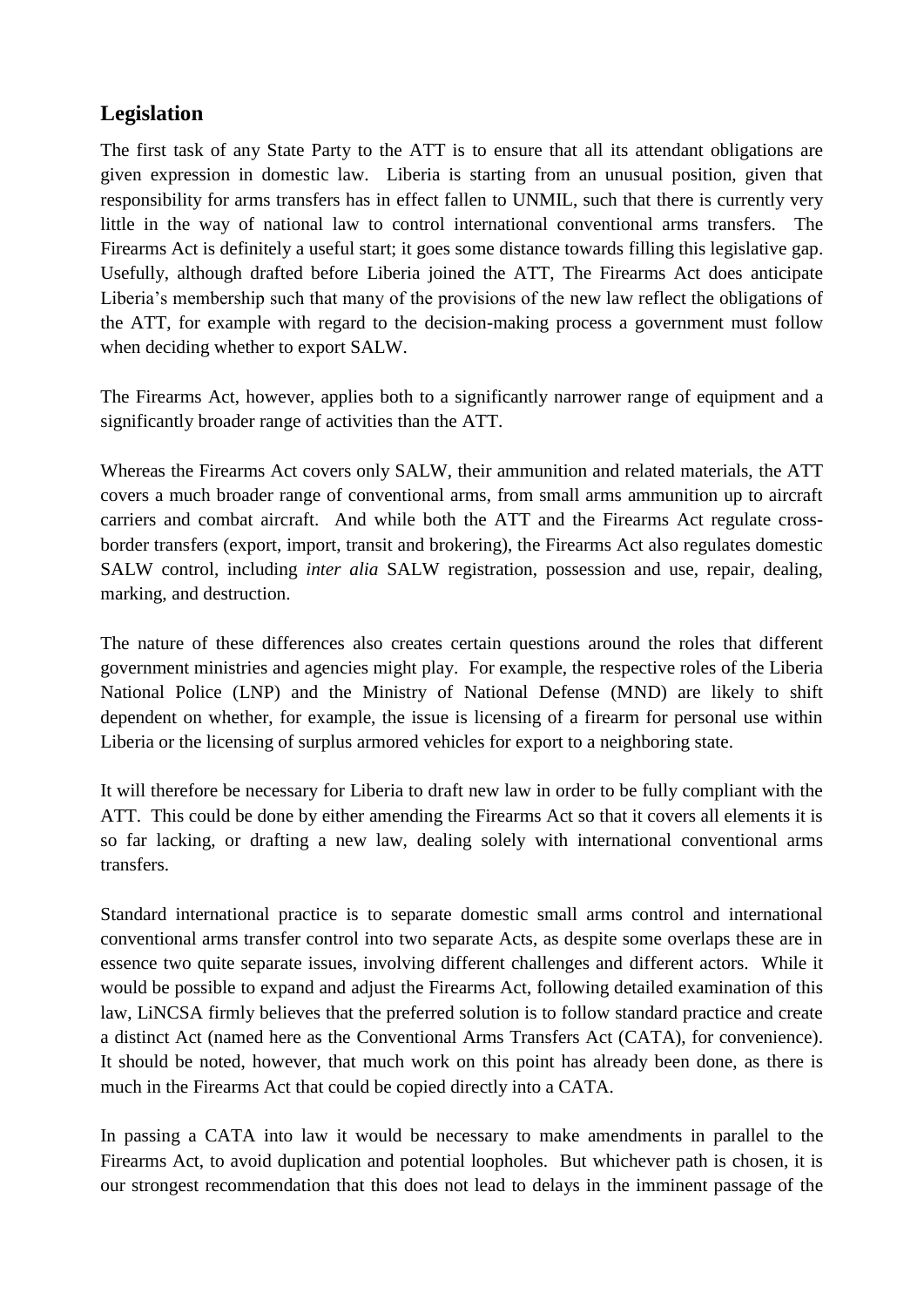# **Legislation**

The first task of any State Party to the ATT is to ensure that all its attendant obligations are given expression in domestic law. Liberia is starting from an unusual position, given that responsibility for arms transfers has in effect fallen to UNMIL, such that there is currently very little in the way of national law to control international conventional arms transfers. The Firearms Act is definitely a useful start; it goes some distance towards filling this legislative gap. Usefully, although drafted before Liberia joined the ATT, The Firearms Act does anticipate Liberia's membership such that many of the provisions of the new law reflect the obligations of the ATT, for example with regard to the decision-making process a government must follow when deciding whether to export SALW.

The Firearms Act, however, applies both to a significantly narrower range of equipment and a significantly broader range of activities than the ATT.

Whereas the Firearms Act covers only SALW, their ammunition and related materials, the ATT covers a much broader range of conventional arms, from small arms ammunition up to aircraft carriers and combat aircraft. And while both the ATT and the Firearms Act regulate crossborder transfers (export, import, transit and brokering), the Firearms Act also regulates domestic SALW control, including *inter alia* SALW registration, possession and use, repair, dealing, marking, and destruction.

The nature of these differences also creates certain questions around the roles that different government ministries and agencies might play. For example, the respective roles of the Liberia National Police (LNP) and the Ministry of National Defense (MND) are likely to shift dependent on whether, for example, the issue is licensing of a firearm for personal use within Liberia or the licensing of surplus armored vehicles for export to a neighboring state.

It will therefore be necessary for Liberia to draft new law in order to be fully compliant with the ATT. This could be done by either amending the Firearms Act so that it covers all elements it is so far lacking, or drafting a new law, dealing solely with international conventional arms transfers.

Standard international practice is to separate domestic small arms control and international conventional arms transfer control into two separate Acts, as despite some overlaps these are in essence two quite separate issues, involving different challenges and different actors. While it would be possible to expand and adjust the Firearms Act, following detailed examination of this law, LiNCSA firmly believes that the preferred solution is to follow standard practice and create a distinct Act (named here as the Conventional Arms Transfers Act (CATA), for convenience). It should be noted, however, that much work on this point has already been done, as there is much in the Firearms Act that could be copied directly into a CATA.

In passing a CATA into law it would be necessary to make amendments in parallel to the Firearms Act, to avoid duplication and potential loopholes. But whichever path is chosen, it is our strongest recommendation that this does not lead to delays in the imminent passage of the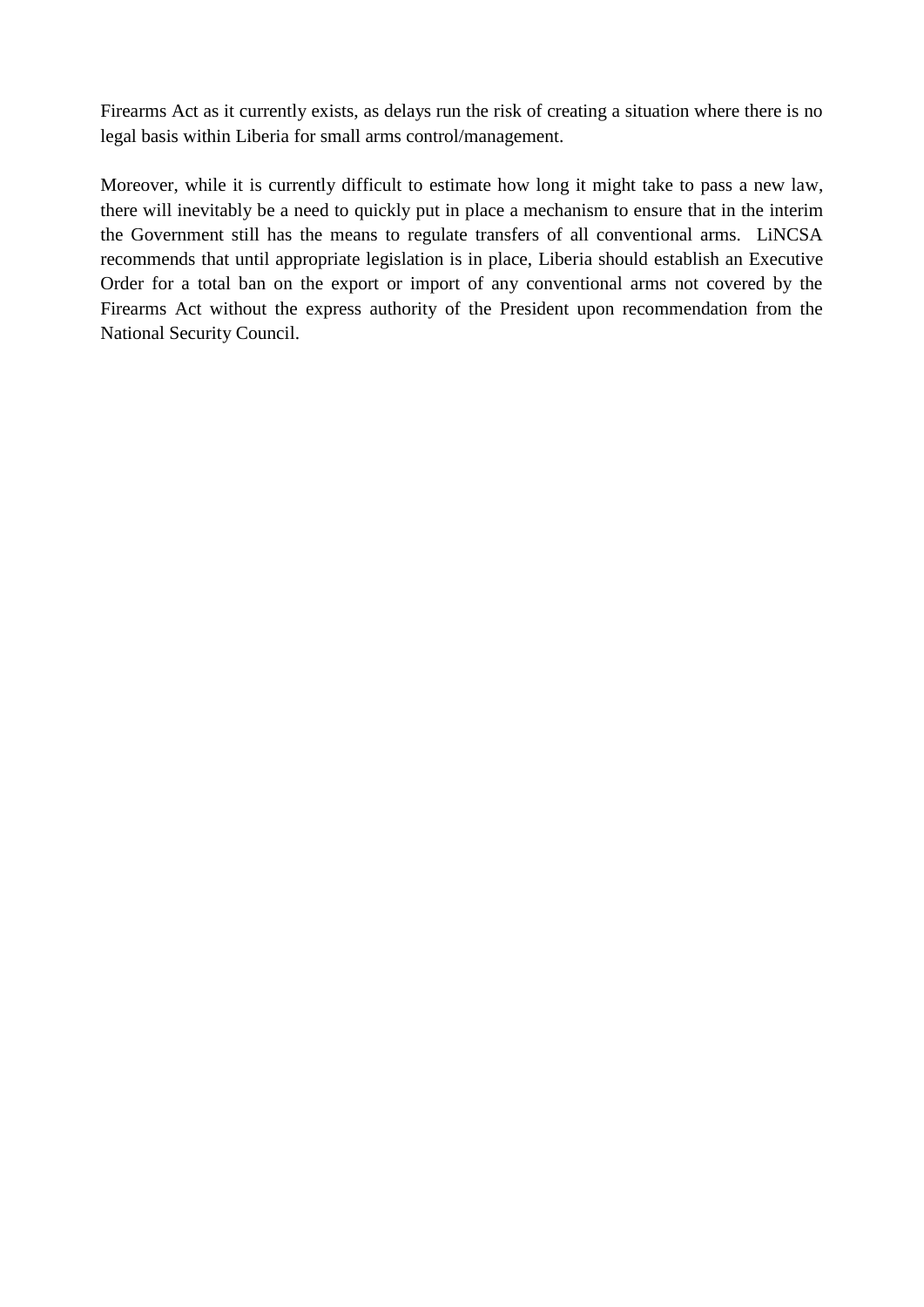Firearms Act as it currently exists, as delays run the risk of creating a situation where there is no legal basis within Liberia for small arms control/management.

Moreover, while it is currently difficult to estimate how long it might take to pass a new law, there will inevitably be a need to quickly put in place a mechanism to ensure that in the interim the Government still has the means to regulate transfers of all conventional arms. LiNCSA recommends that until appropriate legislation is in place, Liberia should establish an Executive Order for a total ban on the export or import of any conventional arms not covered by the Firearms Act without the express authority of the President upon recommendation from the National Security Council.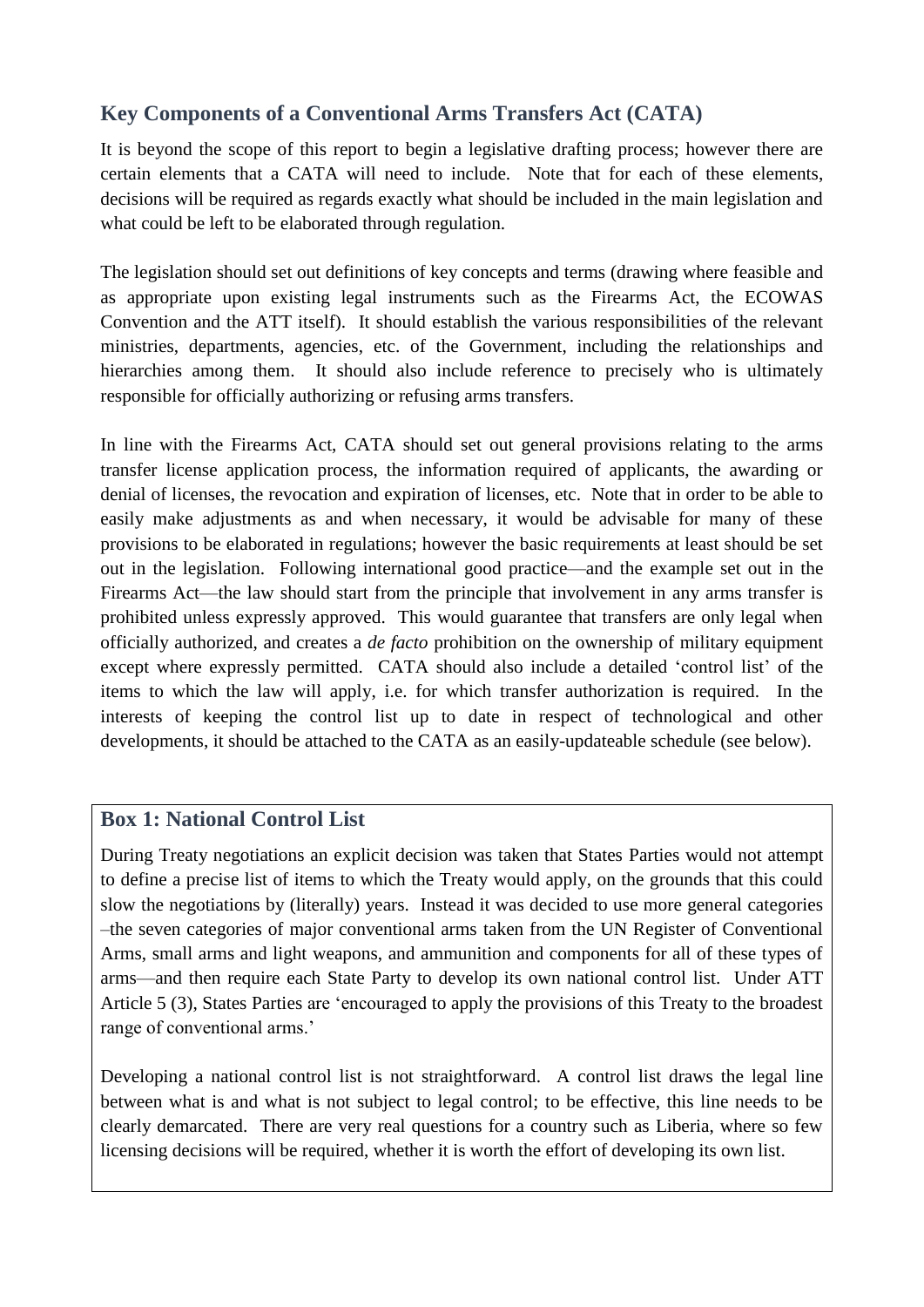# **Key Components of a Conventional Arms Transfers Act (CATA)**

It is beyond the scope of this report to begin a legislative drafting process; however there are certain elements that a CATA will need to include. Note that for each of these elements, decisions will be required as regards exactly what should be included in the main legislation and what could be left to be elaborated through regulation.

The legislation should set out definitions of key concepts and terms (drawing where feasible and as appropriate upon existing legal instruments such as the Firearms Act, the ECOWAS Convention and the ATT itself). It should establish the various responsibilities of the relevant ministries, departments, agencies, etc. of the Government, including the relationships and hierarchies among them. It should also include reference to precisely who is ultimately responsible for officially authorizing or refusing arms transfers.

In line with the Firearms Act, CATA should set out general provisions relating to the arms transfer license application process, the information required of applicants, the awarding or denial of licenses, the revocation and expiration of licenses, etc. Note that in order to be able to easily make adjustments as and when necessary, it would be advisable for many of these provisions to be elaborated in regulations; however the basic requirements at least should be set out in the legislation. Following international good practice—and the example set out in the Firearms Act—the law should start from the principle that involvement in any arms transfer is prohibited unless expressly approved. This would guarantee that transfers are only legal when officially authorized, and creates a *de facto* prohibition on the ownership of military equipment except where expressly permitted. CATA should also include a detailed 'control list' of the items to which the law will apply, i.e. for which transfer authorization is required. In the interests of keeping the control list up to date in respect of technological and other developments, it should be attached to the CATA as an easily-updateable schedule (see below).

### **Box 1: National Control List**

During Treaty negotiations an explicit decision was taken that States Parties would not attempt to define a precise list of items to which the Treaty would apply, on the grounds that this could slow the negotiations by (literally) years. Instead it was decided to use more general categories –the seven categories of major conventional arms taken from the UN Register of Conventional Arms, small arms and light weapons, and ammunition and components for all of these types of arms—and then require each State Party to develop its own national control list. Under ATT Article 5 (3), States Parties are 'encouraged to apply the provisions of this Treaty to the broadest range of conventional arms.'

Developing a national control list is not straightforward. A control list draws the legal line between what is and what is not subject to legal control; to be effective, this line needs to be clearly demarcated. There are very real questions for a country such as Liberia, where so few licensing decisions will be required, whether it is worth the effort of developing its own list.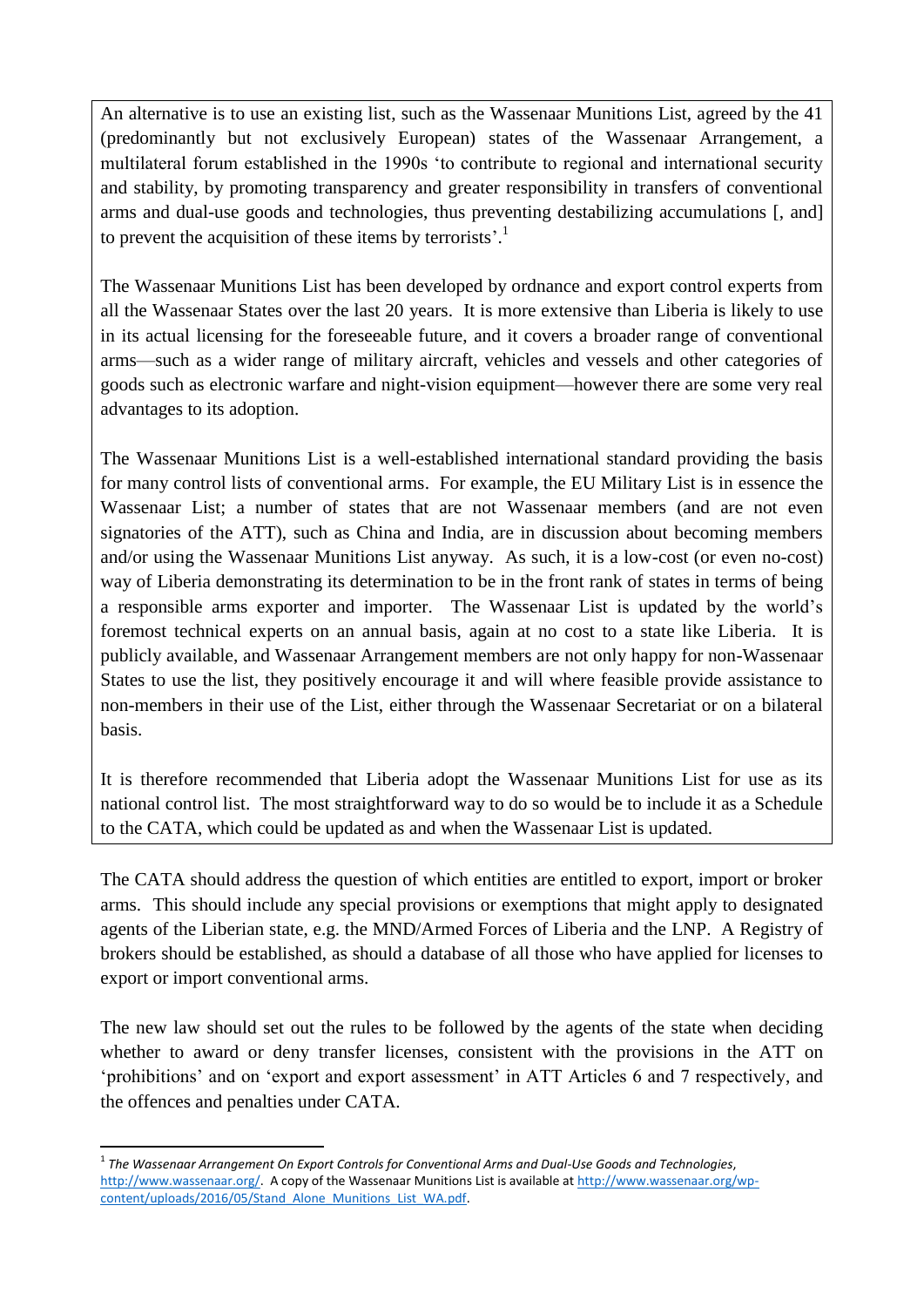An alternative is to use an existing list, such as the Wassenaar Munitions List, agreed by the 41 (predominantly but not exclusively European) states of the Wassenaar Arrangement, a multilateral forum established in the 1990s 'to contribute to regional and international security and stability, by promoting transparency and greater responsibility in transfers of conventional arms and dual-use goods and technologies, thus preventing destabilizing accumulations [, and] to prevent the acquisition of these items by terrorists'.<sup>1</sup>

The Wassenaar Munitions List has been developed by ordnance and export control experts from all the Wassenaar States over the last 20 years. It is more extensive than Liberia is likely to use in its actual licensing for the foreseeable future, and it covers a broader range of conventional arms—such as a wider range of military aircraft, vehicles and vessels and other categories of goods such as electronic warfare and night-vision equipment—however there are some very real advantages to its adoption.

The Wassenaar Munitions List is a well-established international standard providing the basis for many control lists of conventional arms. For example, the EU Military List is in essence the Wassenaar List; a number of states that are not Wassenaar members (and are not even signatories of the ATT), such as China and India, are in discussion about becoming members and/or using the Wassenaar Munitions List anyway. As such, it is a low-cost (or even no-cost) way of Liberia demonstrating its determination to be in the front rank of states in terms of being a responsible arms exporter and importer. The Wassenaar List is updated by the world's foremost technical experts on an annual basis, again at no cost to a state like Liberia. It is publicly available, and Wassenaar Arrangement members are not only happy for non-Wassenaar States to use the list, they positively encourage it and will where feasible provide assistance to non-members in their use of the List, either through the Wassenaar Secretariat or on a bilateral basis.

It is therefore recommended that Liberia adopt the Wassenaar Munitions List for use as its national control list. The most straightforward way to do so would be to include it as a Schedule to the CATA, which could be updated as and when the Wassenaar List is updated.

The CATA should address the question of which entities are entitled to export, import or broker arms. This should include any special provisions or exemptions that might apply to designated agents of the Liberian state, e.g. the MND/Armed Forces of Liberia and the LNP. A Registry of brokers should be established, as should a database of all those who have applied for licenses to export or import conventional arms.

The new law should set out the rules to be followed by the agents of the state when deciding whether to award or deny transfer licenses, consistent with the provisions in the ATT on 'prohibitions' and on 'export and export assessment' in ATT Articles 6 and 7 respectively, and the offences and penalties under CATA.

**.** 

<sup>1</sup> *The Wassenaar Arrangement On Export Controls for Conventional Arms and Dual-Use Goods and Technologies*, [http://www.wassenaar.org/.](http://www.wassenaar.org/) A copy of the Wassenaar Munitions List is available a[t http://www.wassenaar.org/wp](http://www.wassenaar.org/wp-content/uploads/2016/05/Stand_Alone_Munitions_List_WA.pdf)[content/uploads/2016/05/Stand\\_Alone\\_Munitions\\_List\\_WA.pdf.](http://www.wassenaar.org/wp-content/uploads/2016/05/Stand_Alone_Munitions_List_WA.pdf)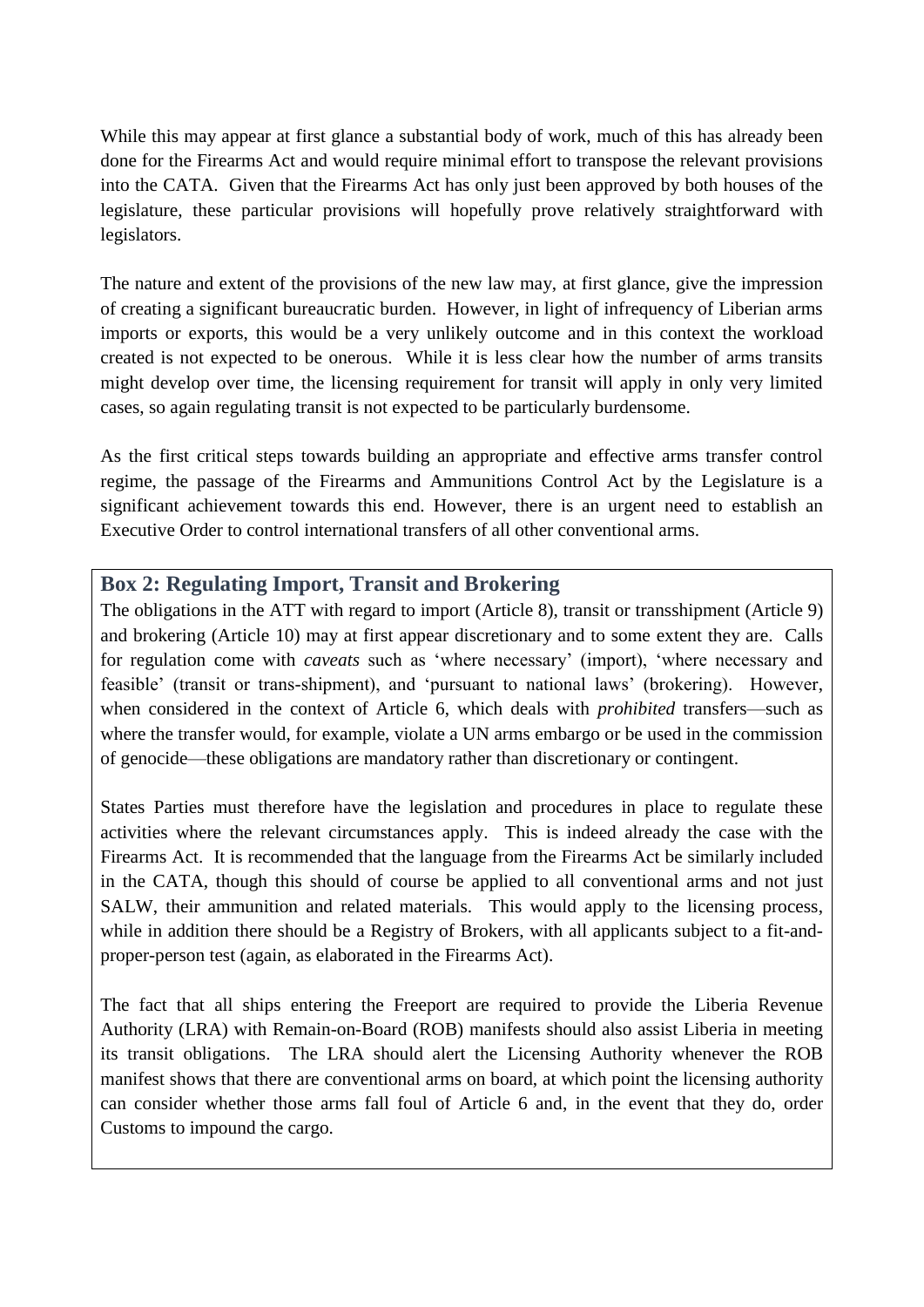While this may appear at first glance a substantial body of work, much of this has already been done for the Firearms Act and would require minimal effort to transpose the relevant provisions into the CATA. Given that the Firearms Act has only just been approved by both houses of the legislature, these particular provisions will hopefully prove relatively straightforward with legislators.

The nature and extent of the provisions of the new law may, at first glance, give the impression of creating a significant bureaucratic burden. However, in light of infrequency of Liberian arms imports or exports, this would be a very unlikely outcome and in this context the workload created is not expected to be onerous. While it is less clear how the number of arms transits might develop over time, the licensing requirement for transit will apply in only very limited cases, so again regulating transit is not expected to be particularly burdensome.

As the first critical steps towards building an appropriate and effective arms transfer control regime, the passage of the Firearms and Ammunitions Control Act by the Legislature is a significant achievement towards this end. However, there is an urgent need to establish an Executive Order to control international transfers of all other conventional arms.

### **Box 2: Regulating Import, Transit and Brokering**

The obligations in the ATT with regard to import (Article 8), transit or transshipment (Article 9) and brokering (Article 10) may at first appear discretionary and to some extent they are. Calls for regulation come with *caveats* such as 'where necessary' (import), 'where necessary and feasible' (transit or trans-shipment), and 'pursuant to national laws' (brokering). However, when considered in the context of Article 6, which deals with *prohibited* transfers—such as where the transfer would, for example, violate a UN arms embargo or be used in the commission of genocide—these obligations are mandatory rather than discretionary or contingent.

States Parties must therefore have the legislation and procedures in place to regulate these activities where the relevant circumstances apply. This is indeed already the case with the Firearms Act. It is recommended that the language from the Firearms Act be similarly included in the CATA, though this should of course be applied to all conventional arms and not just SALW, their ammunition and related materials. This would apply to the licensing process, while in addition there should be a Registry of Brokers, with all applicants subject to a fit-andproper-person test (again, as elaborated in the Firearms Act).

The fact that all ships entering the Freeport are required to provide the Liberia Revenue Authority (LRA) with Remain-on-Board (ROB) manifests should also assist Liberia in meeting its transit obligations. The LRA should alert the Licensing Authority whenever the ROB manifest shows that there are conventional arms on board, at which point the licensing authority can consider whether those arms fall foul of Article 6 and, in the event that they do, order Customs to impound the cargo.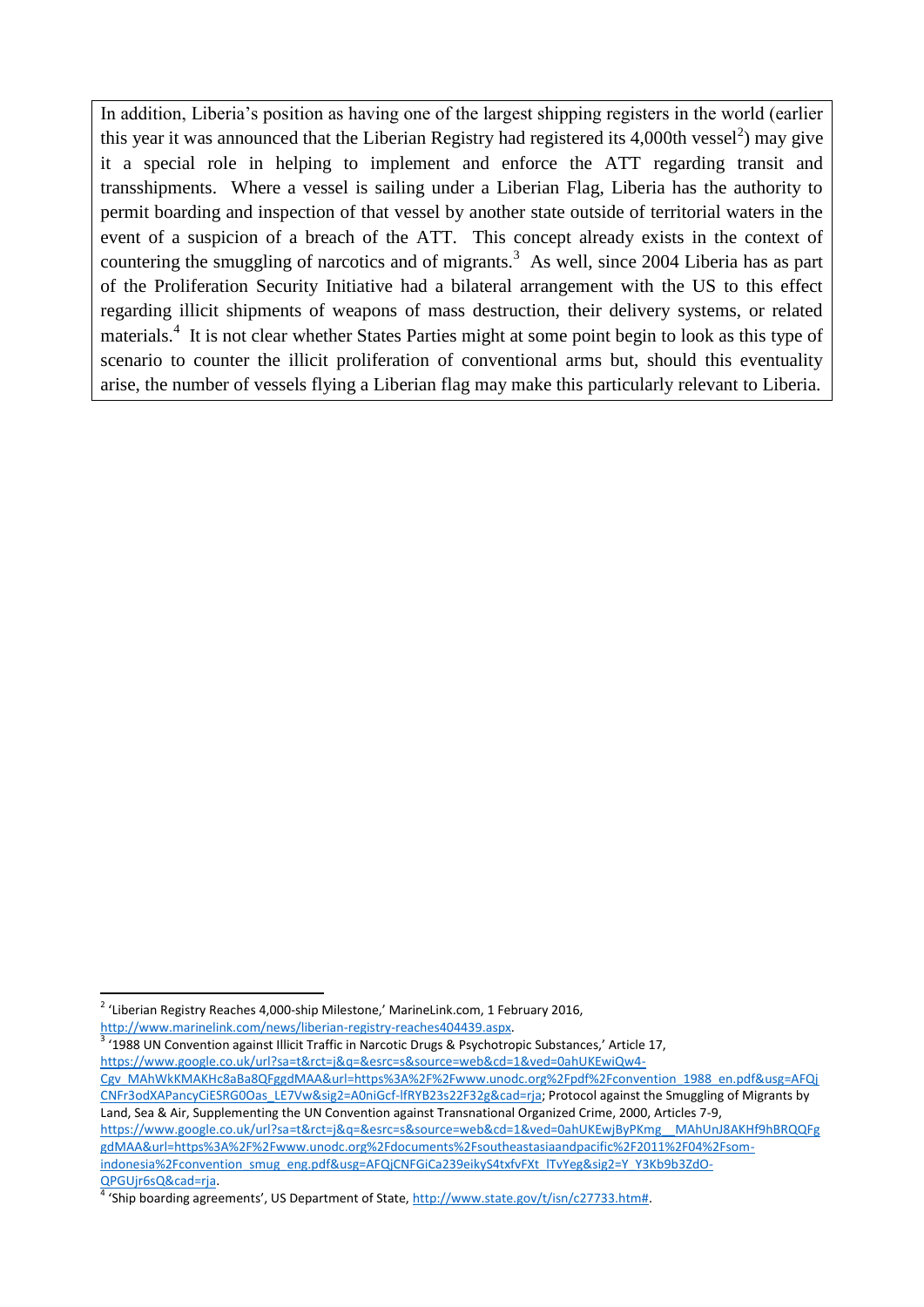In addition, Liberia's position as having one of the largest shipping registers in the world (earlier this year it was announced that the Liberian Registry had registered its 4,000th vessel<sup>2</sup>) may give it a special role in helping to implement and enforce the ATT regarding transit and transshipments. Where a vessel is sailing under a Liberian Flag, Liberia has the authority to permit boarding and inspection of that vessel by another state outside of territorial waters in the event of a suspicion of a breach of the ATT. This concept already exists in the context of countering the smuggling of narcotics and of migrants.<sup>3</sup> As well, since 2004 Liberia has as part of the Proliferation Security Initiative had a bilateral arrangement with the US to this effect regarding illicit shipments of weapons of mass destruction, their delivery systems, or related materials.<sup>4</sup> It is not clear whether States Parties might at some point begin to look as this type of scenario to counter the illicit proliferation of conventional arms but, should this eventuality arise, the number of vessels flying a Liberian flag may make this particularly relevant to Liberia.

**.** 

<sup>&</sup>lt;sup>2</sup> 'Liberian Registry Reaches 4,000-ship Milestone,' MarineLink.com, 1 February 2016, [http://www.marinelink.com/news/liberian-registry-reaches404439.aspx.](http://www.marinelink.com/news/liberian-registry-reaches404439.aspx)

<sup>&</sup>lt;sup>3</sup> '1988 UN Convention against Illicit Traffic in Narcotic Drugs & Psychotropic Substances,' Article 17, [https://www.google.co.uk/url?sa=t&rct=j&q=&esrc=s&source=web&cd=1&ved=0ahUKEwiQw4-](https://www.google.co.uk/url?sa=t&rct=j&q=&esrc=s&source=web&cd=1&ved=0ahUKEwiQw4-Cgv_MAhWkKMAKHc8aBa8QFggdMAA&url=https%3A%2F%2Fwww.unodc.org%2Fpdf%2Fconvention_1988_en.pdf&usg=AFQjCNFr3odXAPancyCiESRG0Oas_LE7Vw&sig2=A0niGcf-lfRYB23s22F32g&cad=rja) [Cgv\\_MAhWkKMAKHc8aBa8QFggdMAA&url=https%3A%2F%2Fwww.unodc.org%2Fpdf%2Fconvention\\_1988\\_en.pdf&usg=AFQj](https://www.google.co.uk/url?sa=t&rct=j&q=&esrc=s&source=web&cd=1&ved=0ahUKEwiQw4-Cgv_MAhWkKMAKHc8aBa8QFggdMAA&url=https%3A%2F%2Fwww.unodc.org%2Fpdf%2Fconvention_1988_en.pdf&usg=AFQjCNFr3odXAPancyCiESRG0Oas_LE7Vw&sig2=A0niGcf-lfRYB23s22F32g&cad=rja) [CNFr3odXAPancyCiESRG0Oas\\_LE7Vw&sig2=A0niGcf-lfRYB23s22F32g&cad=rja;](https://www.google.co.uk/url?sa=t&rct=j&q=&esrc=s&source=web&cd=1&ved=0ahUKEwiQw4-Cgv_MAhWkKMAKHc8aBa8QFggdMAA&url=https%3A%2F%2Fwww.unodc.org%2Fpdf%2Fconvention_1988_en.pdf&usg=AFQjCNFr3odXAPancyCiESRG0Oas_LE7Vw&sig2=A0niGcf-lfRYB23s22F32g&cad=rja) Protocol against the Smuggling of Migrants by Land, Sea & Air, Supplementing the UN Convention against Transnational Organized Crime, 2000, Articles 7-9, [https://www.google.co.uk/url?sa=t&rct=j&q=&esrc=s&source=web&cd=1&ved=0ahUKEwjByPKmg\\_\\_MAhUnJ8AKHf9hBRQQFg](https://www.google.co.uk/url?sa=t&rct=j&q=&esrc=s&source=web&cd=1&ved=0ahUKEwjByPKmg__MAhUnJ8AKHf9hBRQQFggdMAA&url=https%3A%2F%2Fwww.unodc.org%2Fdocuments%2Fsoutheastasiaandpacific%2F2011%2F04%2Fsom-indonesia%2Fconvention_smug_eng.pdf&usg=AFQjCNFGiCa239eikyS4txfvFXt_lTvYeg&sig2=Y_Y3Kb9b3ZdO-QPGUjr6sQ&cad=rja) [gdMAA&url=https%3A%2F%2Fwww.unodc.org%2Fdocuments%2Fsoutheastasiaandpacific%2F2011%2F04%2Fsom-](https://www.google.co.uk/url?sa=t&rct=j&q=&esrc=s&source=web&cd=1&ved=0ahUKEwjByPKmg__MAhUnJ8AKHf9hBRQQFggdMAA&url=https%3A%2F%2Fwww.unodc.org%2Fdocuments%2Fsoutheastasiaandpacific%2F2011%2F04%2Fsom-indonesia%2Fconvention_smug_eng.pdf&usg=AFQjCNFGiCa239eikyS4txfvFXt_lTvYeg&sig2=Y_Y3Kb9b3ZdO-QPGUjr6sQ&cad=rja)

[indonesia%2Fconvention\\_smug\\_eng.pdf&usg=AFQjCNFGiCa239eikyS4txfvFXt\\_lTvYeg&sig2=Y\\_Y3Kb9b3ZdO-](https://www.google.co.uk/url?sa=t&rct=j&q=&esrc=s&source=web&cd=1&ved=0ahUKEwjByPKmg__MAhUnJ8AKHf9hBRQQFggdMAA&url=https%3A%2F%2Fwww.unodc.org%2Fdocuments%2Fsoutheastasiaandpacific%2F2011%2F04%2Fsom-indonesia%2Fconvention_smug_eng.pdf&usg=AFQjCNFGiCa239eikyS4txfvFXt_lTvYeg&sig2=Y_Y3Kb9b3ZdO-QPGUjr6sQ&cad=rja)[QPGUjr6sQ&cad=rja.](https://www.google.co.uk/url?sa=t&rct=j&q=&esrc=s&source=web&cd=1&ved=0ahUKEwjByPKmg__MAhUnJ8AKHf9hBRQQFggdMAA&url=https%3A%2F%2Fwww.unodc.org%2Fdocuments%2Fsoutheastasiaandpacific%2F2011%2F04%2Fsom-indonesia%2Fconvention_smug_eng.pdf&usg=AFQjCNFGiCa239eikyS4txfvFXt_lTvYeg&sig2=Y_Y3Kb9b3ZdO-QPGUjr6sQ&cad=rja)

<sup>4</sup> 'Ship boarding agreements', US Department of State, [http://www.state.gov/t/isn/c27733.htm#.](http://www.state.gov/t/isn/c27733.htm)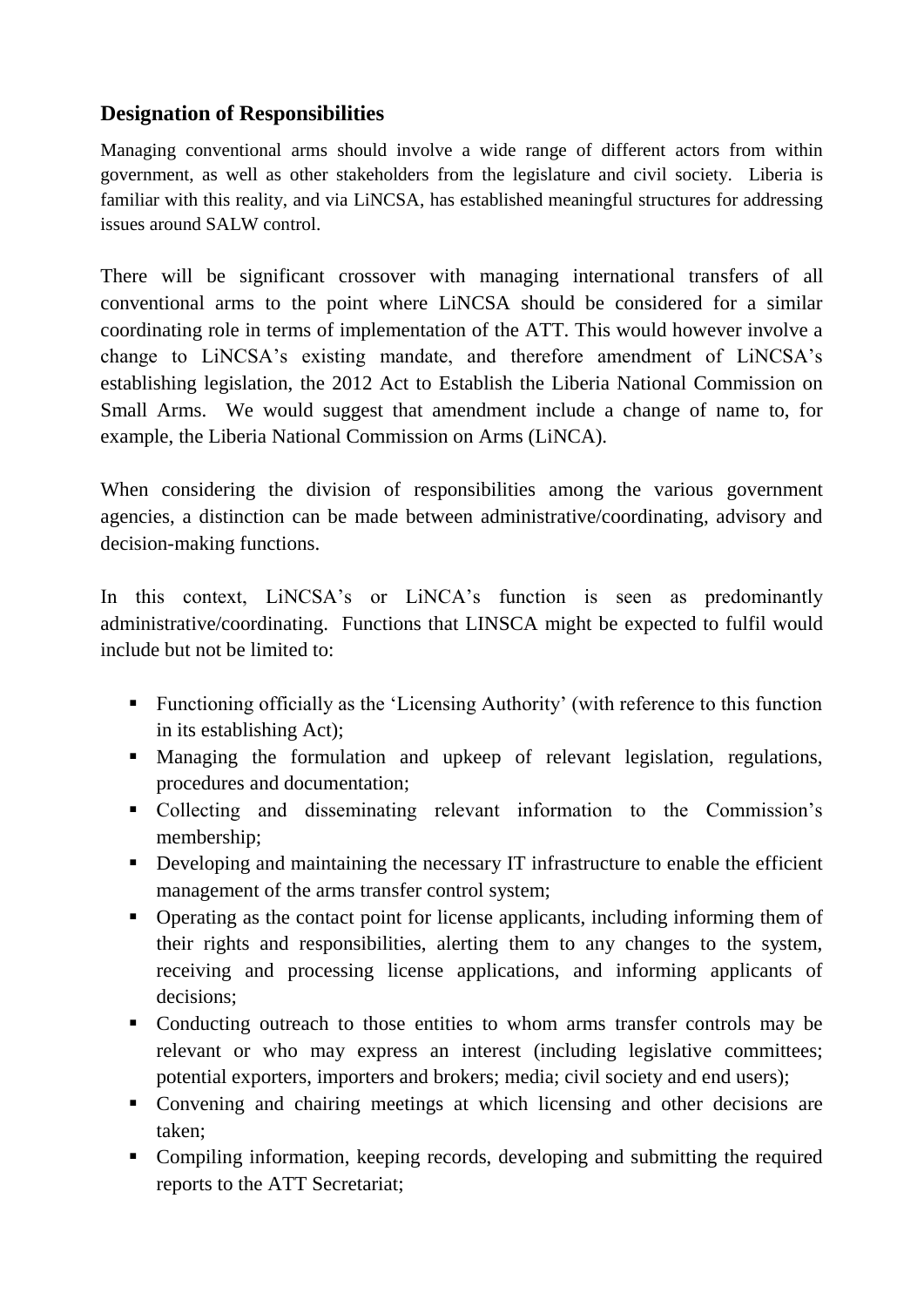# **Designation of Responsibilities**

Managing conventional arms should involve a wide range of different actors from within government, as well as other stakeholders from the legislature and civil society. Liberia is familiar with this reality, and via LiNCSA, has established meaningful structures for addressing issues around SALW control.

There will be significant crossover with managing international transfers of all conventional arms to the point where LiNCSA should be considered for a similar coordinating role in terms of implementation of the ATT. This would however involve a change to LiNCSA's existing mandate, and therefore amendment of LiNCSA's establishing legislation, the 2012 Act to Establish the Liberia National Commission on Small Arms. We would suggest that amendment include a change of name to, for example, the Liberia National Commission on Arms (LiNCA).

When considering the division of responsibilities among the various government agencies, a distinction can be made between administrative/coordinating, advisory and decision-making functions.

In this context, LiNCSA's or LiNCA's function is seen as predominantly administrative/coordinating. Functions that LINSCA might be expected to fulfil would include but not be limited to:

- Functioning officially as the 'Licensing Authority' (with reference to this function in its establishing Act);
- Managing the formulation and upkeep of relevant legislation, regulations, procedures and documentation;
- Collecting and disseminating relevant information to the Commission's membership;
- Developing and maintaining the necessary IT infrastructure to enable the efficient management of the arms transfer control system;
- Operating as the contact point for license applicants, including informing them of their rights and responsibilities, alerting them to any changes to the system, receiving and processing license applications, and informing applicants of decisions;
- Conducting outreach to those entities to whom arms transfer controls may be relevant or who may express an interest (including legislative committees; potential exporters, importers and brokers; media; civil society and end users);
- Convening and chairing meetings at which licensing and other decisions are taken;
- Compiling information, keeping records, developing and submitting the required reports to the ATT Secretariat;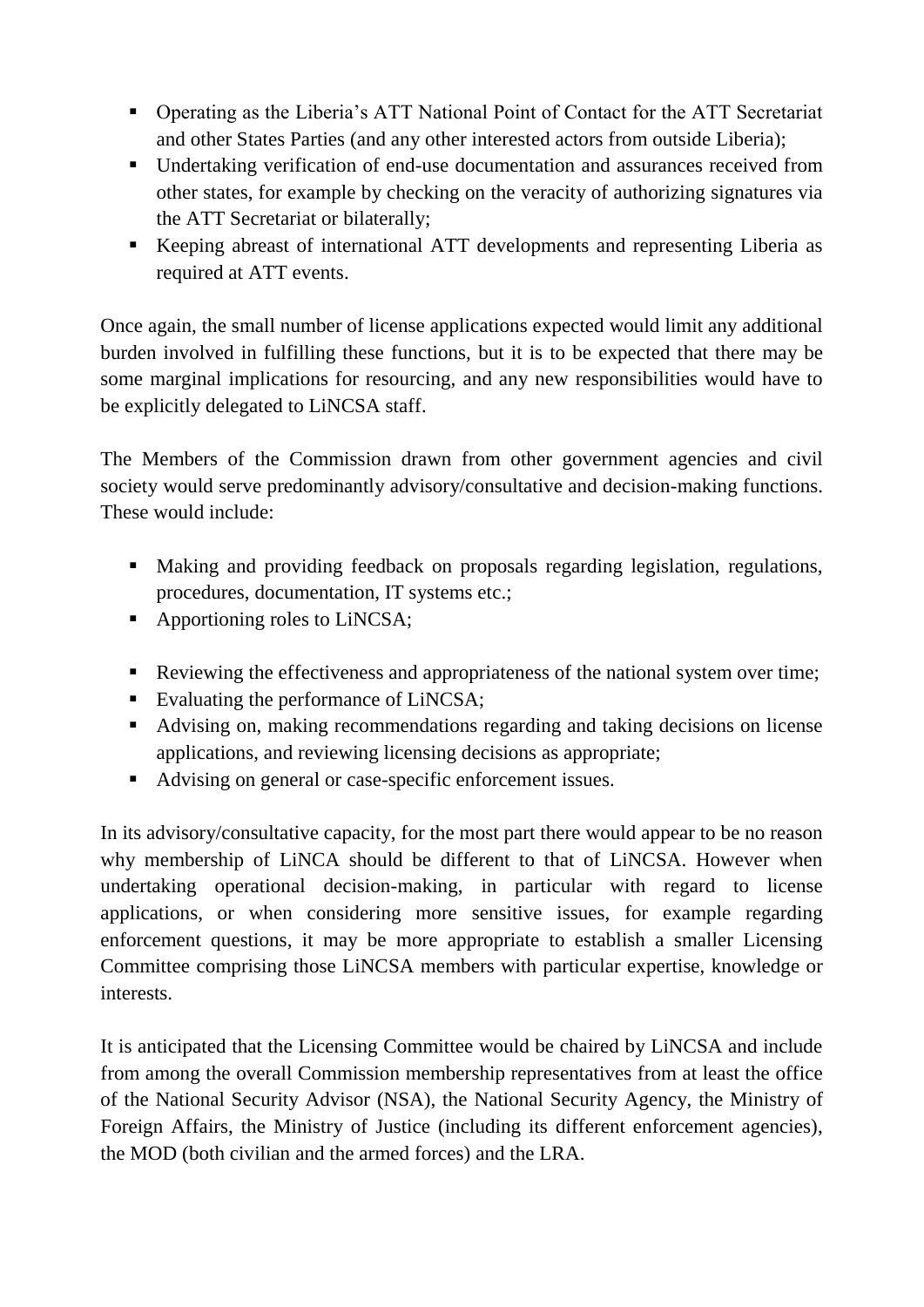- Operating as the Liberia's ATT National Point of Contact for the ATT Secretariat and other States Parties (and any other interested actors from outside Liberia);
- Undertaking verification of end-use documentation and assurances received from other states, for example by checking on the veracity of authorizing signatures via the ATT Secretariat or bilaterally;
- Keeping abreast of international ATT developments and representing Liberia as required at ATT events.

Once again, the small number of license applications expected would limit any additional burden involved in fulfilling these functions, but it is to be expected that there may be some marginal implications for resourcing, and any new responsibilities would have to be explicitly delegated to LiNCSA staff.

The Members of the Commission drawn from other government agencies and civil society would serve predominantly advisory/consultative and decision-making functions. These would include:

- Making and providing feedback on proposals regarding legislation, regulations, procedures, documentation, IT systems etc.;
- Apportioning roles to LiNCSA;
- Reviewing the effectiveness and appropriateness of the national system over time;
- Evaluating the performance of LiNCSA;
- Advising on, making recommendations regarding and taking decisions on license applications, and reviewing licensing decisions as appropriate;
- Advising on general or case-specific enforcement issues.

In its advisory/consultative capacity, for the most part there would appear to be no reason why membership of LiNCA should be different to that of LiNCSA. However when undertaking operational decision-making, in particular with regard to license applications, or when considering more sensitive issues, for example regarding enforcement questions, it may be more appropriate to establish a smaller Licensing Committee comprising those LiNCSA members with particular expertise, knowledge or interests.

It is anticipated that the Licensing Committee would be chaired by LiNCSA and include from among the overall Commission membership representatives from at least the office of the National Security Advisor (NSA), the National Security Agency, the Ministry of Foreign Affairs, the Ministry of Justice (including its different enforcement agencies), the MOD (both civilian and the armed forces) and the LRA.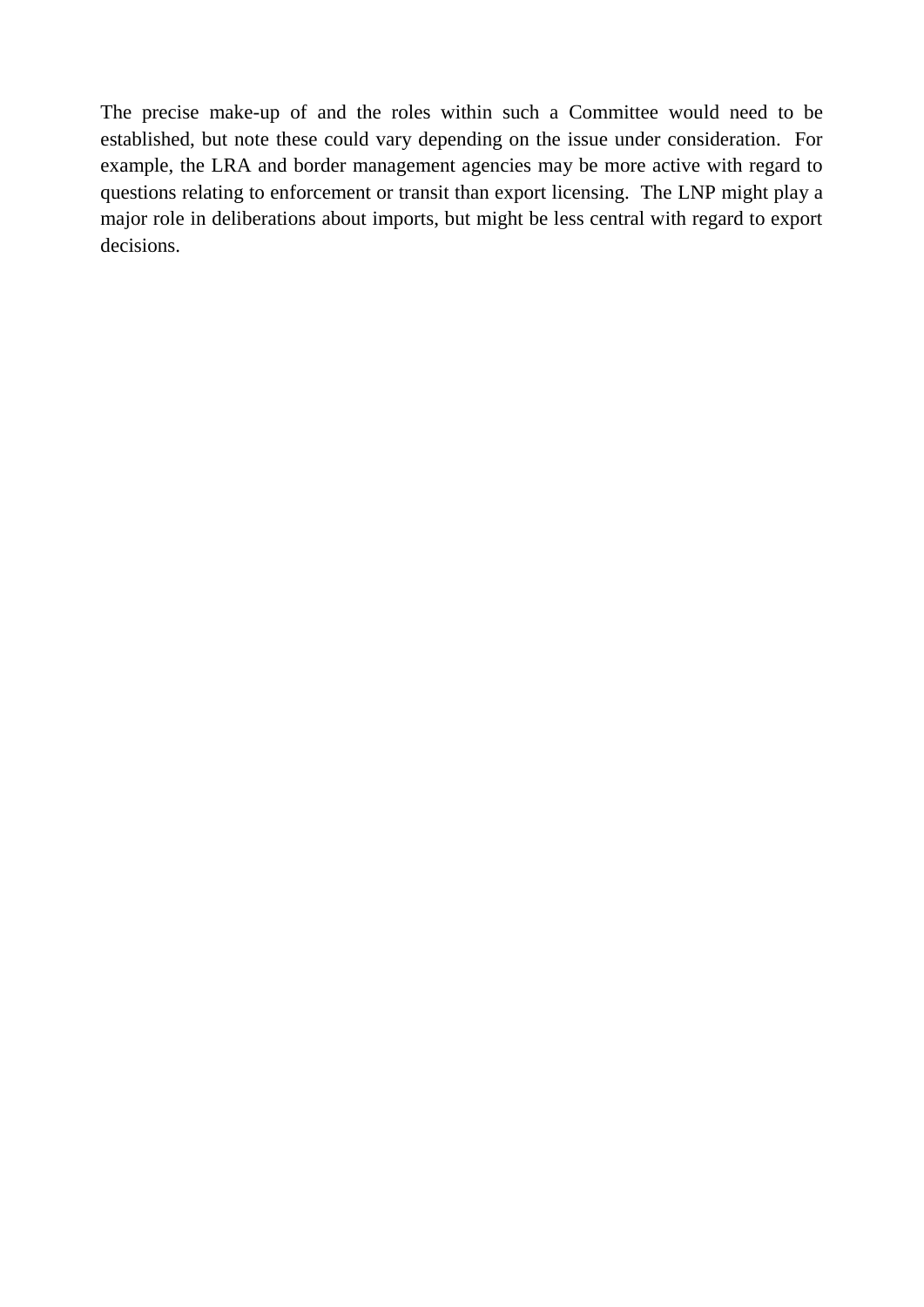The precise make-up of and the roles within such a Committee would need to be established, but note these could vary depending on the issue under consideration. For example, the LRA and border management agencies may be more active with regard to questions relating to enforcement or transit than export licensing. The LNP might play a major role in deliberations about imports, but might be less central with regard to export decisions.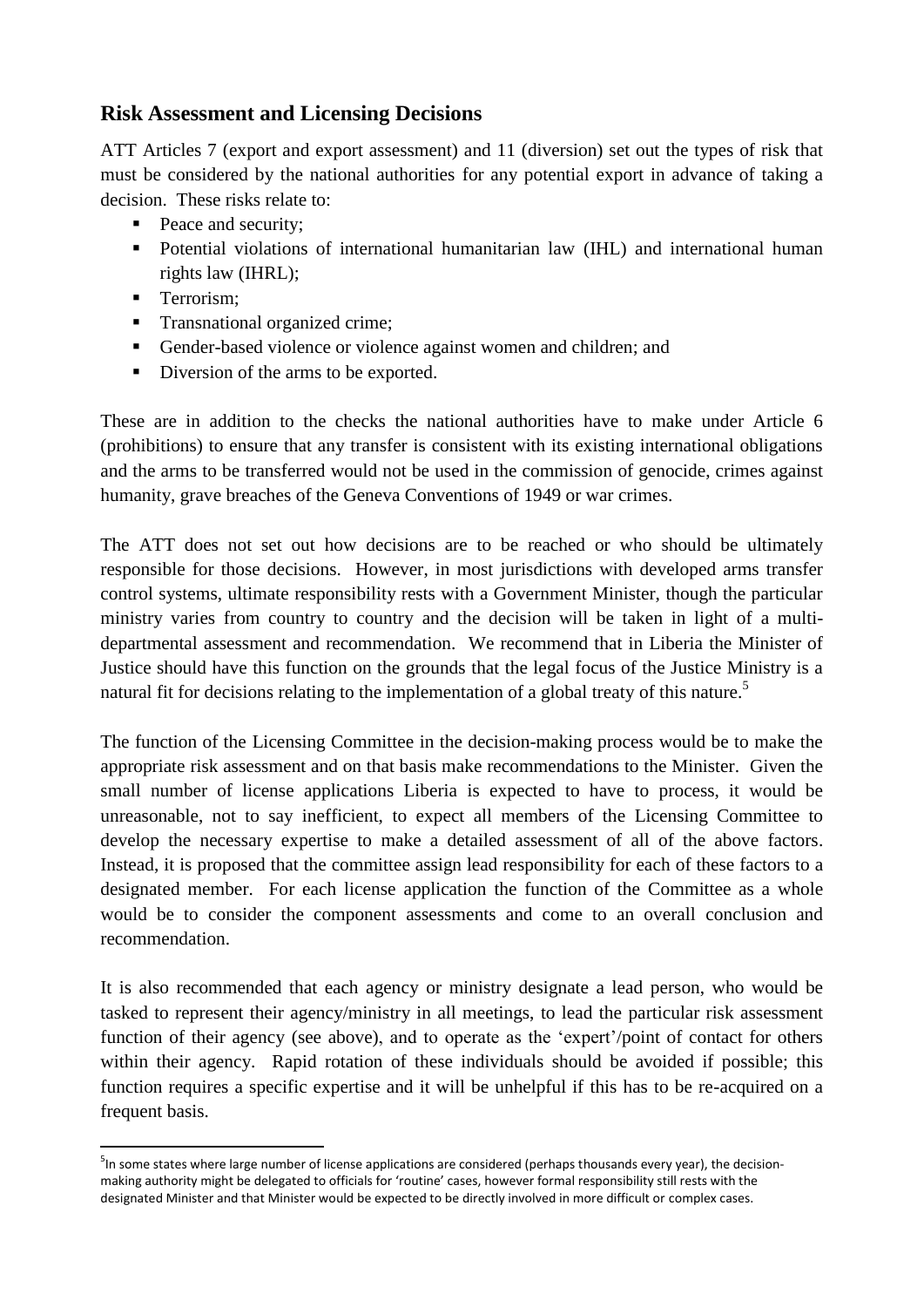# **Risk Assessment and Licensing Decisions**

ATT Articles 7 (export and export assessment) and 11 (diversion) set out the types of risk that must be considered by the national authorities for any potential export in advance of taking a decision. These risks relate to:

- Peace and security;
- Potential violations of international humanitarian law (IHL) and international human rights law (IHRL);
- **Terrorism;**

**.** 

- **Transnational organized crime;**
- Gender-based violence or violence against women and children; and
- Diversion of the arms to be exported.

These are in addition to the checks the national authorities have to make under Article 6 (prohibitions) to ensure that any transfer is consistent with its existing international obligations and the arms to be transferred would not be used in the commission of genocide, crimes against humanity, grave breaches of the Geneva Conventions of 1949 or war crimes.

The ATT does not set out how decisions are to be reached or who should be ultimately responsible for those decisions. However, in most jurisdictions with developed arms transfer control systems, ultimate responsibility rests with a Government Minister, though the particular ministry varies from country to country and the decision will be taken in light of a multidepartmental assessment and recommendation. We recommend that in Liberia the Minister of Justice should have this function on the grounds that the legal focus of the Justice Ministry is a natural fit for decisions relating to the implementation of a global treaty of this nature.<sup>5</sup>

The function of the Licensing Committee in the decision-making process would be to make the appropriate risk assessment and on that basis make recommendations to the Minister. Given the small number of license applications Liberia is expected to have to process, it would be unreasonable, not to say inefficient, to expect all members of the Licensing Committee to develop the necessary expertise to make a detailed assessment of all of the above factors. Instead, it is proposed that the committee assign lead responsibility for each of these factors to a designated member. For each license application the function of the Committee as a whole would be to consider the component assessments and come to an overall conclusion and recommendation.

It is also recommended that each agency or ministry designate a lead person, who would be tasked to represent their agency/ministry in all meetings, to lead the particular risk assessment function of their agency (see above), and to operate as the 'expert'/point of contact for others within their agency. Rapid rotation of these individuals should be avoided if possible; this function requires a specific expertise and it will be unhelpful if this has to be re-acquired on a frequent basis.

<sup>&</sup>lt;sup>5</sup>In some states where large number of license applications are considered (perhaps thousands every year), the decisionmaking authority might be delegated to officials for 'routine' cases, however formal responsibility still rests with the designated Minister and that Minister would be expected to be directly involved in more difficult or complex cases.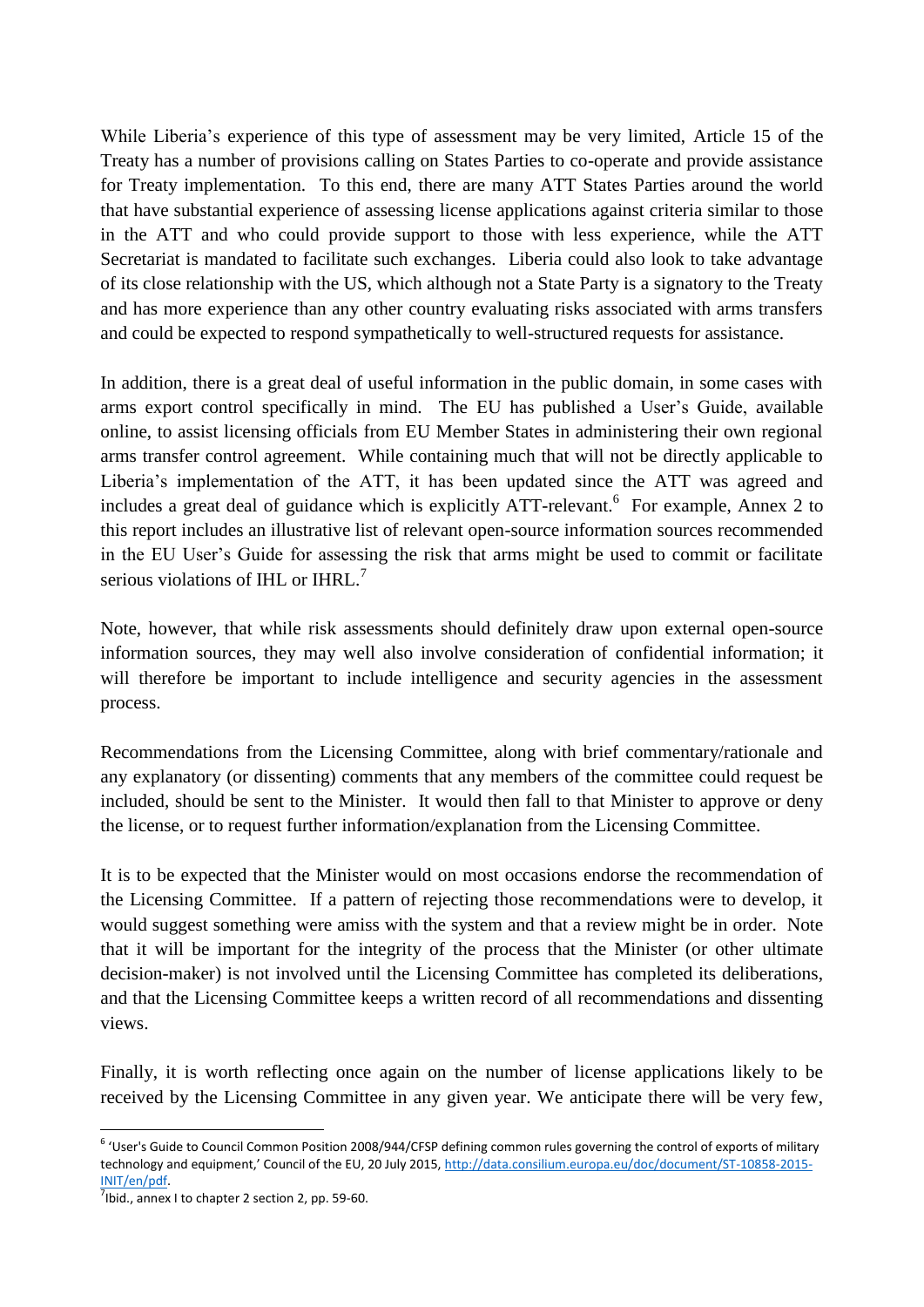While Liberia's experience of this type of assessment may be very limited, Article 15 of the Treaty has a number of provisions calling on States Parties to co-operate and provide assistance for Treaty implementation. To this end, there are many ATT States Parties around the world that have substantial experience of assessing license applications against criteria similar to those in the ATT and who could provide support to those with less experience, while the ATT Secretariat is mandated to facilitate such exchanges. Liberia could also look to take advantage of its close relationship with the US, which although not a State Party is a signatory to the Treaty and has more experience than any other country evaluating risks associated with arms transfers and could be expected to respond sympathetically to well-structured requests for assistance.

In addition, there is a great deal of useful information in the public domain, in some cases with arms export control specifically in mind. The EU has published a User's Guide, available online, to assist licensing officials from EU Member States in administering their own regional arms transfer control agreement. While containing much that will not be directly applicable to Liberia's implementation of the ATT, it has been updated since the ATT was agreed and includes a great deal of guidance which is explicitly  $ATT$ -relevant.<sup>6</sup> For example, Annex 2 to this report includes an illustrative list of relevant open-source information sources recommended in the EU User's Guide for assessing the risk that arms might be used to commit or facilitate serious violations of IHL or IHRL $^7$ 

Note, however, that while risk assessments should definitely draw upon external open-source information sources, they may well also involve consideration of confidential information; it will therefore be important to include intelligence and security agencies in the assessment process.

Recommendations from the Licensing Committee, along with brief commentary/rationale and any explanatory (or dissenting) comments that any members of the committee could request be included, should be sent to the Minister. It would then fall to that Minister to approve or deny the license, or to request further information/explanation from the Licensing Committee.

It is to be expected that the Minister would on most occasions endorse the recommendation of the Licensing Committee. If a pattern of rejecting those recommendations were to develop, it would suggest something were amiss with the system and that a review might be in order. Note that it will be important for the integrity of the process that the Minister (or other ultimate decision-maker) is not involved until the Licensing Committee has completed its deliberations, and that the Licensing Committee keeps a written record of all recommendations and dissenting views.

Finally, it is worth reflecting once again on the number of license applications likely to be received by the Licensing Committee in any given year. We anticipate there will be very few,

 $\overline{a}$ 

<sup>&</sup>lt;sup>6</sup> 'User's Guide to Council Common Position 2008/944/CFSP defining common rules governing the control of exports of military technology and equipment,' Council of the EU, 20 July 2015, [http://data.consilium.europa.eu/doc/document/ST-10858-2015-](http://data.consilium.europa.eu/doc/document/ST-10858-2015-INIT/en/pdf) [INIT/en/pdf.](http://data.consilium.europa.eu/doc/document/ST-10858-2015-INIT/en/pdf)

 $<sup>7</sup>$ Ibid., annex I to chapter 2 section 2, pp. 59-60.</sup>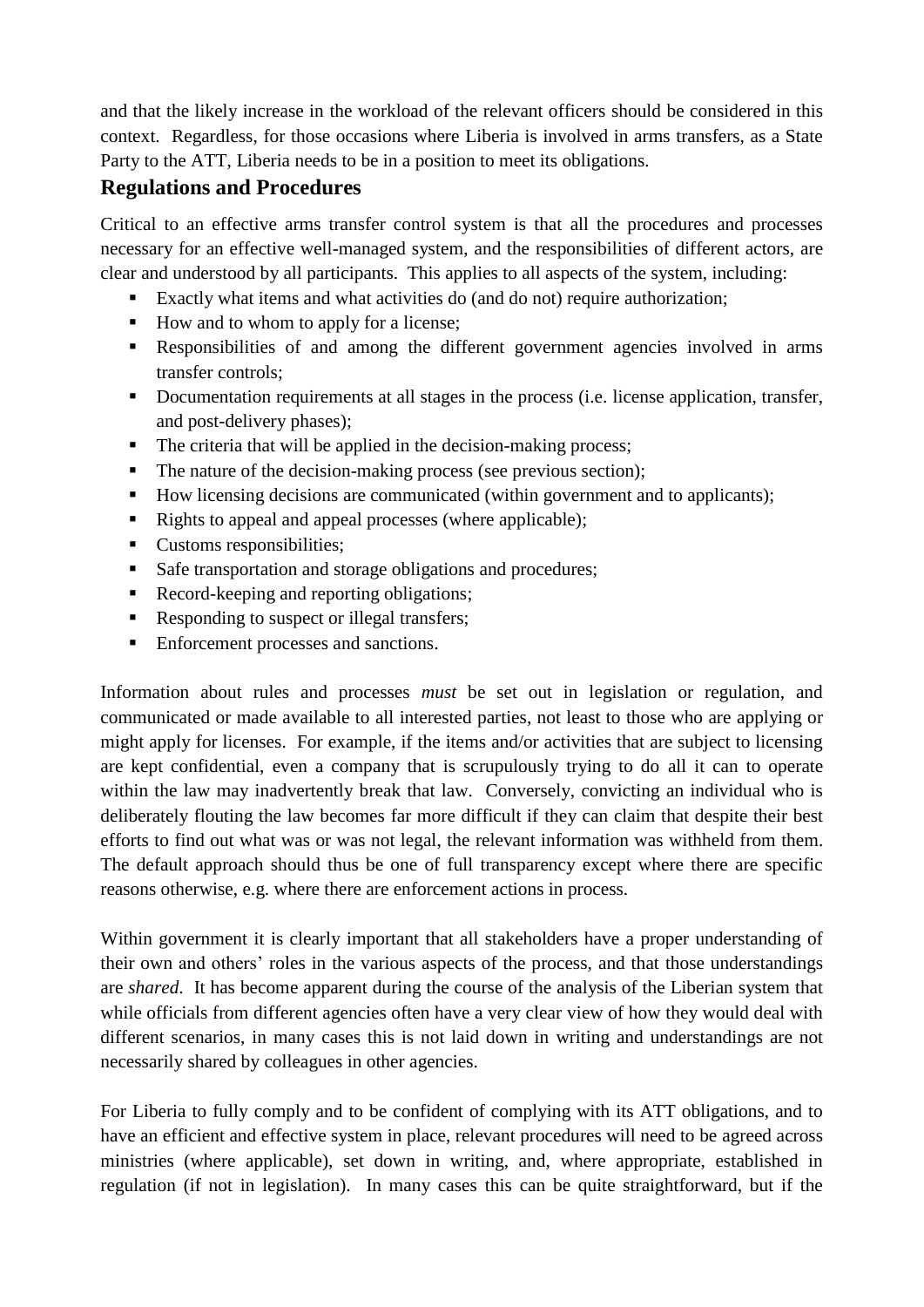and that the likely increase in the workload of the relevant officers should be considered in this context. Regardless, for those occasions where Liberia is involved in arms transfers, as a State Party to the ATT, Liberia needs to be in a position to meet its obligations.

### **Regulations and Procedures**

Critical to an effective arms transfer control system is that all the procedures and processes necessary for an effective well-managed system, and the responsibilities of different actors, are clear and understood by all participants. This applies to all aspects of the system, including:

- Exactly what items and what activities do (and do not) require authorization;
- How and to whom to apply for a license;
- Responsibilities of and among the different government agencies involved in arms transfer controls;
- Documentation requirements at all stages in the process (i.e. license application, transfer, and post-delivery phases);
- The criteria that will be applied in the decision-making process;
- The nature of the decision-making process (see previous section);
- How licensing decisions are communicated (within government and to applicants);
- Rights to appeal and appeal processes (where applicable);
- **Customs responsibilities;**
- Safe transportation and storage obligations and procedures;
- Record-keeping and reporting obligations;
- Responding to suspect or illegal transfers;
- **Enforcement processes and sanctions.**

Information about rules and processes *must* be set out in legislation or regulation, and communicated or made available to all interested parties, not least to those who are applying or might apply for licenses. For example, if the items and/or activities that are subject to licensing are kept confidential, even a company that is scrupulously trying to do all it can to operate within the law may inadvertently break that law. Conversely, convicting an individual who is deliberately flouting the law becomes far more difficult if they can claim that despite their best efforts to find out what was or was not legal, the relevant information was withheld from them. The default approach should thus be one of full transparency except where there are specific reasons otherwise, e.g. where there are enforcement actions in process.

Within government it is clearly important that all stakeholders have a proper understanding of their own and others' roles in the various aspects of the process, and that those understandings are *shared*. It has become apparent during the course of the analysis of the Liberian system that while officials from different agencies often have a very clear view of how they would deal with different scenarios, in many cases this is not laid down in writing and understandings are not necessarily shared by colleagues in other agencies.

For Liberia to fully comply and to be confident of complying with its ATT obligations, and to have an efficient and effective system in place, relevant procedures will need to be agreed across ministries (where applicable), set down in writing, and, where appropriate, established in regulation (if not in legislation). In many cases this can be quite straightforward, but if the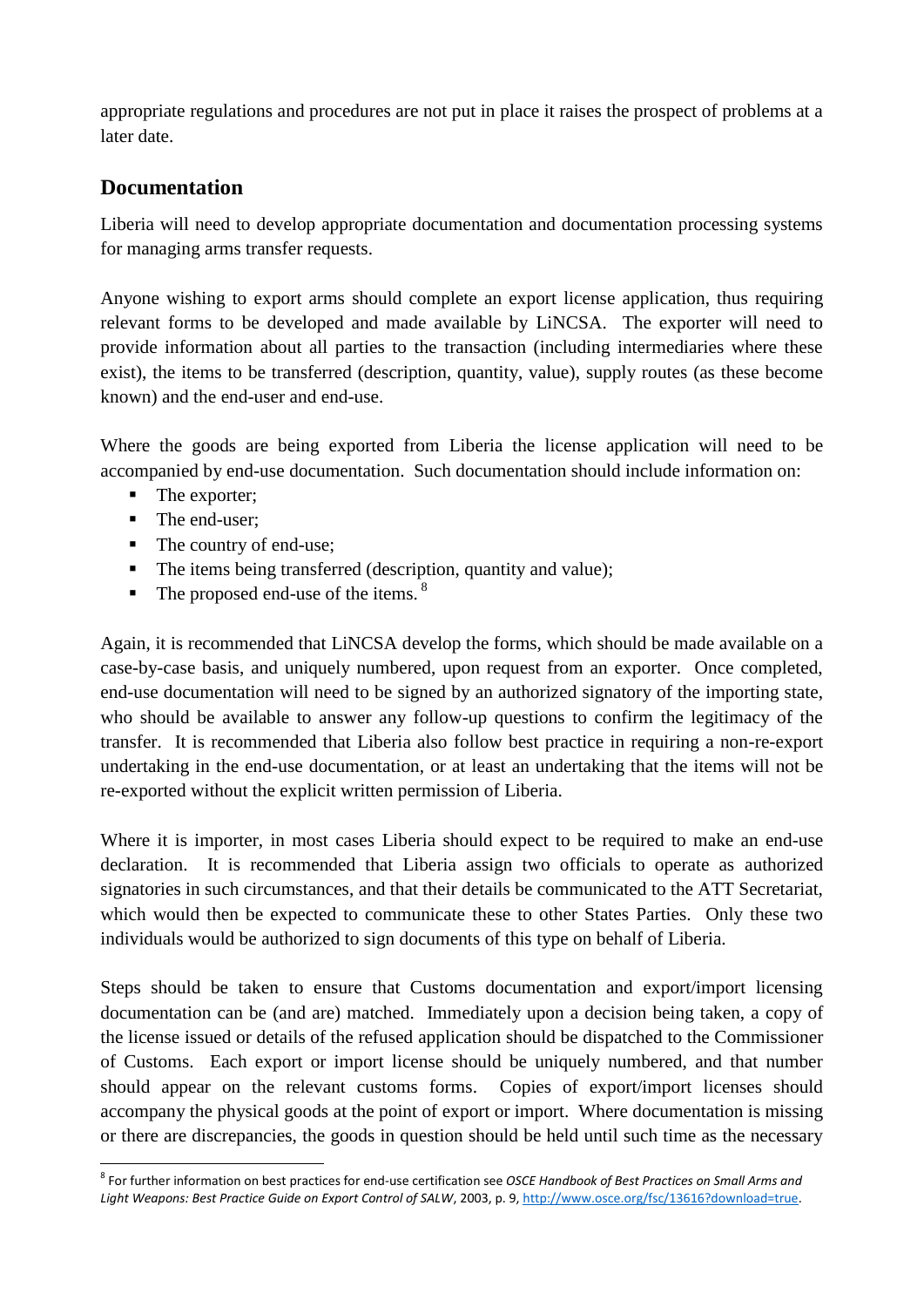appropriate regulations and procedures are not put in place it raises the prospect of problems at a later date.

### **Documentation**

Liberia will need to develop appropriate documentation and documentation processing systems for managing arms transfer requests.

Anyone wishing to export arms should complete an export license application, thus requiring relevant forms to be developed and made available by LiNCSA. The exporter will need to provide information about all parties to the transaction (including intermediaries where these exist), the items to be transferred (description, quantity, value), supply routes (as these become known) and the end-user and end-use.

Where the goods are being exported from Liberia the license application will need to be accompanied by end-use documentation. Such documentation should include information on:

- The exporter;
- The end-user:

**.** 

- The country of end-use;
- The items being transferred (description, quantity and value);
- $\blacksquare$  The proposed end-use of the items.  $\substack{8}$

Again, it is recommended that LiNCSA develop the forms, which should be made available on a case-by-case basis, and uniquely numbered, upon request from an exporter. Once completed, end-use documentation will need to be signed by an authorized signatory of the importing state, who should be available to answer any follow-up questions to confirm the legitimacy of the transfer. It is recommended that Liberia also follow best practice in requiring a non-re-export undertaking in the end-use documentation, or at least an undertaking that the items will not be re-exported without the explicit written permission of Liberia.

Where it is importer, in most cases Liberia should expect to be required to make an end-use declaration. It is recommended that Liberia assign two officials to operate as authorized signatories in such circumstances, and that their details be communicated to the ATT Secretariat, which would then be expected to communicate these to other States Parties. Only these two individuals would be authorized to sign documents of this type on behalf of Liberia.

Steps should be taken to ensure that Customs documentation and export/import licensing documentation can be (and are) matched. Immediately upon a decision being taken, a copy of the license issued or details of the refused application should be dispatched to the Commissioner of Customs. Each export or import license should be uniquely numbered, and that number should appear on the relevant customs forms. Copies of export/import licenses should accompany the physical goods at the point of export or import. Where documentation is missing or there are discrepancies, the goods in question should be held until such time as the necessary

<sup>8</sup> For further information on best practices for end-use certification see *OSCE Handbook of Best Practices on Small Arms and*  Light Weapons: Best Practice Guide on Export Control of SALW, 2003, p. 9, [http://www.osce.org/fsc/13616?download=true.](http://www.osce.org/fsc/13616?download=true)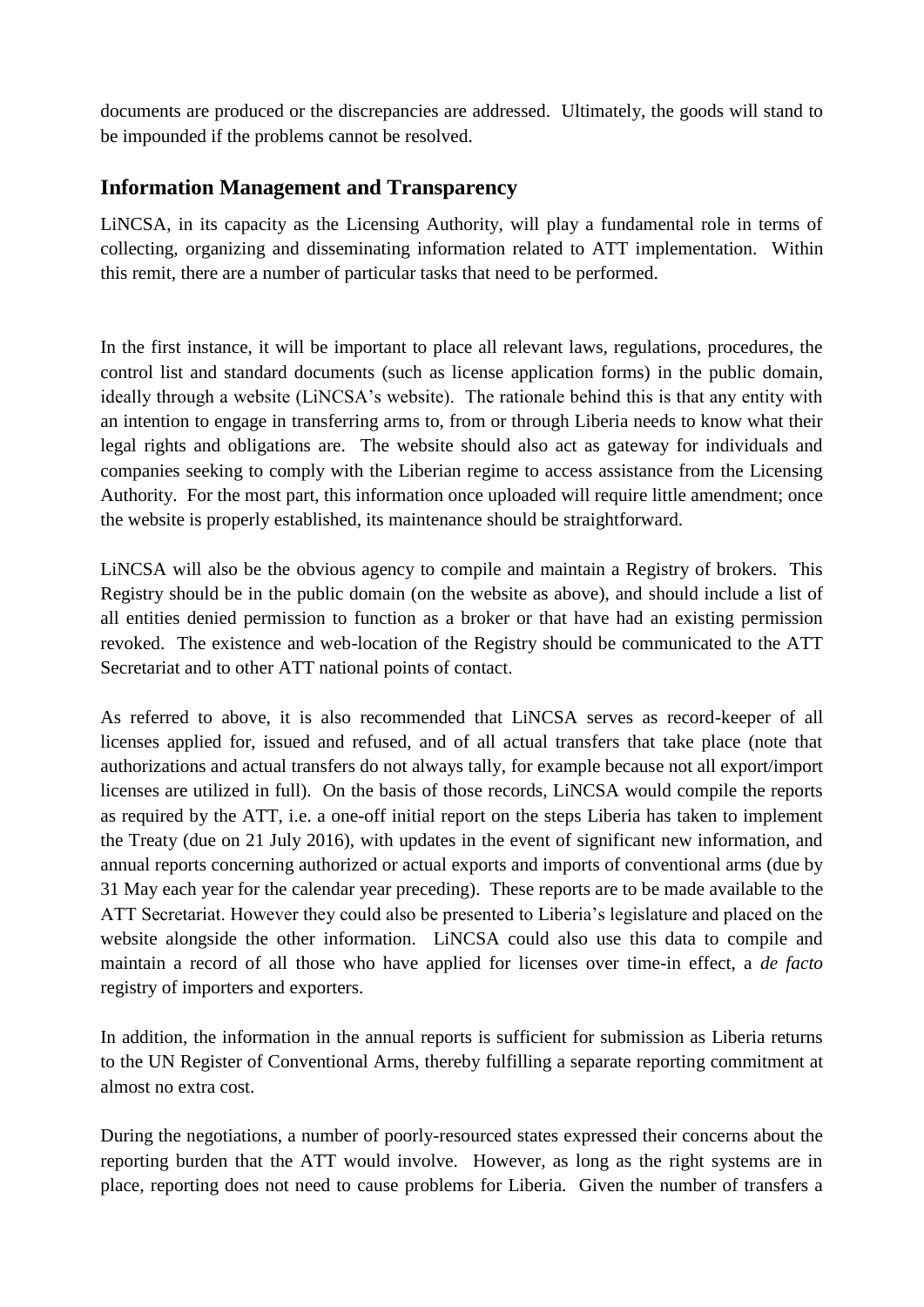documents are produced or the discrepancies are addressed. Ultimately, the goods will stand to be impounded if the problems cannot be resolved.

### **Information Management and Transparency**

LiNCSA, in its capacity as the Licensing Authority, will play a fundamental role in terms of collecting, organizing and disseminating information related to ATT implementation. Within this remit, there are a number of particular tasks that need to be performed.

In the first instance, it will be important to place all relevant laws, regulations, procedures, the control list and standard documents (such as license application forms) in the public domain, ideally through a website (LiNCSA's website). The rationale behind this is that any entity with an intention to engage in transferring arms to, from or through Liberia needs to know what their legal rights and obligations are. The website should also act as gateway for individuals and companies seeking to comply with the Liberian regime to access assistance from the Licensing Authority. For the most part, this information once uploaded will require little amendment; once the website is properly established, its maintenance should be straightforward.

LiNCSA will also be the obvious agency to compile and maintain a Registry of brokers. This Registry should be in the public domain (on the website as above), and should include a list of all entities denied permission to function as a broker or that have had an existing permission revoked. The existence and web-location of the Registry should be communicated to the ATT Secretariat and to other ATT national points of contact.

As referred to above, it is also recommended that LiNCSA serves as record-keeper of all licenses applied for, issued and refused, and of all actual transfers that take place (note that authorizations and actual transfers do not always tally, for example because not all export/import licenses are utilized in full). On the basis of those records, LiNCSA would compile the reports as required by the ATT, i.e. a one-off initial report on the steps Liberia has taken to implement the Treaty (due on 21 July 2016), with updates in the event of significant new information, and annual reports concerning authorized or actual exports and imports of conventional arms (due by 31 May each year for the calendar year preceding). These reports are to be made available to the ATT Secretariat. However they could also be presented to Liberia's legislature and placed on the website alongside the other information. LiNCSA could also use this data to compile and maintain a record of all those who have applied for licenses over time-in effect, a *de facto* registry of importers and exporters.

In addition, the information in the annual reports is sufficient for submission as Liberia returns to the UN Register of Conventional Arms, thereby fulfilling a separate reporting commitment at almost no extra cost.

During the negotiations, a number of poorly-resourced states expressed their concerns about the reporting burden that the ATT would involve. However, as long as the right systems are in place, reporting does not need to cause problems for Liberia. Given the number of transfers a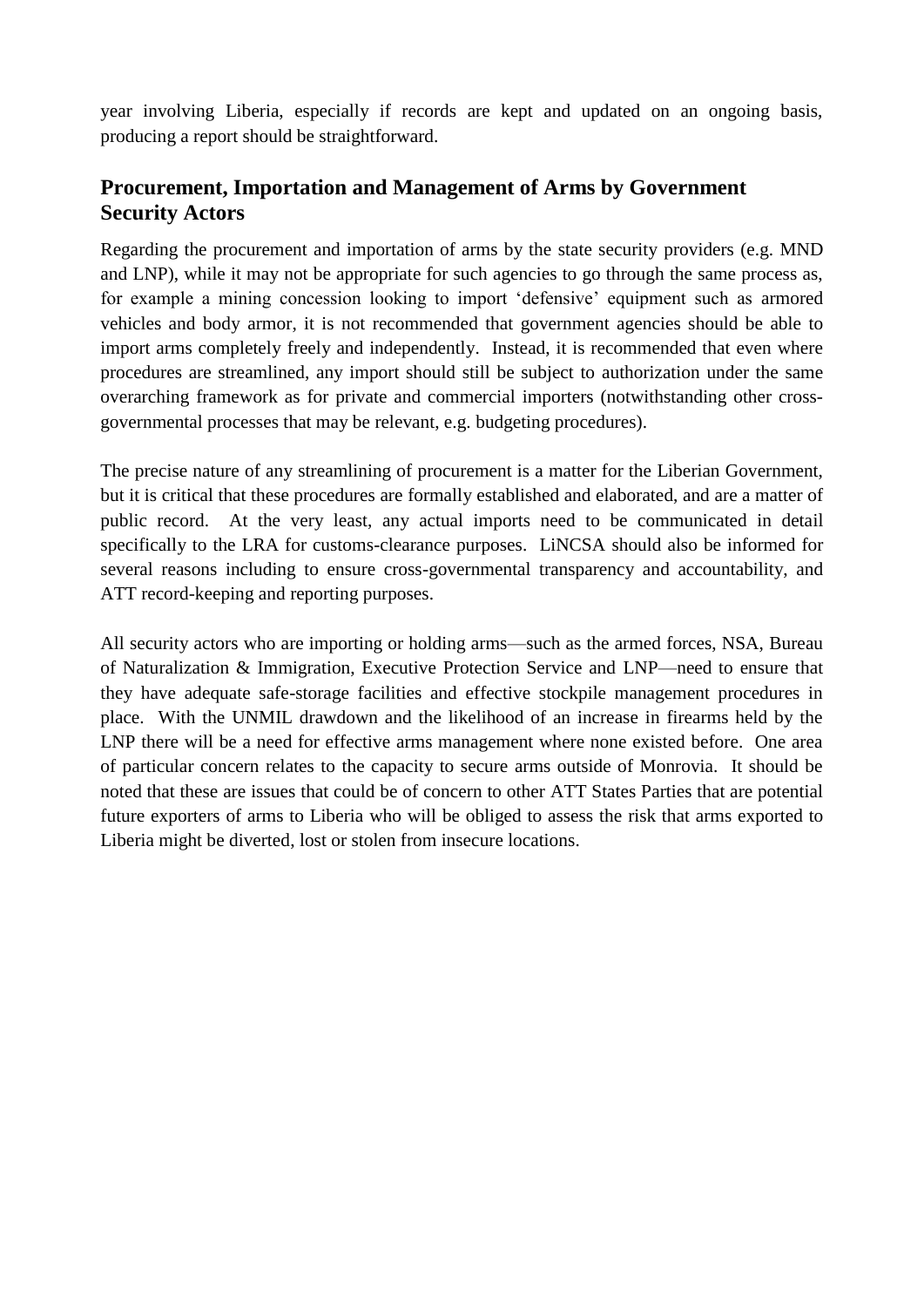year involving Liberia, especially if records are kept and updated on an ongoing basis, producing a report should be straightforward.

# **Procurement, Importation and Management of Arms by Government Security Actors**

Regarding the procurement and importation of arms by the state security providers (e.g. MND and LNP), while it may not be appropriate for such agencies to go through the same process as, for example a mining concession looking to import 'defensive' equipment such as armored vehicles and body armor, it is not recommended that government agencies should be able to import arms completely freely and independently. Instead, it is recommended that even where procedures are streamlined, any import should still be subject to authorization under the same overarching framework as for private and commercial importers (notwithstanding other crossgovernmental processes that may be relevant, e.g. budgeting procedures).

The precise nature of any streamlining of procurement is a matter for the Liberian Government, but it is critical that these procedures are formally established and elaborated, and are a matter of public record. At the very least, any actual imports need to be communicated in detail specifically to the LRA for customs-clearance purposes. LiNCSA should also be informed for several reasons including to ensure cross-governmental transparency and accountability, and ATT record-keeping and reporting purposes.

All security actors who are importing or holding arms—such as the armed forces, NSA, Bureau of Naturalization & Immigration, Executive Protection Service and LNP—need to ensure that they have adequate safe-storage facilities and effective stockpile management procedures in place. With the UNMIL drawdown and the likelihood of an increase in firearms held by the LNP there will be a need for effective arms management where none existed before. One area of particular concern relates to the capacity to secure arms outside of Monrovia. It should be noted that these are issues that could be of concern to other ATT States Parties that are potential future exporters of arms to Liberia who will be obliged to assess the risk that arms exported to Liberia might be diverted, lost or stolen from insecure locations.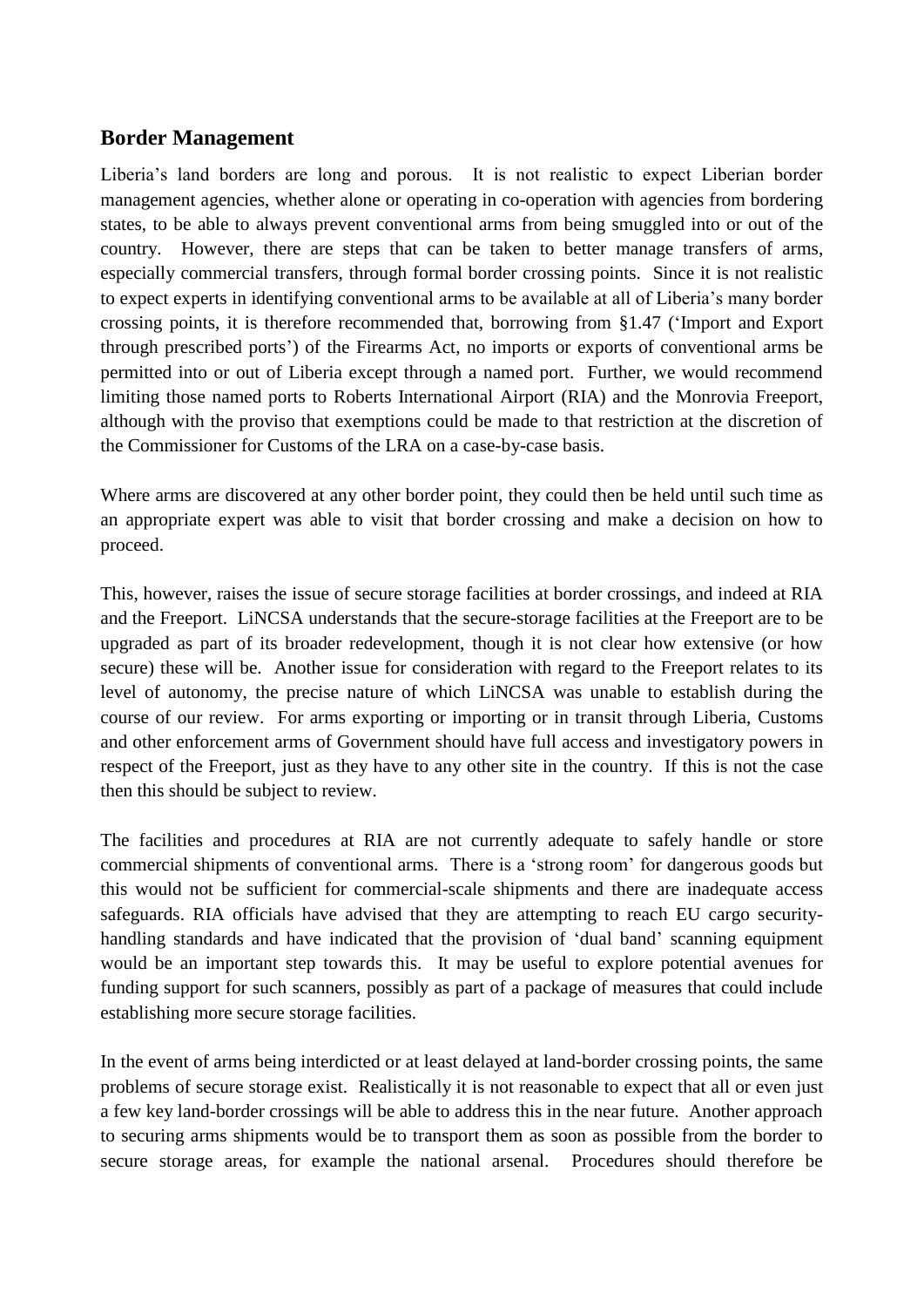### **Border Management**

Liberia's land borders are long and porous. It is not realistic to expect Liberian border management agencies, whether alone or operating in co-operation with agencies from bordering states, to be able to always prevent conventional arms from being smuggled into or out of the country. However, there are steps that can be taken to better manage transfers of arms, especially commercial transfers, through formal border crossing points. Since it is not realistic to expect experts in identifying conventional arms to be available at all of Liberia's many border crossing points, it is therefore recommended that, borrowing from §1.47 ('Import and Export through prescribed ports') of the Firearms Act, no imports or exports of conventional arms be permitted into or out of Liberia except through a named port. Further, we would recommend limiting those named ports to Roberts International Airport (RIA) and the Monrovia Freeport, although with the proviso that exemptions could be made to that restriction at the discretion of the Commissioner for Customs of the LRA on a case-by-case basis.

Where arms are discovered at any other border point, they could then be held until such time as an appropriate expert was able to visit that border crossing and make a decision on how to proceed.

This, however, raises the issue of secure storage facilities at border crossings, and indeed at RIA and the Freeport. LiNCSA understands that the secure-storage facilities at the Freeport are to be upgraded as part of its broader redevelopment, though it is not clear how extensive (or how secure) these will be. Another issue for consideration with regard to the Freeport relates to its level of autonomy, the precise nature of which LiNCSA was unable to establish during the course of our review. For arms exporting or importing or in transit through Liberia, Customs and other enforcement arms of Government should have full access and investigatory powers in respect of the Freeport, just as they have to any other site in the country. If this is not the case then this should be subject to review.

The facilities and procedures at RIA are not currently adequate to safely handle or store commercial shipments of conventional arms. There is a 'strong room' for dangerous goods but this would not be sufficient for commercial-scale shipments and there are inadequate access safeguards. RIA officials have advised that they are attempting to reach EU cargo securityhandling standards and have indicated that the provision of 'dual band' scanning equipment would be an important step towards this. It may be useful to explore potential avenues for funding support for such scanners, possibly as part of a package of measures that could include establishing more secure storage facilities.

In the event of arms being interdicted or at least delayed at land-border crossing points, the same problems of secure storage exist. Realistically it is not reasonable to expect that all or even just a few key land-border crossings will be able to address this in the near future. Another approach to securing arms shipments would be to transport them as soon as possible from the border to secure storage areas, for example the national arsenal. Procedures should therefore be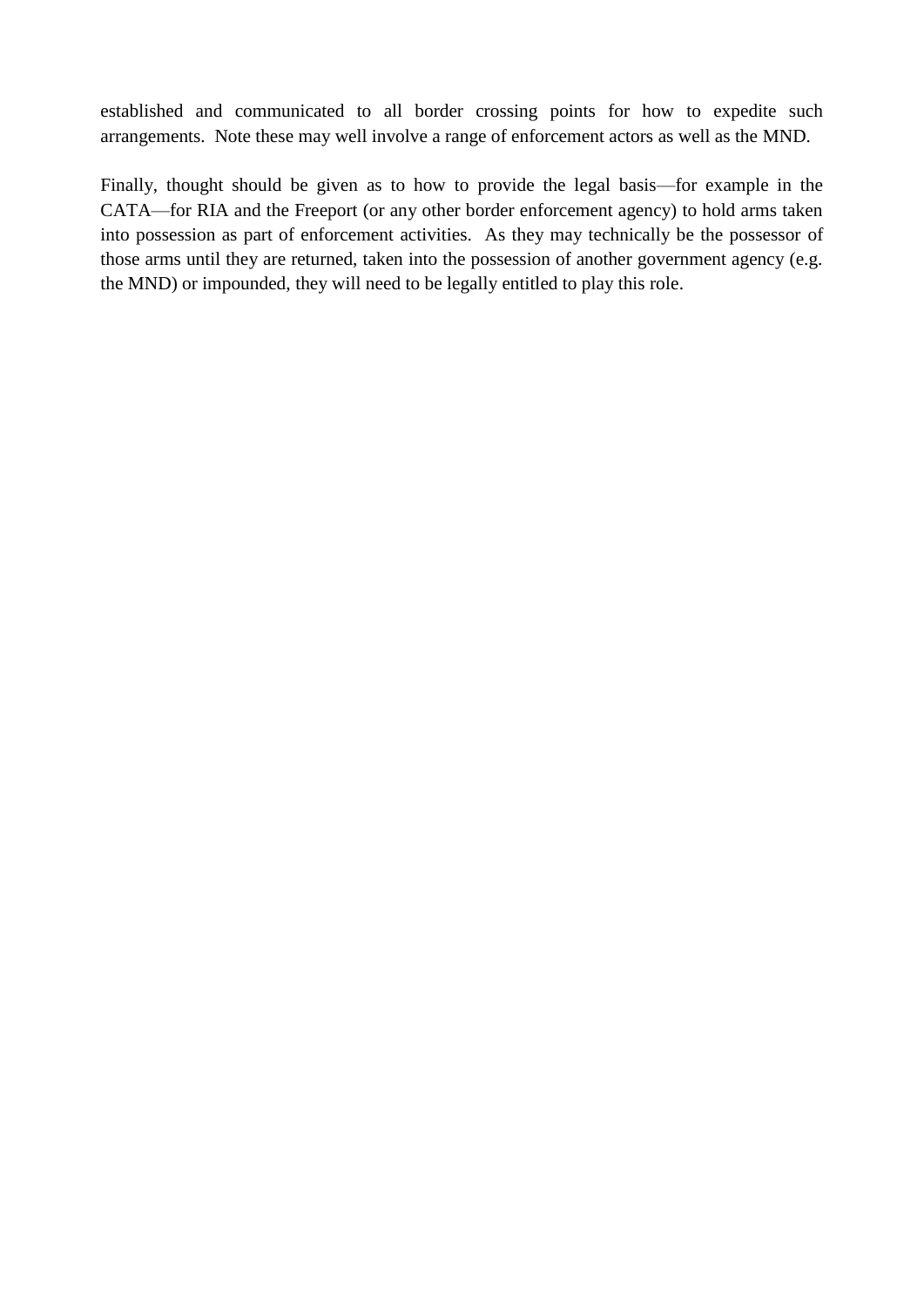established and communicated to all border crossing points for how to expedite such arrangements. Note these may well involve a range of enforcement actors as well as the MND.

Finally, thought should be given as to how to provide the legal basis—for example in the CATA—for RIA and the Freeport (or any other border enforcement agency) to hold arms taken into possession as part of enforcement activities. As they may technically be the possessor of those arms until they are returned, taken into the possession of another government agency (e.g. the MND) or impounded, they will need to be legally entitled to play this role.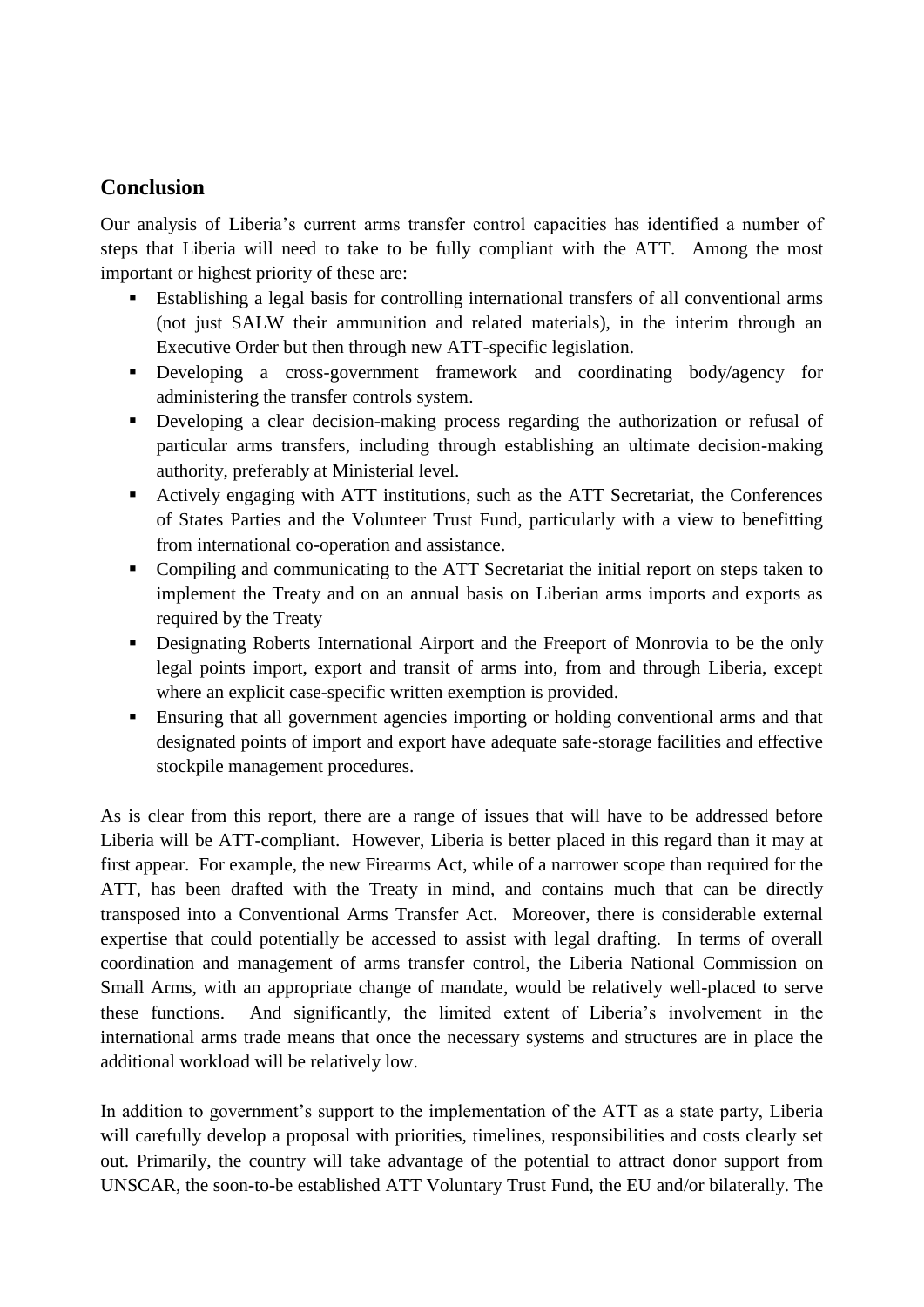### **Conclusion**

Our analysis of Liberia's current arms transfer control capacities has identified a number of steps that Liberia will need to take to be fully compliant with the ATT. Among the most important or highest priority of these are:

- Establishing a legal basis for controlling international transfers of all conventional arms (not just SALW their ammunition and related materials), in the interim through an Executive Order but then through new ATT-specific legislation.
- Developing a cross-government framework and coordinating body/agency for administering the transfer controls system.
- Developing a clear decision-making process regarding the authorization or refusal of particular arms transfers, including through establishing an ultimate decision-making authority, preferably at Ministerial level.
- Actively engaging with ATT institutions, such as the ATT Secretariat, the Conferences of States Parties and the Volunteer Trust Fund, particularly with a view to benefitting from international co-operation and assistance.
- Compiling and communicating to the ATT Secretariat the initial report on steps taken to implement the Treaty and on an annual basis on Liberian arms imports and exports as required by the Treaty
- **EXECUTE:** Designating Roberts International Airport and the Freeport of Monrovia to be the only legal points import, export and transit of arms into, from and through Liberia, except where an explicit case-specific written exemption is provided.
- Ensuring that all government agencies importing or holding conventional arms and that designated points of import and export have adequate safe-storage facilities and effective stockpile management procedures.

As is clear from this report, there are a range of issues that will have to be addressed before Liberia will be ATT-compliant. However, Liberia is better placed in this regard than it may at first appear. For example, the new Firearms Act, while of a narrower scope than required for the ATT, has been drafted with the Treaty in mind, and contains much that can be directly transposed into a Conventional Arms Transfer Act. Moreover, there is considerable external expertise that could potentially be accessed to assist with legal drafting. In terms of overall coordination and management of arms transfer control, the Liberia National Commission on Small Arms, with an appropriate change of mandate, would be relatively well-placed to serve these functions. And significantly, the limited extent of Liberia's involvement in the international arms trade means that once the necessary systems and structures are in place the additional workload will be relatively low.

In addition to government's support to the implementation of the ATT as a state party, Liberia will carefully develop a proposal with priorities, timelines, responsibilities and costs clearly set out. Primarily, the country will take advantage of the potential to attract donor support from UNSCAR, the soon-to-be established ATT Voluntary Trust Fund, the EU and/or bilaterally. The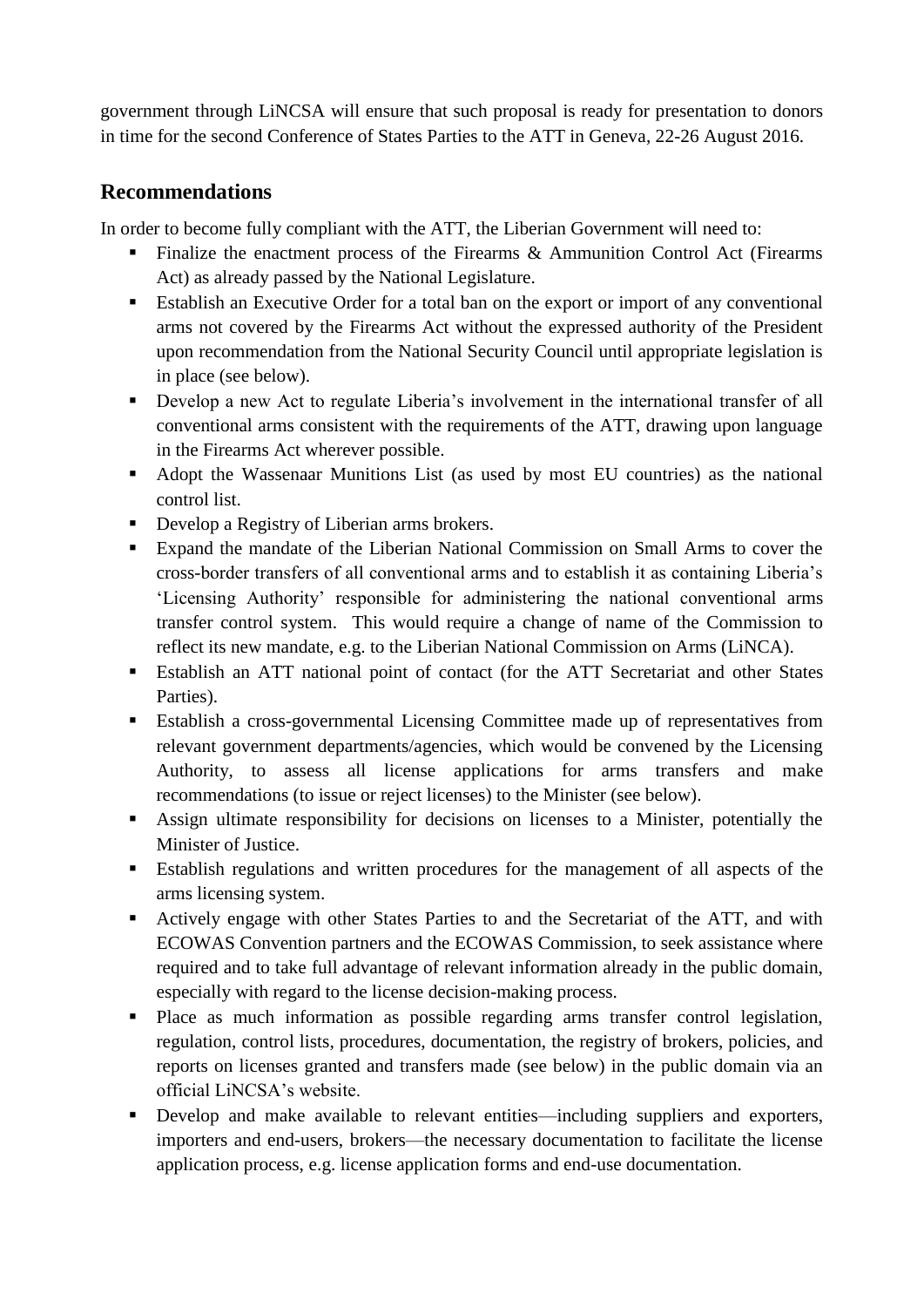government through LiNCSA will ensure that such proposal is ready for presentation to donors in time for the second Conference of States Parties to the ATT in Geneva, 22-26 August 2016.

# **Recommendations**

In order to become fully compliant with the ATT, the Liberian Government will need to:

- Finalize the enactment process of the Firearms & Ammunition Control Act (Firearms Act) as already passed by the National Legislature.
- Establish an Executive Order for a total ban on the export or import of any conventional arms not covered by the Firearms Act without the expressed authority of the President upon recommendation from the National Security Council until appropriate legislation is in place (see below).
- Develop a new Act to regulate Liberia's involvement in the international transfer of all conventional arms consistent with the requirements of the ATT, drawing upon language in the Firearms Act wherever possible.
- Adopt the Wassenaar Munitions List (as used by most EU countries) as the national control list.
- Develop a Registry of Liberian arms brokers.
- Expand the mandate of the Liberian National Commission on Small Arms to cover the cross-border transfers of all conventional arms and to establish it as containing Liberia's 'Licensing Authority' responsible for administering the national conventional arms transfer control system. This would require a change of name of the Commission to reflect its new mandate, e.g. to the Liberian National Commission on Arms (LiNCA).
- Establish an ATT national point of contact (for the ATT Secretariat and other States Parties).
- Establish a cross-governmental Licensing Committee made up of representatives from relevant government departments/agencies, which would be convened by the Licensing Authority, to assess all license applications for arms transfers and make recommendations (to issue or reject licenses) to the Minister (see below).
- Assign ultimate responsibility for decisions on licenses to a Minister, potentially the Minister of Justice.
- Establish regulations and written procedures for the management of all aspects of the arms licensing system.
- Actively engage with other States Parties to and the Secretariat of the ATT, and with ECOWAS Convention partners and the ECOWAS Commission, to seek assistance where required and to take full advantage of relevant information already in the public domain, especially with regard to the license decision-making process.
- Place as much information as possible regarding arms transfer control legislation, regulation, control lists, procedures, documentation, the registry of brokers, policies, and reports on licenses granted and transfers made (see below) in the public domain via an official LiNCSA's website.
- Develop and make available to relevant entities—including suppliers and exporters, importers and end-users, brokers—the necessary documentation to facilitate the license application process, e.g. license application forms and end-use documentation.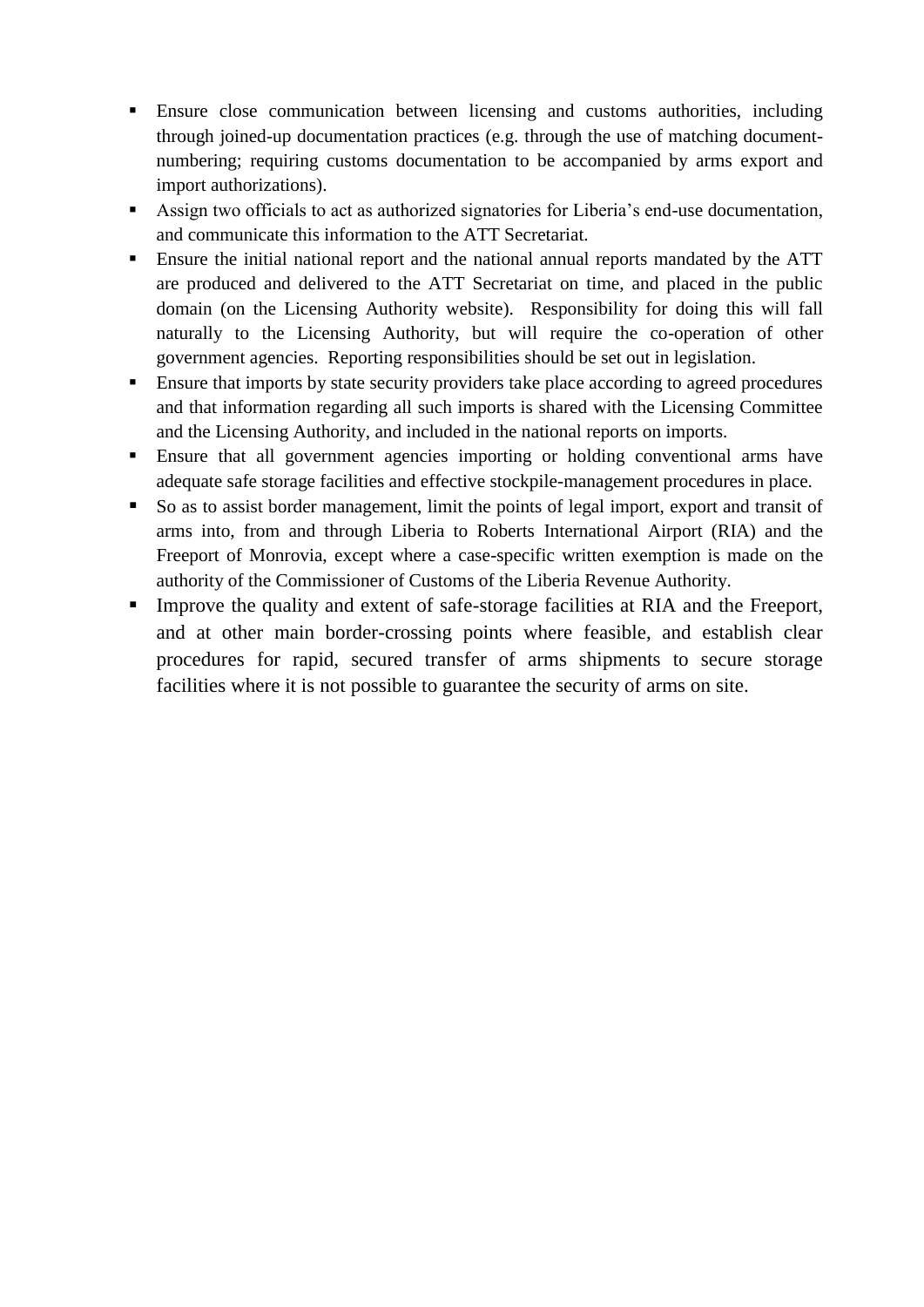- Ensure close communication between licensing and customs authorities, including through joined-up documentation practices (e.g. through the use of matching documentnumbering; requiring customs documentation to be accompanied by arms export and import authorizations).
- Assign two officials to act as authorized signatories for Liberia's end-use documentation, and communicate this information to the ATT Secretariat.
- Ensure the initial national report and the national annual reports mandated by the ATT are produced and delivered to the ATT Secretariat on time, and placed in the public domain (on the Licensing Authority website). Responsibility for doing this will fall naturally to the Licensing Authority, but will require the co-operation of other government agencies. Reporting responsibilities should be set out in legislation.
- **Ensure that imports by state security providers take place according to agreed procedures** and that information regarding all such imports is shared with the Licensing Committee and the Licensing Authority, and included in the national reports on imports.
- Ensure that all government agencies importing or holding conventional arms have adequate safe storage facilities and effective stockpile-management procedures in place.
- So as to assist border management, limit the points of legal import, export and transit of arms into, from and through Liberia to Roberts International Airport (RIA) and the Freeport of Monrovia, except where a case-specific written exemption is made on the authority of the Commissioner of Customs of the Liberia Revenue Authority.
- Improve the quality and extent of safe-storage facilities at RIA and the Freeport, and at other main border-crossing points where feasible, and establish clear procedures for rapid, secured transfer of arms shipments to secure storage facilities where it is not possible to guarantee the security of arms on site.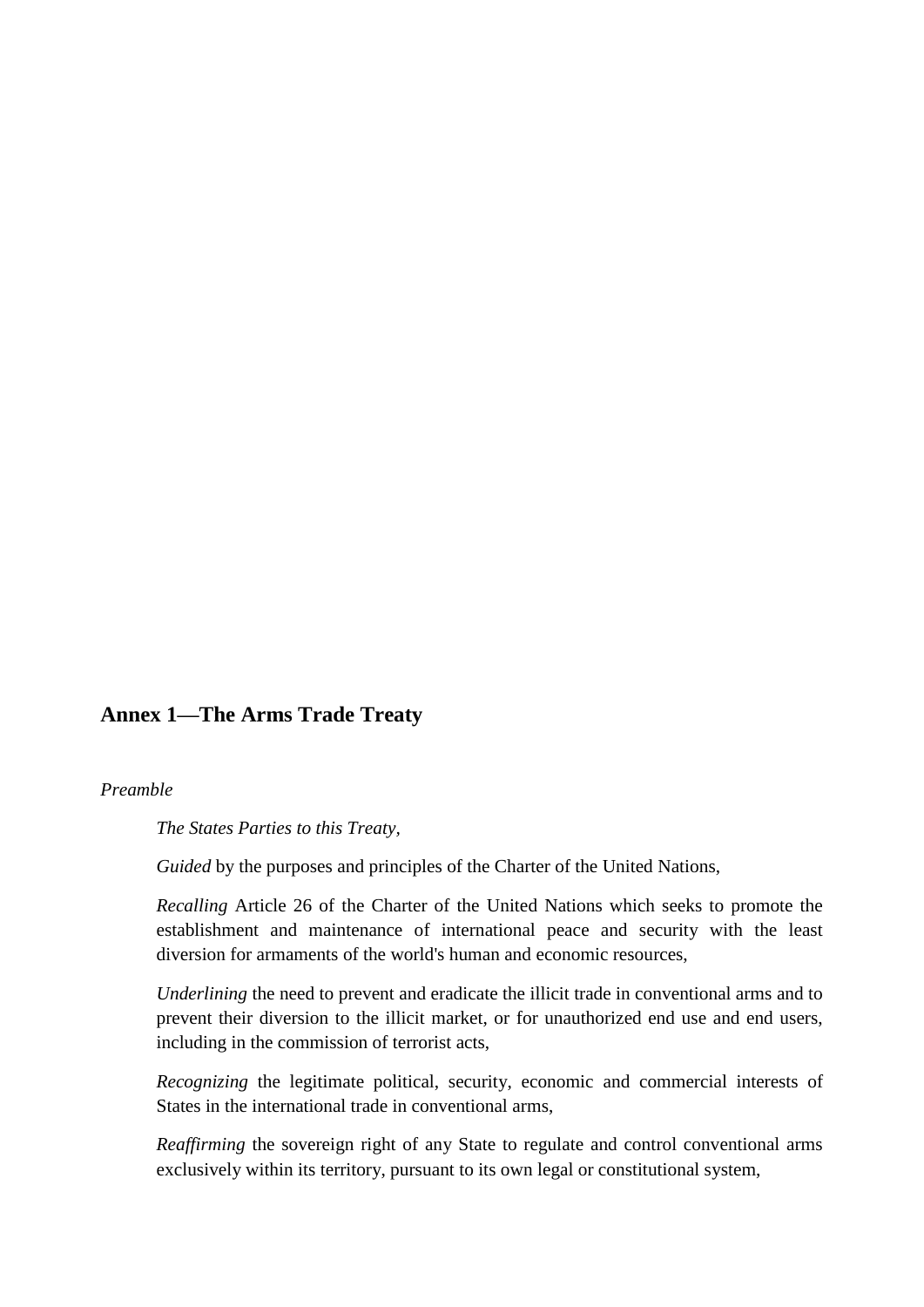### **Annex 1—The Arms Trade Treaty**

#### *Preamble*

*The States Parties to this Treaty,*

*Guided* by the purposes and principles of the Charter of the United Nations,

*Recalling* Article 26 of the Charter of the United Nations which seeks to promote the establishment and maintenance of international peace and security with the least diversion for armaments of the world's human and economic resources,

*Underlining* the need to prevent and eradicate the illicit trade in conventional arms and to prevent their diversion to the illicit market, or for unauthorized end use and end users, including in the commission of terrorist acts,

*Recognizing* the legitimate political, security, economic and commercial interests of States in the international trade in conventional arms,

*Reaffirming* the sovereign right of any State to regulate and control conventional arms exclusively within its territory, pursuant to its own legal or constitutional system,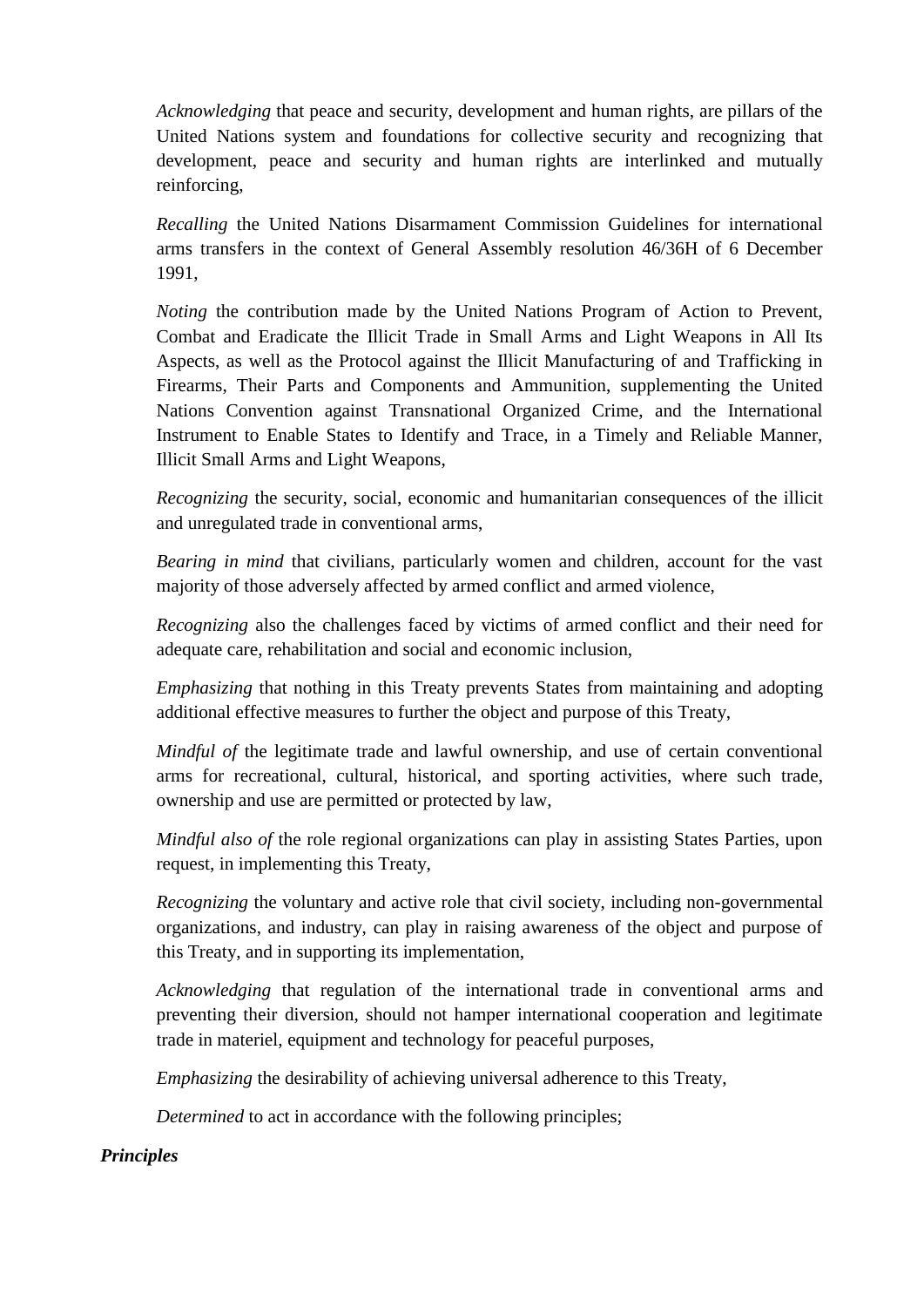*Acknowledging* that peace and security, development and human rights, are pillars of the United Nations system and foundations for collective security and recognizing that development, peace and security and human rights are interlinked and mutually reinforcing,

*Recalling* the United Nations Disarmament Commission Guidelines for international arms transfers in the context of General Assembly resolution 46/36H of 6 December 1991,

*Noting* the contribution made by the United Nations Program of Action to Prevent, Combat and Eradicate the Illicit Trade in Small Arms and Light Weapons in All Its Aspects, as well as the Protocol against the Illicit Manufacturing of and Trafficking in Firearms, Their Parts and Components and Ammunition, supplementing the United Nations Convention against Transnational Organized Crime, and the International Instrument to Enable States to Identify and Trace, in a Timely and Reliable Manner, Illicit Small Arms and Light Weapons,

*Recognizing* the security, social, economic and humanitarian consequences of the illicit and unregulated trade in conventional arms,

*Bearing in mind* that civilians, particularly women and children, account for the vast majority of those adversely affected by armed conflict and armed violence,

*Recognizing* also the challenges faced by victims of armed conflict and their need for adequate care, rehabilitation and social and economic inclusion,

*Emphasizing* that nothing in this Treaty prevents States from maintaining and adopting additional effective measures to further the object and purpose of this Treaty,

*Mindful of* the legitimate trade and lawful ownership, and use of certain conventional arms for recreational, cultural, historical, and sporting activities, where such trade, ownership and use are permitted or protected by law,

*Mindful also of* the role regional organizations can play in assisting States Parties, upon request, in implementing this Treaty,

*Recognizing* the voluntary and active role that civil society, including non-governmental organizations, and industry, can play in raising awareness of the object and purpose of this Treaty, and in supporting its implementation,

*Acknowledging* that regulation of the international trade in conventional arms and preventing their diversion, should not hamper international cooperation and legitimate trade in materiel, equipment and technology for peaceful purposes,

*Emphasizing* the desirability of achieving universal adherence to this Treaty,

*Determined* to act in accordance with the following principles;

*Principles*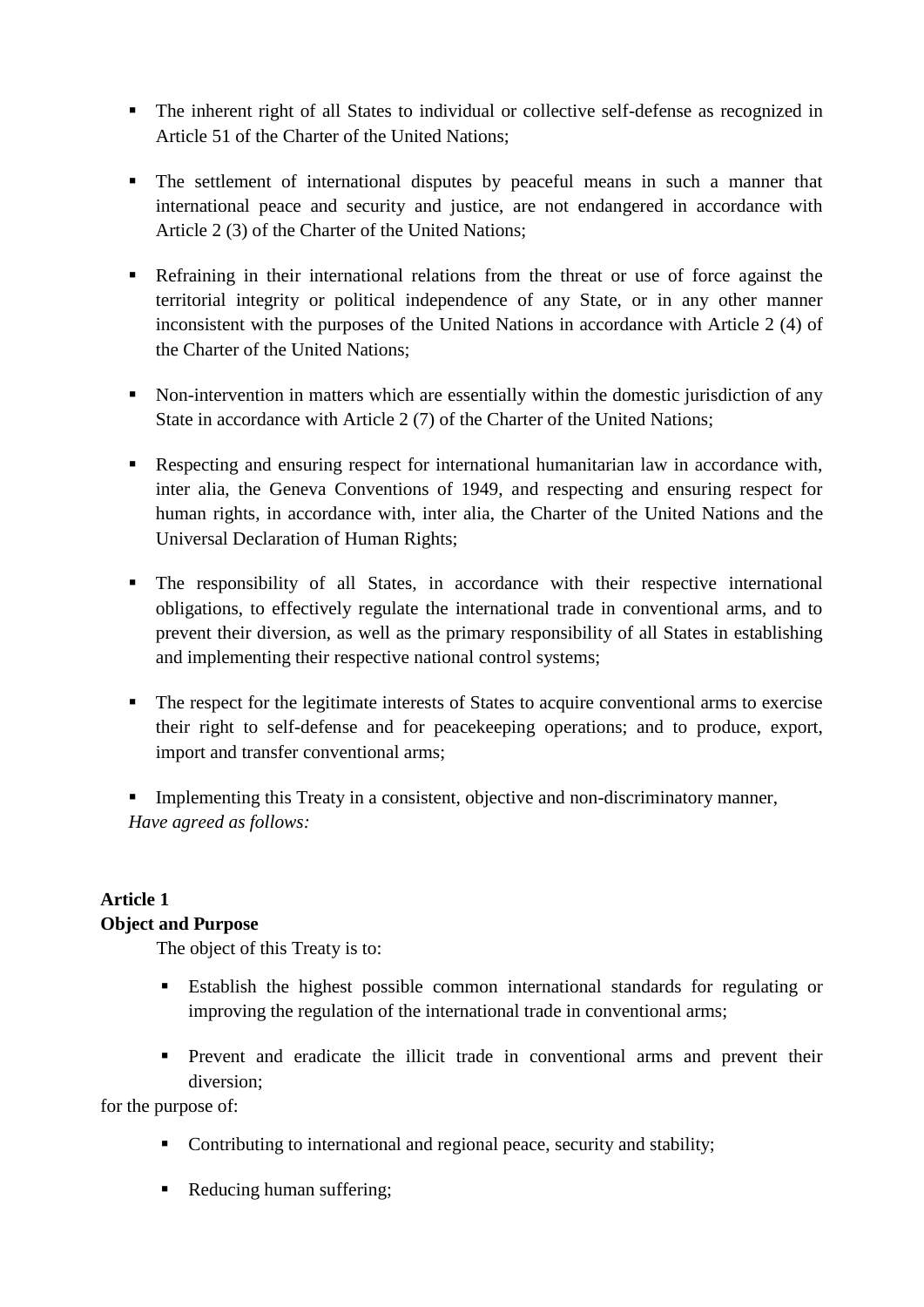- The inherent right of all States to individual or collective self-defense as recognized in Article 51 of the Charter of the United Nations;
- The settlement of international disputes by peaceful means in such a manner that international peace and security and justice, are not endangered in accordance with Article 2 (3) of the Charter of the United Nations;
- Refraining in their international relations from the threat or use of force against the territorial integrity or political independence of any State, or in any other manner inconsistent with the purposes of the United Nations in accordance with Article 2 (4) of the Charter of the United Nations;
- Non-intervention in matters which are essentially within the domestic jurisdiction of any State in accordance with Article 2 (7) of the Charter of the United Nations;
- Respecting and ensuring respect for international humanitarian law in accordance with, inter alia, the Geneva Conventions of 1949, and respecting and ensuring respect for human rights, in accordance with, inter alia, the Charter of the United Nations and the Universal Declaration of Human Rights;
- The responsibility of all States, in accordance with their respective international obligations, to effectively regulate the international trade in conventional arms, and to prevent their diversion, as well as the primary responsibility of all States in establishing and implementing their respective national control systems;
- The respect for the legitimate interests of States to acquire conventional arms to exercise their right to self-defense and for peacekeeping operations; and to produce, export, import and transfer conventional arms;
- Implementing this Treaty in a consistent, objective and non-discriminatory manner, *Have agreed as follows:*

### **Article 1**

#### **Object and Purpose**

The object of this Treaty is to:

- Establish the highest possible common international standards for regulating or improving the regulation of the international trade in conventional arms;
- Prevent and eradicate the illicit trade in conventional arms and prevent their diversion;

for the purpose of:

- Contributing to international and regional peace, security and stability;
- Reducing human suffering;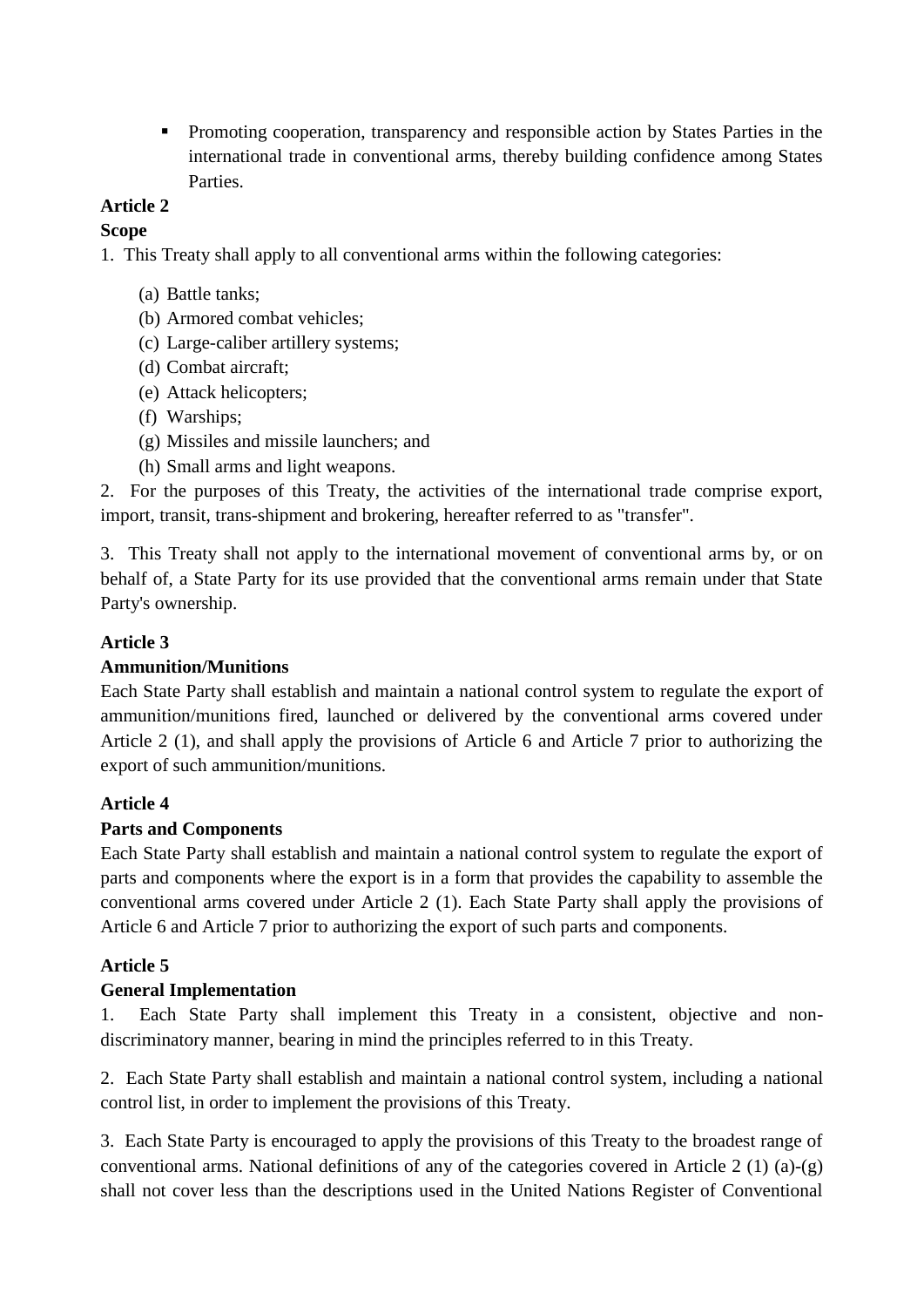**Promoting cooperation, transparency and responsible action by States Parties in the** international trade in conventional arms, thereby building confidence among States Parties.

### **Article 2**

### **Scope**

1. This Treaty shall apply to all conventional arms within the following categories:

- (a) Battle tanks;
- (b) Armored combat vehicles;
- (c) Large-caliber artillery systems;
- (d) Combat aircraft;
- (e) Attack helicopters;
- (f) Warships;
- (g) Missiles and missile launchers; and
- (h) Small arms and light weapons.

2. For the purposes of this Treaty, the activities of the international trade comprise export, import, transit, trans-shipment and brokering, hereafter referred to as "transfer".

3. This Treaty shall not apply to the international movement of conventional arms by, or on behalf of, a State Party for its use provided that the conventional arms remain under that State Party's ownership.

### **Article 3**

### **Ammunition/Munitions**

Each State Party shall establish and maintain a national control system to regulate the export of ammunition/munitions fired, launched or delivered by the conventional arms covered under Article 2 (1), and shall apply the provisions of Article 6 and Article 7 prior to authorizing the export of such ammunition/munitions.

### **Article 4**

### **Parts and Components**

Each State Party shall establish and maintain a national control system to regulate the export of parts and components where the export is in a form that provides the capability to assemble the conventional arms covered under Article 2 (1). Each State Party shall apply the provisions of Article 6 and Article 7 prior to authorizing the export of such parts and components.

# **Article 5**

# **General Implementation**

1. Each State Party shall implement this Treaty in a consistent, objective and nondiscriminatory manner, bearing in mind the principles referred to in this Treaty.

2. Each State Party shall establish and maintain a national control system, including a national control list, in order to implement the provisions of this Treaty.

3. Each State Party is encouraged to apply the provisions of this Treaty to the broadest range of conventional arms. National definitions of any of the categories covered in Article 2 (1) (a)-(g) shall not cover less than the descriptions used in the United Nations Register of Conventional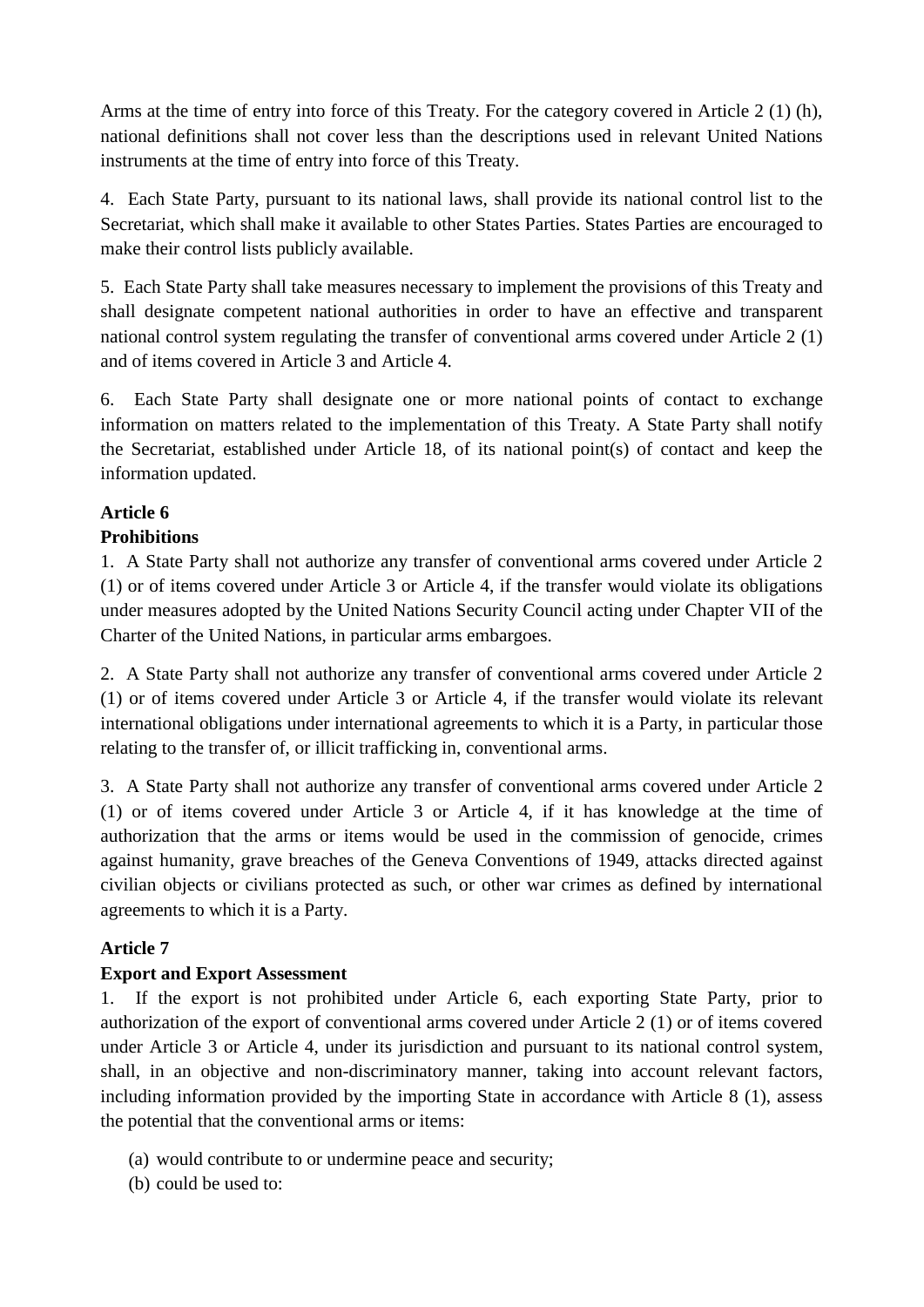Arms at the time of entry into force of this Treaty. For the category covered in Article 2 (1) (h), national definitions shall not cover less than the descriptions used in relevant United Nations instruments at the time of entry into force of this Treaty.

4. Each State Party, pursuant to its national laws, shall provide its national control list to the Secretariat, which shall make it available to other States Parties. States Parties are encouraged to make their control lists publicly available.

5. Each State Party shall take measures necessary to implement the provisions of this Treaty and shall designate competent national authorities in order to have an effective and transparent national control system regulating the transfer of conventional arms covered under Article 2 (1) and of items covered in Article 3 and Article 4.

6. Each State Party shall designate one or more national points of contact to exchange information on matters related to the implementation of this Treaty. A State Party shall notify the Secretariat, established under Article 18, of its national point(s) of contact and keep the information updated.

### **Article 6**

### **Prohibitions**

1. A State Party shall not authorize any transfer of conventional arms covered under Article 2 (1) or of items covered under Article 3 or Article 4, if the transfer would violate its obligations under measures adopted by the United Nations Security Council acting under Chapter VII of the Charter of the United Nations, in particular arms embargoes.

2. A State Party shall not authorize any transfer of conventional arms covered under Article 2 (1) or of items covered under Article 3 or Article 4, if the transfer would violate its relevant international obligations under international agreements to which it is a Party, in particular those relating to the transfer of, or illicit trafficking in, conventional arms.

3. A State Party shall not authorize any transfer of conventional arms covered under Article 2 (1) or of items covered under Article 3 or Article 4, if it has knowledge at the time of authorization that the arms or items would be used in the commission of genocide, crimes against humanity, grave breaches of the Geneva Conventions of 1949, attacks directed against civilian objects or civilians protected as such, or other war crimes as defined by international agreements to which it is a Party.

### **Article 7**

#### **Export and Export Assessment**

1. If the export is not prohibited under Article 6, each exporting State Party, prior to authorization of the export of conventional arms covered under Article 2 (1) or of items covered under Article 3 or Article 4, under its jurisdiction and pursuant to its national control system, shall, in an objective and non-discriminatory manner, taking into account relevant factors, including information provided by the importing State in accordance with Article 8 (1), assess the potential that the conventional arms or items:

- (a) would contribute to or undermine peace and security;
- (b) could be used to: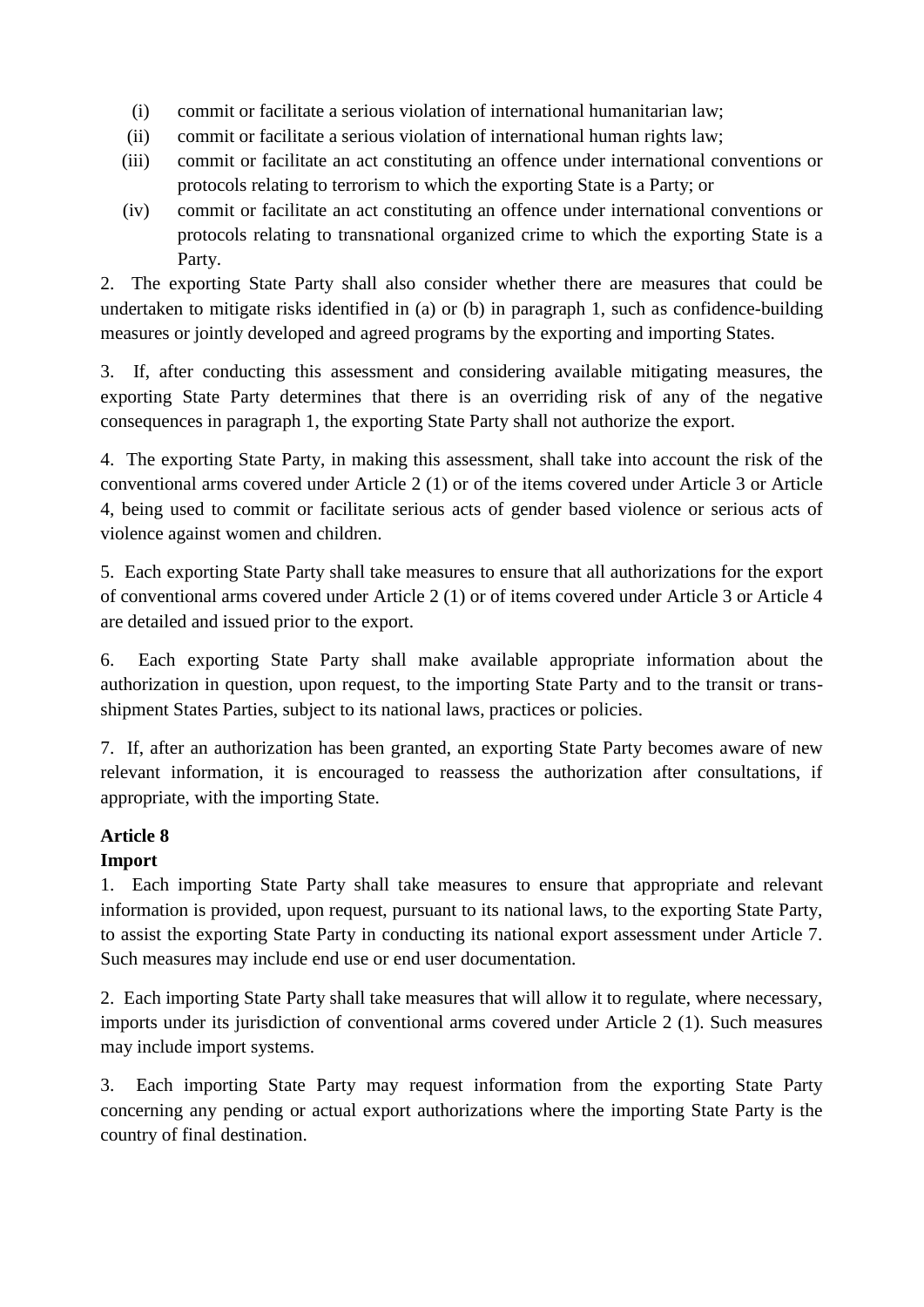- (i) commit or facilitate a serious violation of international humanitarian law;
- (ii) commit or facilitate a serious violation of international human rights law;
- (iii) commit or facilitate an act constituting an offence under international conventions or protocols relating to terrorism to which the exporting State is a Party; or
- (iv) commit or facilitate an act constituting an offence under international conventions or protocols relating to transnational organized crime to which the exporting State is a Party.

2. The exporting State Party shall also consider whether there are measures that could be undertaken to mitigate risks identified in (a) or (b) in paragraph 1, such as confidence-building measures or jointly developed and agreed programs by the exporting and importing States.

3. If, after conducting this assessment and considering available mitigating measures, the exporting State Party determines that there is an overriding risk of any of the negative consequences in paragraph 1, the exporting State Party shall not authorize the export.

4. The exporting State Party, in making this assessment, shall take into account the risk of the conventional arms covered under Article 2 (1) or of the items covered under Article 3 or Article 4, being used to commit or facilitate serious acts of gender based violence or serious acts of violence against women and children.

5. Each exporting State Party shall take measures to ensure that all authorizations for the export of conventional arms covered under Article 2 (1) or of items covered under Article 3 or Article 4 are detailed and issued prior to the export.

6. Each exporting State Party shall make available appropriate information about the authorization in question, upon request, to the importing State Party and to the transit or transshipment States Parties, subject to its national laws, practices or policies.

7. If, after an authorization has been granted, an exporting State Party becomes aware of new relevant information, it is encouraged to reassess the authorization after consultations, if appropriate, with the importing State.

### **Article 8**

### **Import**

1. Each importing State Party shall take measures to ensure that appropriate and relevant information is provided, upon request, pursuant to its national laws, to the exporting State Party, to assist the exporting State Party in conducting its national export assessment under Article 7. Such measures may include end use or end user documentation.

2. Each importing State Party shall take measures that will allow it to regulate, where necessary, imports under its jurisdiction of conventional arms covered under Article 2 (1). Such measures may include import systems.

3. Each importing State Party may request information from the exporting State Party concerning any pending or actual export authorizations where the importing State Party is the country of final destination.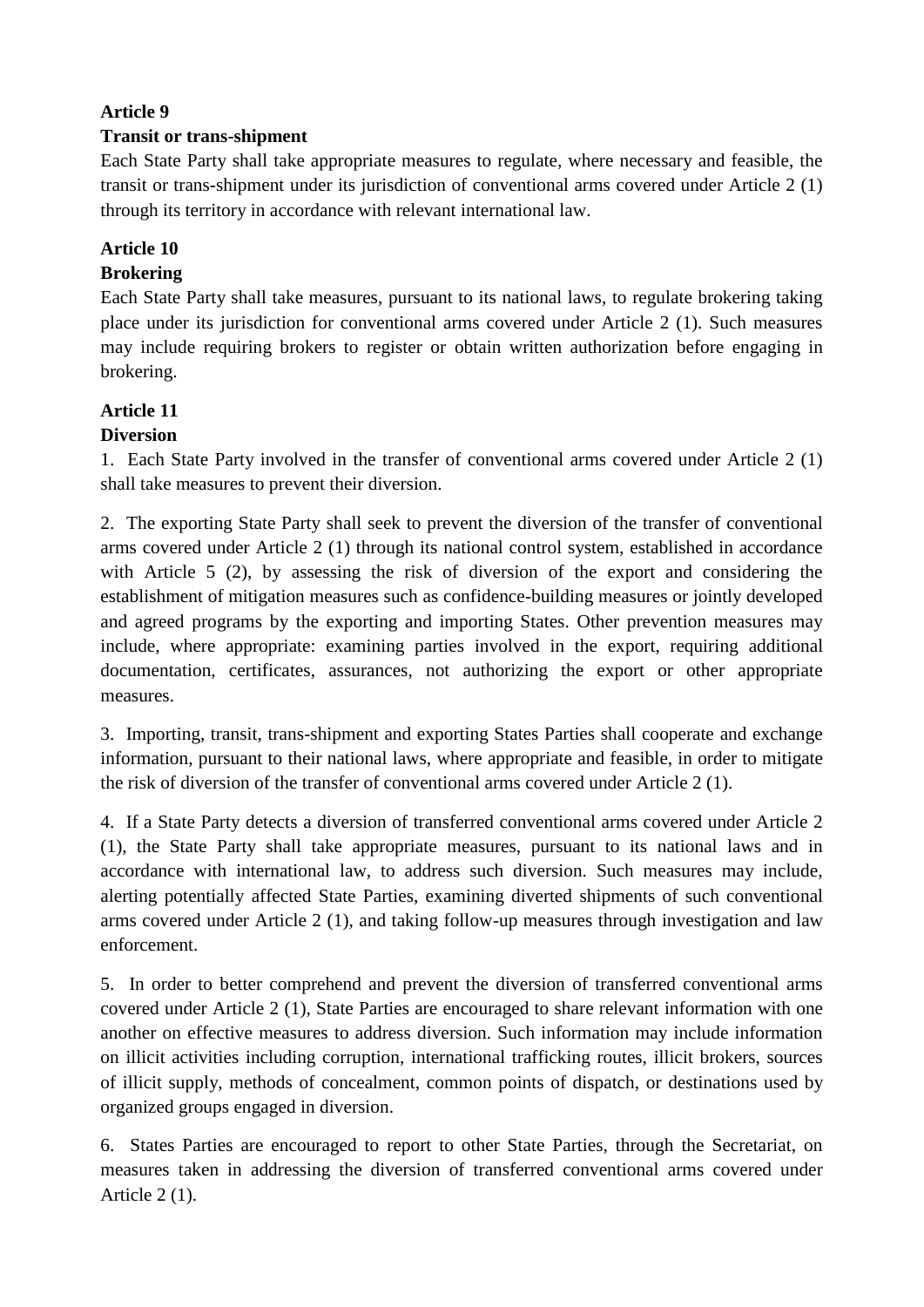### **Article 9**

# **Transit or trans-shipment**

Each State Party shall take appropriate measures to regulate, where necessary and feasible, the transit or trans-shipment under its jurisdiction of conventional arms covered under Article 2 (1) through its territory in accordance with relevant international law.

# **Article 10**

# **Brokering**

Each State Party shall take measures, pursuant to its national laws, to regulate brokering taking place under its jurisdiction for conventional arms covered under Article 2 (1). Such measures may include requiring brokers to register or obtain written authorization before engaging in brokering.

# **Article 11**

# **Diversion**

1. Each State Party involved in the transfer of conventional arms covered under Article 2 (1) shall take measures to prevent their diversion.

2. The exporting State Party shall seek to prevent the diversion of the transfer of conventional arms covered under Article 2 (1) through its national control system, established in accordance with Article 5 (2), by assessing the risk of diversion of the export and considering the establishment of mitigation measures such as confidence-building measures or jointly developed and agreed programs by the exporting and importing States. Other prevention measures may include, where appropriate: examining parties involved in the export, requiring additional documentation, certificates, assurances, not authorizing the export or other appropriate measures.

3. Importing, transit, trans-shipment and exporting States Parties shall cooperate and exchange information, pursuant to their national laws, where appropriate and feasible, in order to mitigate the risk of diversion of the transfer of conventional arms covered under Article 2 (1).

4. If a State Party detects a diversion of transferred conventional arms covered under Article 2 (1), the State Party shall take appropriate measures, pursuant to its national laws and in accordance with international law, to address such diversion. Such measures may include, alerting potentially affected State Parties, examining diverted shipments of such conventional arms covered under Article 2 (1), and taking follow-up measures through investigation and law enforcement.

5. In order to better comprehend and prevent the diversion of transferred conventional arms covered under Article 2 (1), State Parties are encouraged to share relevant information with one another on effective measures to address diversion. Such information may include information on illicit activities including corruption, international trafficking routes, illicit brokers, sources of illicit supply, methods of concealment, common points of dispatch, or destinations used by organized groups engaged in diversion.

6. States Parties are encouraged to report to other State Parties, through the Secretariat, on measures taken in addressing the diversion of transferred conventional arms covered under Article 2 (1).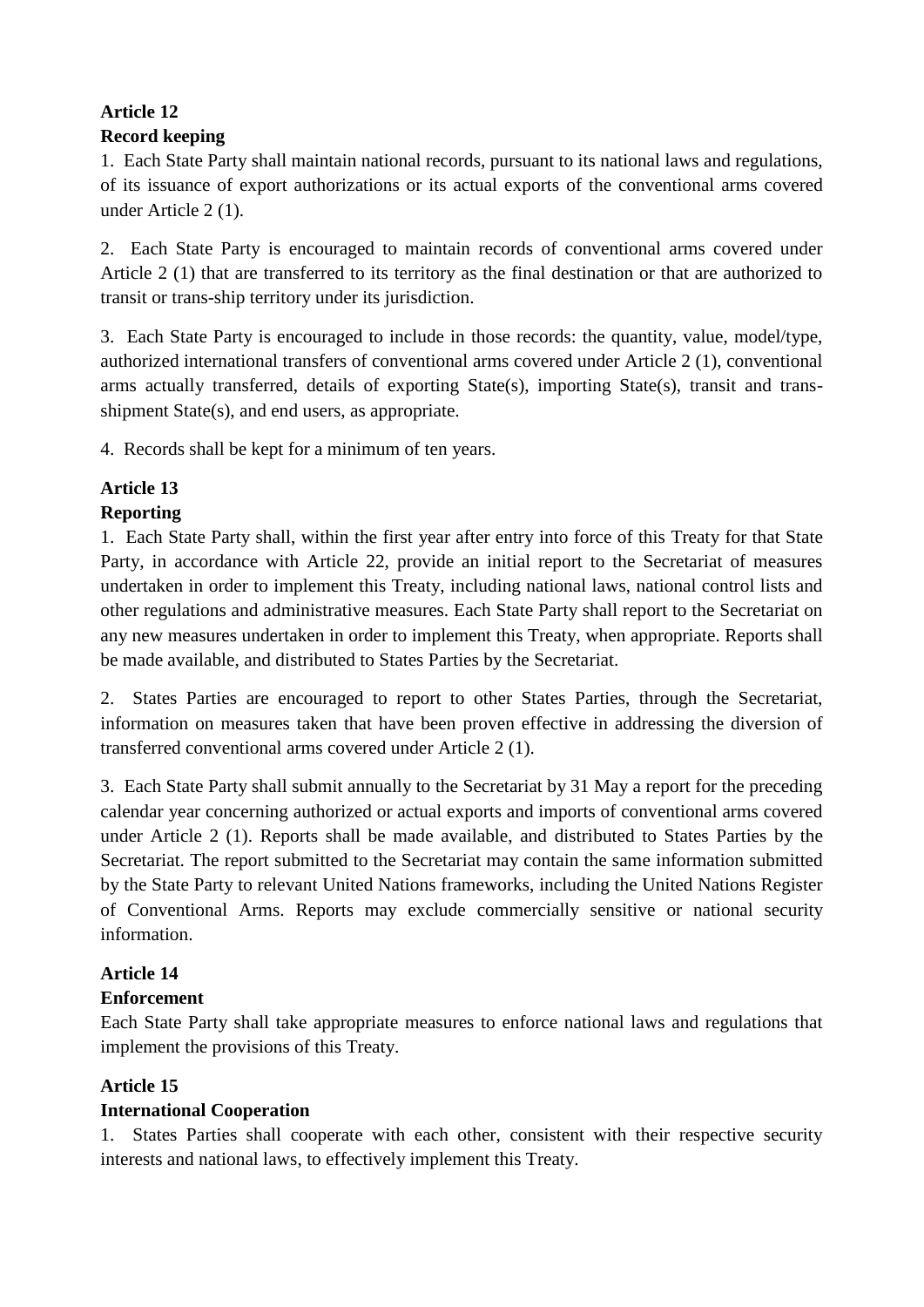### **Article 12**

### **Record keeping**

1. Each State Party shall maintain national records, pursuant to its national laws and regulations, of its issuance of export authorizations or its actual exports of the conventional arms covered under Article 2 (1).

2. Each State Party is encouraged to maintain records of conventional arms covered under Article 2 (1) that are transferred to its territory as the final destination or that are authorized to transit or trans-ship territory under its jurisdiction.

3. Each State Party is encouraged to include in those records: the quantity, value, model/type, authorized international transfers of conventional arms covered under Article 2 (1), conventional arms actually transferred, details of exporting State(s), importing State(s), transit and transshipment State(s), and end users, as appropriate.

4. Records shall be kept for a minimum of ten years.

# **Article 13**

### **Reporting**

1. Each State Party shall, within the first year after entry into force of this Treaty for that State Party, in accordance with Article 22, provide an initial report to the Secretariat of measures undertaken in order to implement this Treaty, including national laws, national control lists and other regulations and administrative measures. Each State Party shall report to the Secretariat on any new measures undertaken in order to implement this Treaty, when appropriate. Reports shall be made available, and distributed to States Parties by the Secretariat.

2. States Parties are encouraged to report to other States Parties, through the Secretariat, information on measures taken that have been proven effective in addressing the diversion of transferred conventional arms covered under Article 2 (1).

3. Each State Party shall submit annually to the Secretariat by 31 May a report for the preceding calendar year concerning authorized or actual exports and imports of conventional arms covered under Article 2 (1). Reports shall be made available, and distributed to States Parties by the Secretariat. The report submitted to the Secretariat may contain the same information submitted by the State Party to relevant United Nations frameworks, including the United Nations Register of Conventional Arms. Reports may exclude commercially sensitive or national security information.

### **Article 14**

### **Enforcement**

Each State Party shall take appropriate measures to enforce national laws and regulations that implement the provisions of this Treaty.

### **Article 15**

#### **International Cooperation**

1. States Parties shall cooperate with each other, consistent with their respective security interests and national laws, to effectively implement this Treaty.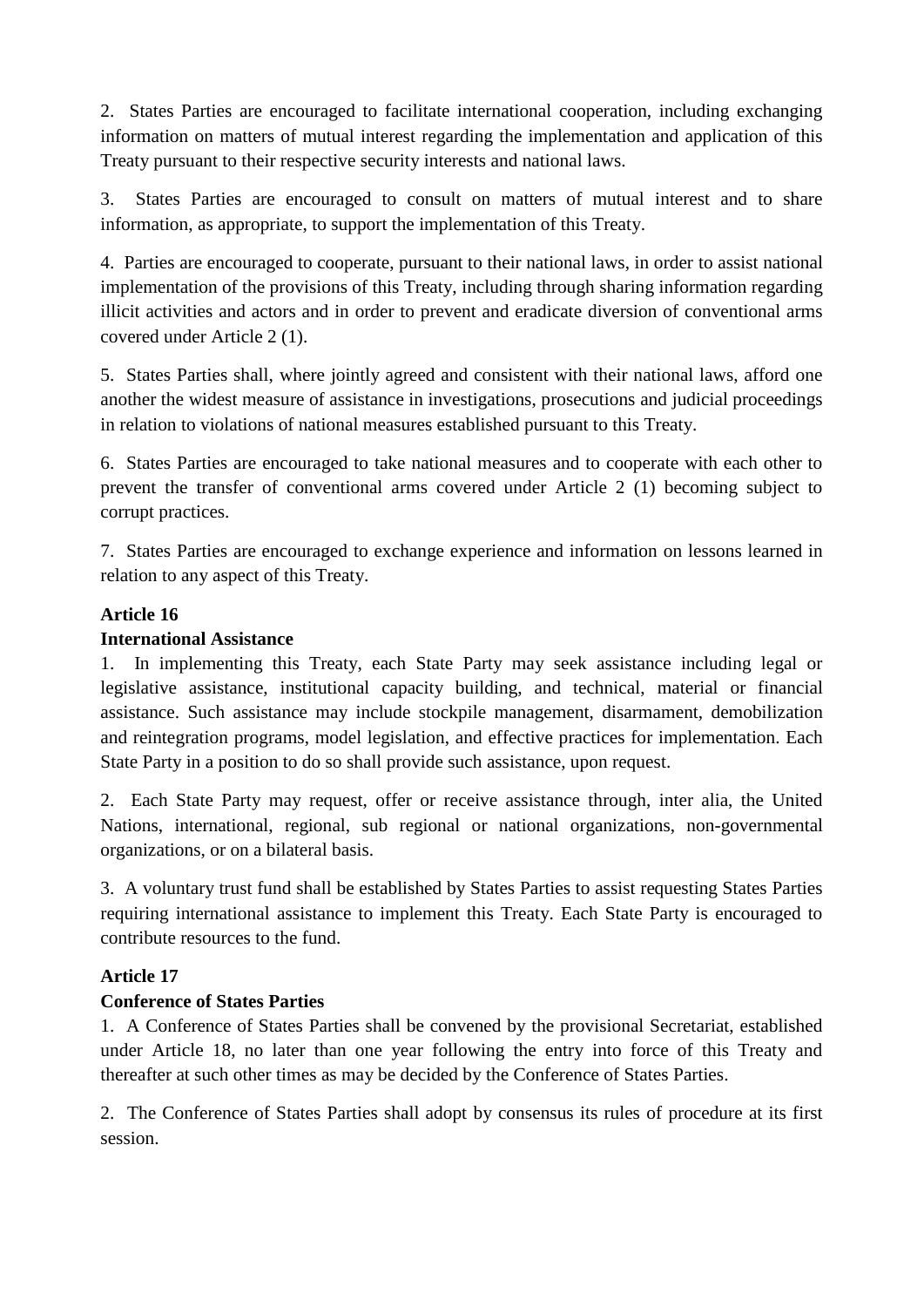2. States Parties are encouraged to facilitate international cooperation, including exchanging information on matters of mutual interest regarding the implementation and application of this Treaty pursuant to their respective security interests and national laws.

3. States Parties are encouraged to consult on matters of mutual interest and to share information, as appropriate, to support the implementation of this Treaty.

4. Parties are encouraged to cooperate, pursuant to their national laws, in order to assist national implementation of the provisions of this Treaty, including through sharing information regarding illicit activities and actors and in order to prevent and eradicate diversion of conventional arms covered under Article 2 (1).

5. States Parties shall, where jointly agreed and consistent with their national laws, afford one another the widest measure of assistance in investigations, prosecutions and judicial proceedings in relation to violations of national measures established pursuant to this Treaty.

6. States Parties are encouraged to take national measures and to cooperate with each other to prevent the transfer of conventional arms covered under Article 2 (1) becoming subject to corrupt practices.

7. States Parties are encouraged to exchange experience and information on lessons learned in relation to any aspect of this Treaty.

#### **Article 16**

#### **International Assistance**

1. In implementing this Treaty, each State Party may seek assistance including legal or legislative assistance, institutional capacity building, and technical, material or financial assistance. Such assistance may include stockpile management, disarmament, demobilization and reintegration programs, model legislation, and effective practices for implementation. Each State Party in a position to do so shall provide such assistance, upon request.

2. Each State Party may request, offer or receive assistance through, inter alia, the United Nations, international, regional, sub regional or national organizations, non-governmental organizations, or on a bilateral basis.

3. A voluntary trust fund shall be established by States Parties to assist requesting States Parties requiring international assistance to implement this Treaty. Each State Party is encouraged to contribute resources to the fund.

#### **Article 17**

#### **Conference of States Parties**

1. A Conference of States Parties shall be convened by the provisional Secretariat, established under Article 18, no later than one year following the entry into force of this Treaty and thereafter at such other times as may be decided by the Conference of States Parties.

2. The Conference of States Parties shall adopt by consensus its rules of procedure at its first session.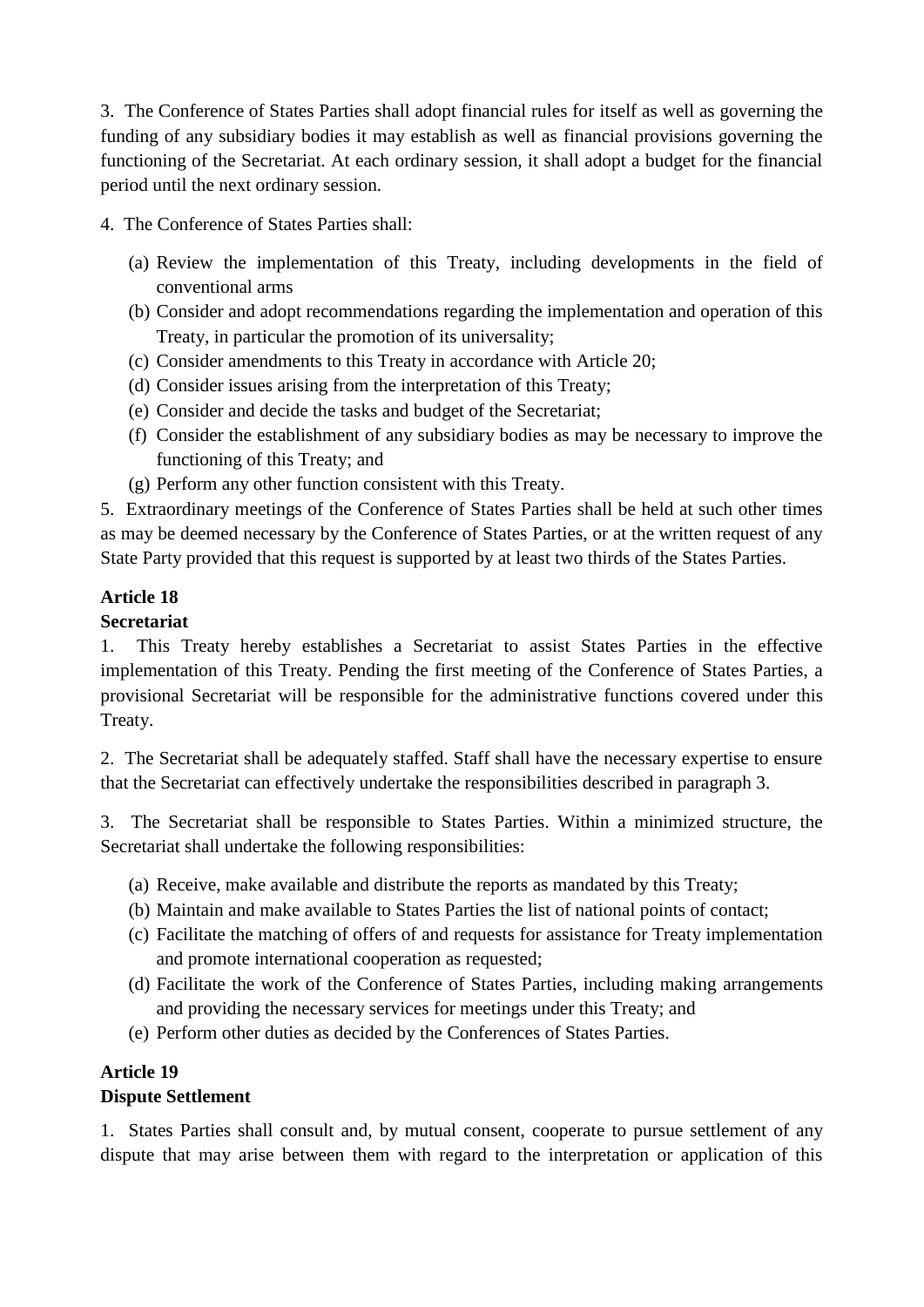3. The Conference of States Parties shall adopt financial rules for itself as well as governing the funding of any subsidiary bodies it may establish as well as financial provisions governing the functioning of the Secretariat. At each ordinary session, it shall adopt a budget for the financial period until the next ordinary session.

4. The Conference of States Parties shall:

- (a) Review the implementation of this Treaty, including developments in the field of conventional arms
- (b) Consider and adopt recommendations regarding the implementation and operation of this Treaty, in particular the promotion of its universality;
- (c) Consider amendments to this Treaty in accordance with Article 20;
- (d) Consider issues arising from the interpretation of this Treaty;
- (e) Consider and decide the tasks and budget of the Secretariat;
- (f) Consider the establishment of any subsidiary bodies as may be necessary to improve the functioning of this Treaty; and
- (g) Perform any other function consistent with this Treaty.

5. Extraordinary meetings of the Conference of States Parties shall be held at such other times as may be deemed necessary by the Conference of States Parties, or at the written request of any State Party provided that this request is supported by at least two thirds of the States Parties.

#### **Article 18**

#### **Secretariat**

1. This Treaty hereby establishes a Secretariat to assist States Parties in the effective implementation of this Treaty. Pending the first meeting of the Conference of States Parties, a provisional Secretariat will be responsible for the administrative functions covered under this Treaty.

2. The Secretariat shall be adequately staffed. Staff shall have the necessary expertise to ensure that the Secretariat can effectively undertake the responsibilities described in paragraph 3.

3. The Secretariat shall be responsible to States Parties. Within a minimized structure, the Secretariat shall undertake the following responsibilities:

- (a) Receive, make available and distribute the reports as mandated by this Treaty;
- (b) Maintain and make available to States Parties the list of national points of contact;
- (c) Facilitate the matching of offers of and requests for assistance for Treaty implementation and promote international cooperation as requested;
- (d) Facilitate the work of the Conference of States Parties, including making arrangements and providing the necessary services for meetings under this Treaty; and
- (e) Perform other duties as decided by the Conferences of States Parties.

#### **Article 19**

### **Dispute Settlement**

1. States Parties shall consult and, by mutual consent, cooperate to pursue settlement of any dispute that may arise between them with regard to the interpretation or application of this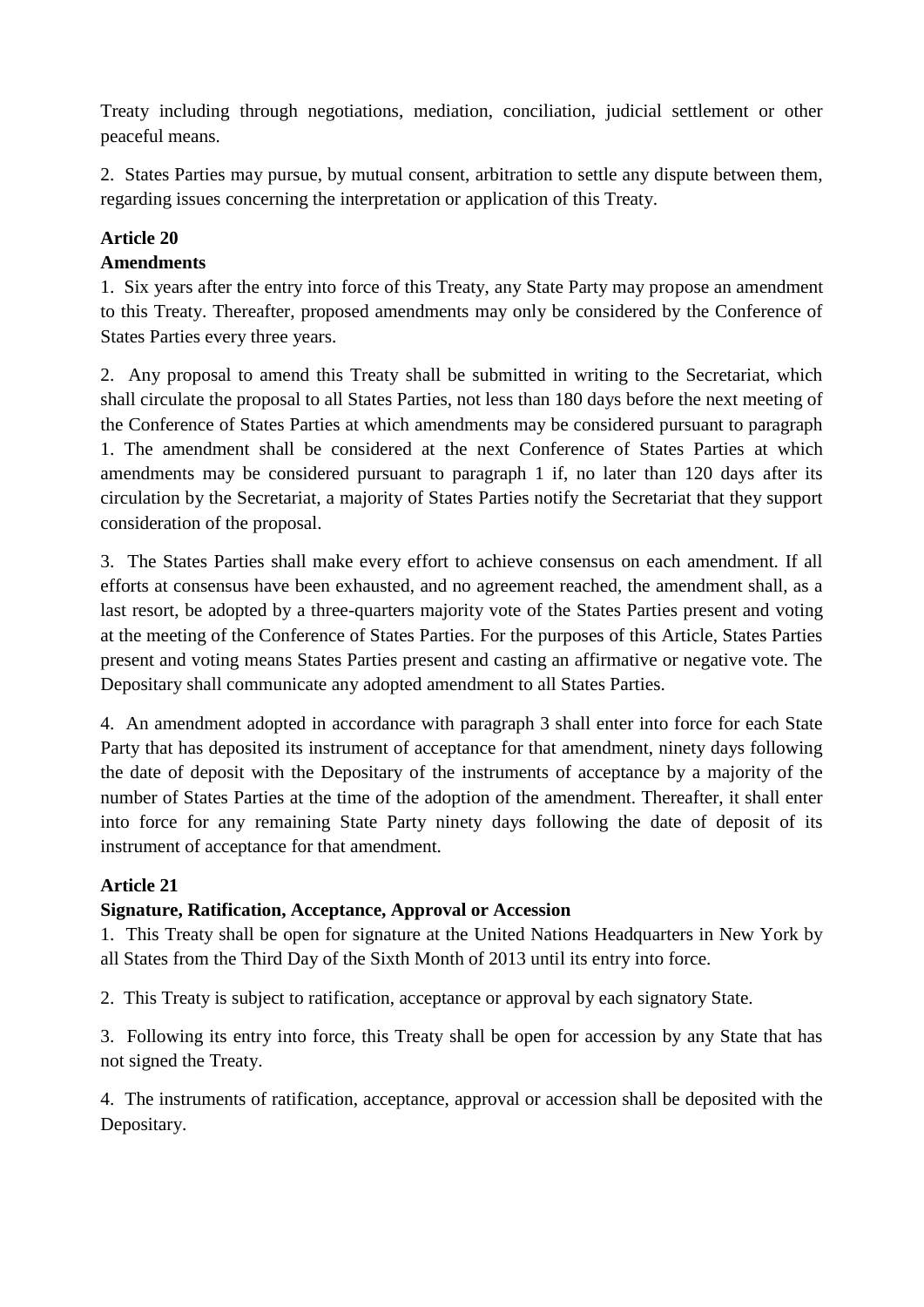Treaty including through negotiations, mediation, conciliation, judicial settlement or other peaceful means.

2. States Parties may pursue, by mutual consent, arbitration to settle any dispute between them, regarding issues concerning the interpretation or application of this Treaty.

### **Article 20**

### **Amendments**

1. Six years after the entry into force of this Treaty, any State Party may propose an amendment to this Treaty. Thereafter, proposed amendments may only be considered by the Conference of States Parties every three years.

2. Any proposal to amend this Treaty shall be submitted in writing to the Secretariat, which shall circulate the proposal to all States Parties, not less than 180 days before the next meeting of the Conference of States Parties at which amendments may be considered pursuant to paragraph 1. The amendment shall be considered at the next Conference of States Parties at which amendments may be considered pursuant to paragraph 1 if, no later than 120 days after its circulation by the Secretariat, a majority of States Parties notify the Secretariat that they support consideration of the proposal.

3. The States Parties shall make every effort to achieve consensus on each amendment. If all efforts at consensus have been exhausted, and no agreement reached, the amendment shall, as a last resort, be adopted by a three-quarters majority vote of the States Parties present and voting at the meeting of the Conference of States Parties. For the purposes of this Article, States Parties present and voting means States Parties present and casting an affirmative or negative vote. The Depositary shall communicate any adopted amendment to all States Parties.

4. An amendment adopted in accordance with paragraph 3 shall enter into force for each State Party that has deposited its instrument of acceptance for that amendment, ninety days following the date of deposit with the Depositary of the instruments of acceptance by a majority of the number of States Parties at the time of the adoption of the amendment. Thereafter, it shall enter into force for any remaining State Party ninety days following the date of deposit of its instrument of acceptance for that amendment.

#### **Article 21**

#### **Signature, Ratification, Acceptance, Approval or Accession**

1. This Treaty shall be open for signature at the United Nations Headquarters in New York by all States from the Third Day of the Sixth Month of 2013 until its entry into force.

2. This Treaty is subject to ratification, acceptance or approval by each signatory State.

3. Following its entry into force, this Treaty shall be open for accession by any State that has not signed the Treaty.

4. The instruments of ratification, acceptance, approval or accession shall be deposited with the Depositary.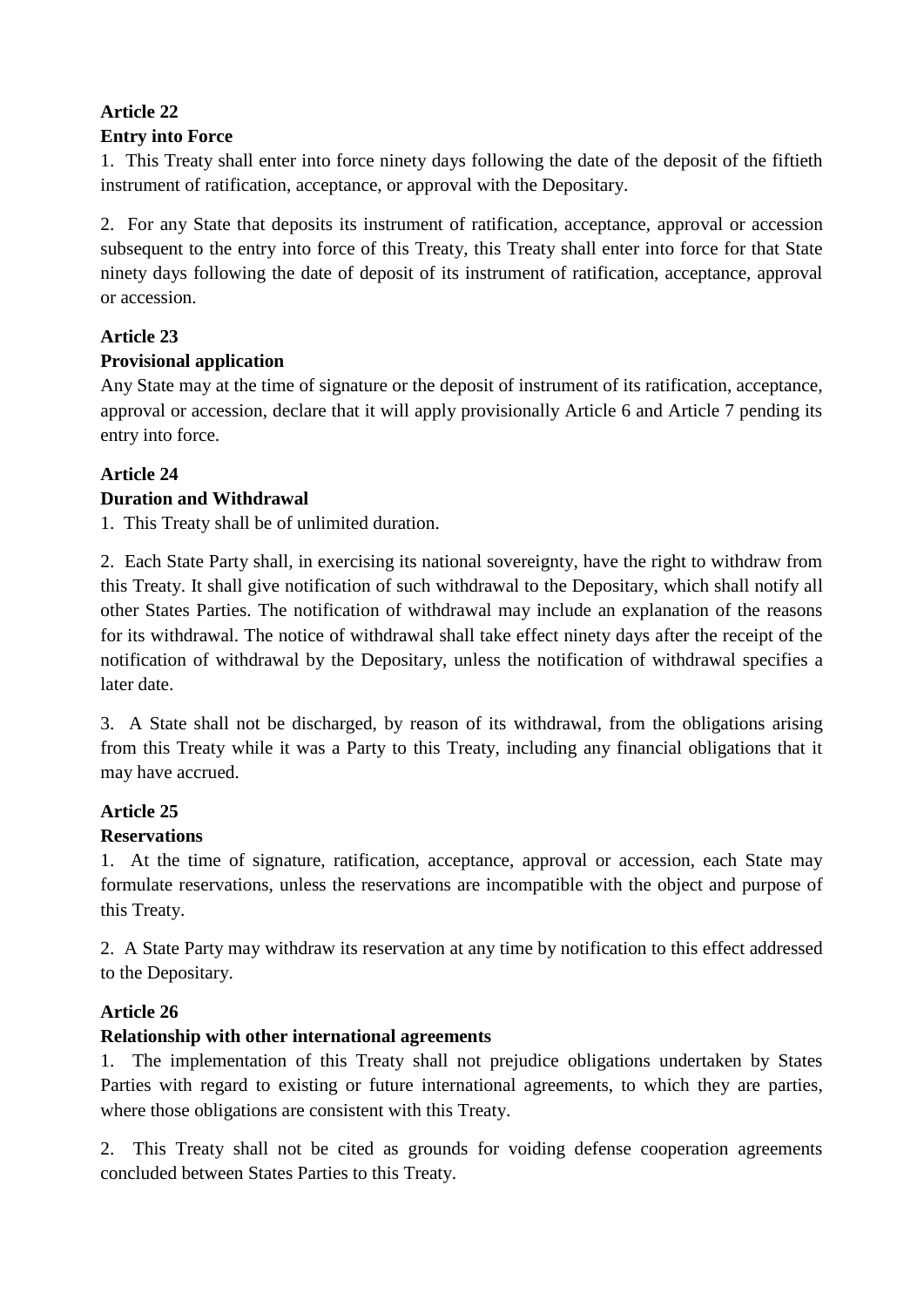### **Article 22**

### **Entry into Force**

1. This Treaty shall enter into force ninety days following the date of the deposit of the fiftieth instrument of ratification, acceptance, or approval with the Depositary.

2. For any State that deposits its instrument of ratification, acceptance, approval or accession subsequent to the entry into force of this Treaty, this Treaty shall enter into force for that State ninety days following the date of deposit of its instrument of ratification, acceptance, approval or accession.

### **Article 23**

### **Provisional application**

Any State may at the time of signature or the deposit of instrument of its ratification, acceptance, approval or accession, declare that it will apply provisionally Article 6 and Article 7 pending its entry into force.

### **Article 24**

### **Duration and Withdrawal**

1. This Treaty shall be of unlimited duration.

2. Each State Party shall, in exercising its national sovereignty, have the right to withdraw from this Treaty. It shall give notification of such withdrawal to the Depositary, which shall notify all other States Parties. The notification of withdrawal may include an explanation of the reasons for its withdrawal. The notice of withdrawal shall take effect ninety days after the receipt of the notification of withdrawal by the Depositary, unless the notification of withdrawal specifies a later date.

3. A State shall not be discharged, by reason of its withdrawal, from the obligations arising from this Treaty while it was a Party to this Treaty, including any financial obligations that it may have accrued.

### **Article 25**

### **Reservations**

1. At the time of signature, ratification, acceptance, approval or accession, each State may formulate reservations, unless the reservations are incompatible with the object and purpose of this Treaty.

2. A State Party may withdraw its reservation at any time by notification to this effect addressed to the Depositary.

### **Article 26**

### **Relationship with other international agreements**

1. The implementation of this Treaty shall not prejudice obligations undertaken by States Parties with regard to existing or future international agreements, to which they are parties, where those obligations are consistent with this Treaty.

2. This Treaty shall not be cited as grounds for voiding defense cooperation agreements concluded between States Parties to this Treaty.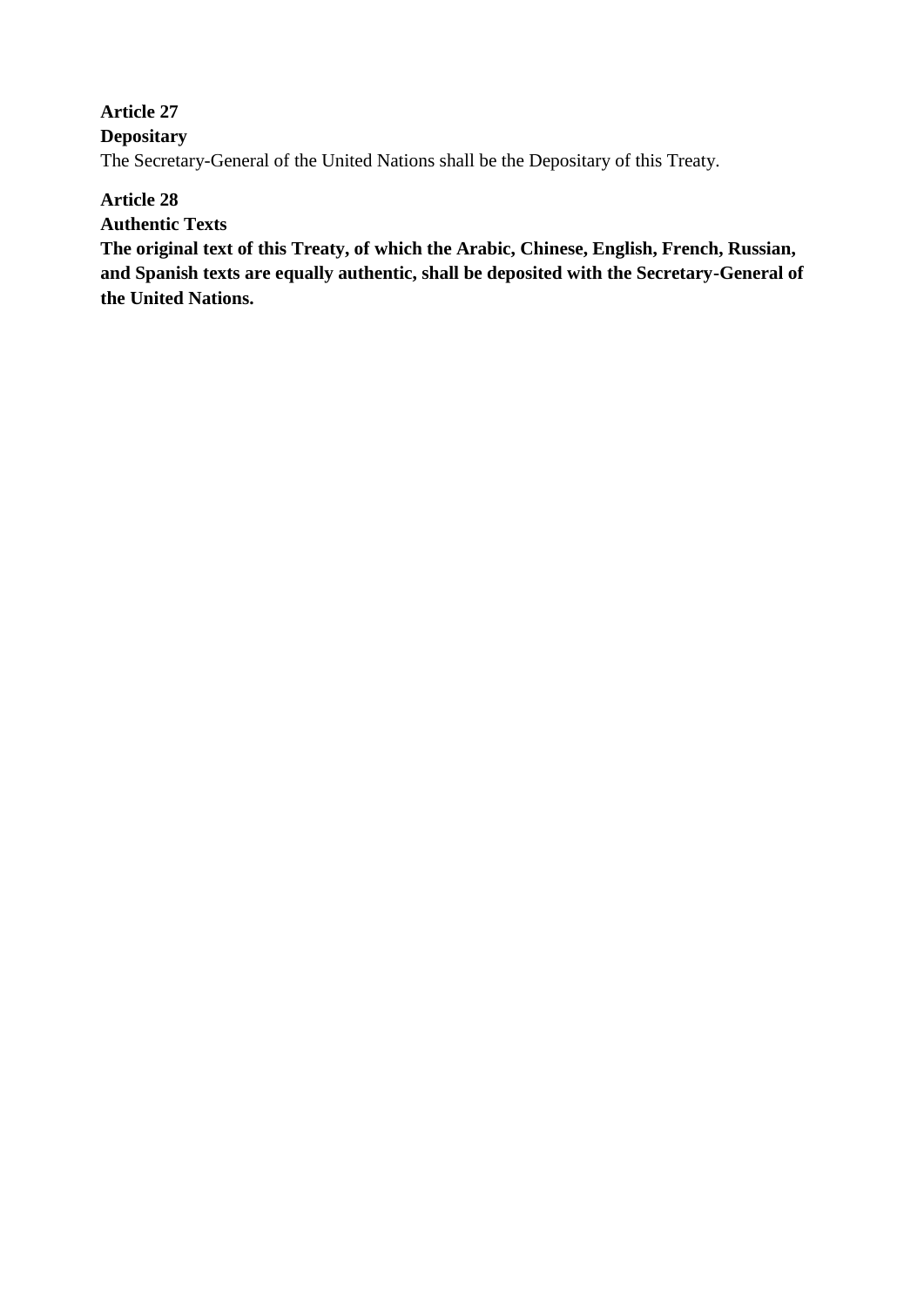**Article 27 Depositary** The Secretary-General of the United Nations shall be the Depositary of this Treaty.

**Article 28**

**Authentic Texts**

**The original text of this Treaty, of which the Arabic, Chinese, English, French, Russian, and Spanish texts are equally authentic, shall be deposited with the Secretary-General of the United Nations.**